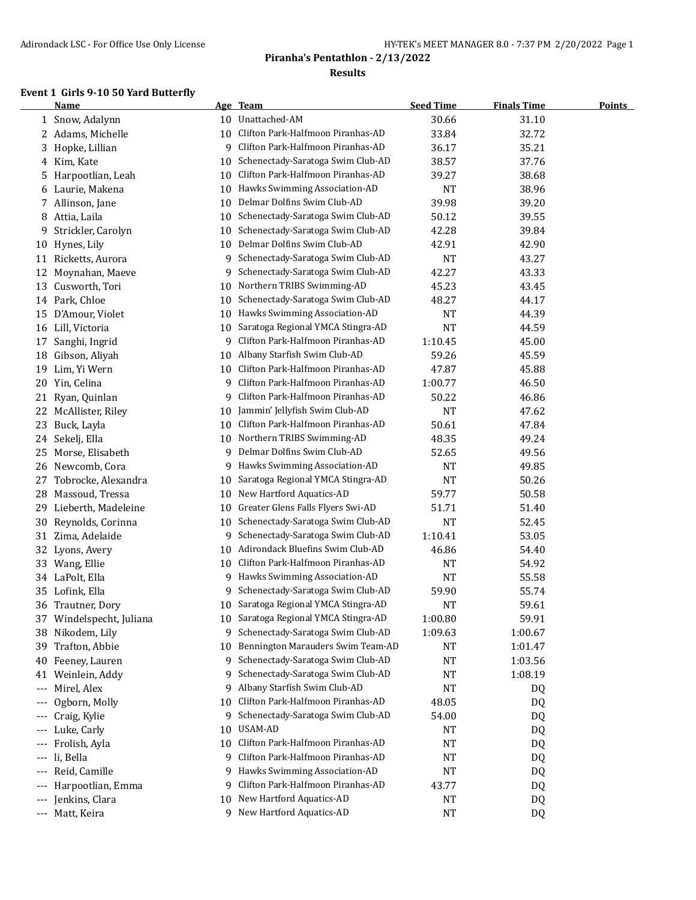#### **Event 1 Girls 9-10 50 Yard Butterfly**

|                     | <b>Name</b>                        |         | Age Team                             | <b>Seed Time</b> | <b>Finals Time</b> | <b>Points</b> |
|---------------------|------------------------------------|---------|--------------------------------------|------------------|--------------------|---------------|
|                     | 1 Snow, Adalynn                    | 10      | Unattached-AM                        | 30.66            | 31.10              |               |
|                     | 2 Adams, Michelle                  | 10      | Clifton Park-Halfmoon Piranhas-AD    | 33.84            | 32.72              |               |
| 3                   | Hopke, Lillian                     | 9       | Clifton Park-Halfmoon Piranhas-AD    | 36.17            | 35.21              |               |
| 4                   | Kim, Kate                          | 10      | Schenectady-Saratoga Swim Club-AD    | 38.57            | 37.76              |               |
| 5                   | Harpootlian, Leah                  | 10      | Clifton Park-Halfmoon Piranhas-AD    | 39.27            | 38.68              |               |
| 6                   | Laurie, Makena                     | 10      | Hawks Swimming Association-AD        | <b>NT</b>        | 38.96              |               |
| 7                   | Allinson, Jane                     | 10      | Delmar Dolfins Swim Club-AD          | 39.98            | 39.20              |               |
| 8                   | Attia, Laila                       | 10      | Schenectady-Saratoga Swim Club-AD    | 50.12            | 39.55              |               |
| 9                   | Strickler, Carolyn                 | 10      | Schenectady-Saratoga Swim Club-AD    | 42.28            | 39.84              |               |
| 10                  | Hynes, Lily                        | 10      | Delmar Dolfins Swim Club-AD          | 42.91            | 42.90              |               |
| 11                  | Ricketts, Aurora                   | 9       | Schenectady-Saratoga Swim Club-AD    | <b>NT</b>        | 43.27              |               |
| 12                  | Moynahan, Maeve                    | 9       | Schenectady-Saratoga Swim Club-AD    | 42.27            | 43.33              |               |
| 13                  | Cusworth, Tori                     | 10      | Northern TRIBS Swimming-AD           | 45.23            | 43.45              |               |
|                     | 14 Park, Chloe                     | 10      | Schenectady-Saratoga Swim Club-AD    | 48.27            | 44.17              |               |
| 15                  | D'Amour, Violet                    | 10      | Hawks Swimming Association-AD        | <b>NT</b>        | 44.39              |               |
| 16                  | Lill, Victoria                     | 10      | Saratoga Regional YMCA Stingra-AD    | <b>NT</b>        | 44.59              |               |
| 17                  | Sanghi, Ingrid                     | 9       | Clifton Park-Halfmoon Piranhas-AD    | 1:10.45          | 45.00              |               |
| 18                  | Gibson, Aliyah                     | 10      | Albany Starfish Swim Club-AD         | 59.26            | 45.59              |               |
| 19                  | Lim, Yi Wern                       | 10      | Clifton Park-Halfmoon Piranhas-AD    | 47.87            | 45.88              |               |
| 20                  | Yin, Celina                        | 9       | Clifton Park-Halfmoon Piranhas-AD    | 1:00.77          | 46.50              |               |
| 21                  | Ryan, Quinlan                      | 9       | Clifton Park-Halfmoon Piranhas-AD    | 50.22            | 46.86              |               |
|                     | 22 McAllister, Riley               | 10      | Jammin' Jellyfish Swim Club-AD       | <b>NT</b>        | 47.62              |               |
| 23                  | Buck, Layla                        | 10      | Clifton Park-Halfmoon Piranhas-AD    | 50.61            | 47.84              |               |
| 24                  | Sekelj, Ella                       | 10      | Northern TRIBS Swimming-AD           | 48.35            | 49.24              |               |
| 25                  | Morse, Elisabeth                   | 9       | Delmar Dolfins Swim Club-AD          | 52.65            | 49.56              |               |
| 26                  | Newcomb, Cora                      | 9       | Hawks Swimming Association-AD        | <b>NT</b>        | 49.85              |               |
| 27                  | Tobrocke, Alexandra                | 10      | Saratoga Regional YMCA Stingra-AD    | <b>NT</b>        | 50.26              |               |
| 28                  | Massoud, Tressa                    | 10      | New Hartford Aquatics-AD             | 59.77            | 50.58              |               |
| 29                  | Lieberth, Madeleine                | 10      | Greater Glens Falls Flyers Swi-AD    | 51.71            | 51.40              |               |
| 30                  | Reynolds, Corinna                  | 10      | Schenectady-Saratoga Swim Club-AD    | <b>NT</b>        | 52.45              |               |
| 31                  | Zima, Adelaide                     | 9       | Schenectady-Saratoga Swim Club-AD    | 1:10.41          | 53.05              |               |
|                     | 32 Lyons, Avery                    | 10      | Adirondack Bluefins Swim Club-AD     | 46.86            | 54.40              |               |
| 33                  | Wang, Ellie                        | 10      | Clifton Park-Halfmoon Piranhas-AD    | NT               | 54.92              |               |
|                     | 34 LaPolt, Ella                    | 9       | Hawks Swimming Association-AD        | NT               | 55.58              |               |
| 35                  | Lofink, Ella                       | 9       | Schenectady-Saratoga Swim Club-AD    | 59.90            | 55.74              |               |
| 36                  | Trautner, Dory                     |         | 10 Saratoga Regional YMCA Stingra-AD | <b>NT</b>        | 59.61              |               |
| 37                  | Windelspecht, Juliana              |         | 10 Saratoga Regional YMCA Stingra-AD | 1:00.80          | 59.91              |               |
| 38                  | Nikodem, Lily                      | 9       | Schenectady-Saratoga Swim Club-AD    | 1:09.63          | 1:00.67            |               |
| 39                  | Trafton, Abbie                     | 10      | Bennington Marauders Swim Team-AD    | NT               | 1:01.47            |               |
| 40                  | Feeney, Lauren                     | 9       | Schenectady-Saratoga Swim Club-AD    | NT               | 1:03.56            |               |
| 41                  | Weinlein, Addy                     | 9       | Schenectady-Saratoga Swim Club-AD    | NT               | 1:08.19            |               |
| $\qquad \qquad - -$ | Mirel, Alex                        | 9       | Albany Starfish Swim Club-AD         | NT               | DQ                 |               |
| ---                 | Ogborn, Molly                      | 10      | Clifton Park-Halfmoon Piranhas-AD    | 48.05            | DQ                 |               |
|                     | Craig, Kylie                       | 9       | Schenectady-Saratoga Swim Club-AD    | 54.00            |                    |               |
|                     | Luke, Carly                        | 10      | USAM-AD                              | NT               | DQ                 |               |
|                     | Frolish, Ayla                      | 10      | Clifton Park-Halfmoon Piranhas-AD    | NT               | DQ                 |               |
|                     |                                    | 9       | Clifton Park-Halfmoon Piranhas-AD    |                  | DQ                 |               |
| $---$               | li, Bella                          |         | Hawks Swimming Association-AD        | NT               | DQ                 |               |
| $---$               | Reid, Camille<br>Harpootlian, Emma | 9<br>9  | Clifton Park-Halfmoon Piranhas-AD    | NT               | DQ                 |               |
| $---$               | Jenkins, Clara                     |         | New Hartford Aquatics-AD             | 43.77<br>NT      | DQ                 |               |
| $---$               |                                    | 10<br>9 | New Hartford Aquatics-AD             | <b>NT</b>        | DQ                 |               |
|                     | --- Matt, Keira                    |         |                                      |                  | DQ                 |               |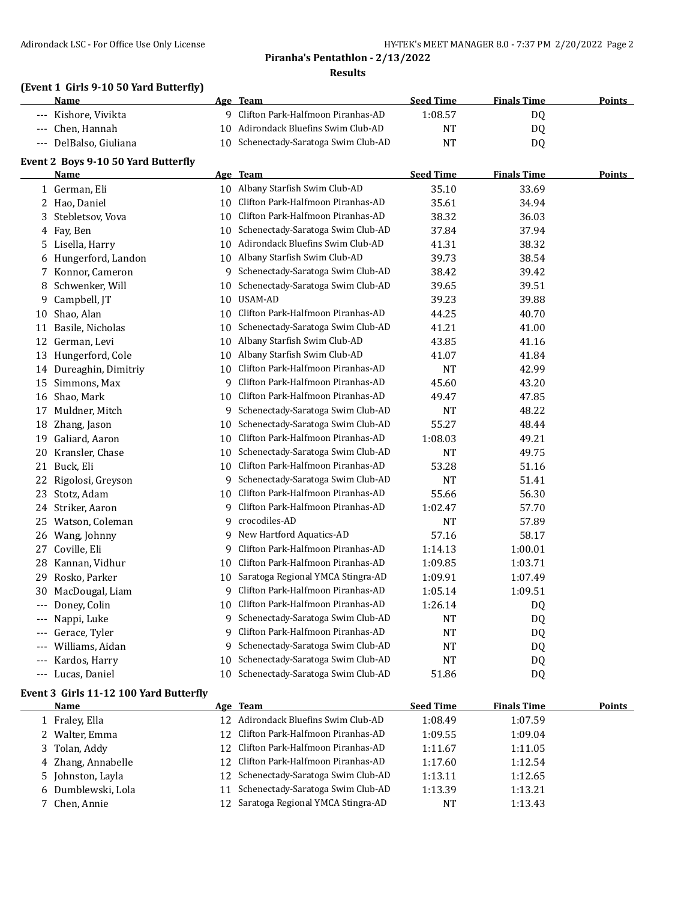#### **(Event 1 Girls 9-10 50 Yard Butterfly)**

|                     | Name                                   |    | Age Team                                                               | <b>Seed Time</b> | <b>Finals Time</b>     | <b>Points</b> |
|---------------------|----------------------------------------|----|------------------------------------------------------------------------|------------------|------------------------|---------------|
|                     | Kishore, Vivikta                       |    | 9 Clifton Park-Halfmoon Piranhas-AD                                    | 1:08.57          | DQ                     |               |
| $\qquad \qquad - -$ | Chen, Hannah                           | 10 | Adirondack Bluefins Swim Club-AD                                       | <b>NT</b>        | DQ                     |               |
| $---$               | DelBalso, Giuliana                     |    | 10 Schenectady-Saratoga Swim Club-AD                                   | <b>NT</b>        | DQ                     |               |
|                     | Event 2 Boys 9-10 50 Yard Butterfly    |    |                                                                        |                  |                        |               |
|                     | <b>Name</b>                            |    | Age Team                                                               | <b>Seed Time</b> | <b>Finals Time</b>     | <b>Points</b> |
|                     | 1 German, Eli                          |    | 10 Albany Starfish Swim Club-AD                                        | 35.10            | 33.69                  |               |
|                     | 2 Hao, Daniel                          | 10 | Clifton Park-Halfmoon Piranhas-AD                                      | 35.61            | 34.94                  |               |
| 3                   | Stebletsov, Vova                       | 10 | Clifton Park-Halfmoon Piranhas-AD                                      | 38.32            | 36.03                  |               |
| 4                   | Fay, Ben                               | 10 | Schenectady-Saratoga Swim Club-AD                                      | 37.84            | 37.94                  |               |
|                     | 5 Lisella, Harry                       | 10 | Adirondack Bluefins Swim Club-AD                                       | 41.31            | 38.32                  |               |
| 6                   | Hungerford, Landon                     | 10 | Albany Starfish Swim Club-AD                                           | 39.73            | 38.54                  |               |
| 7                   | Konnor, Cameron                        | 9  | Schenectady-Saratoga Swim Club-AD                                      | 38.42            | 39.42                  |               |
| 8                   | Schwenker, Will                        | 10 | Schenectady-Saratoga Swim Club-AD                                      | 39.65            | 39.51                  |               |
| 9                   | Campbell, JT                           | 10 | USAM-AD                                                                | 39.23            | 39.88                  |               |
| 10                  | Shao, Alan                             | 10 | Clifton Park-Halfmoon Piranhas-AD                                      | 44.25            | 40.70                  |               |
| 11                  | Basile, Nicholas                       | 10 | Schenectady-Saratoga Swim Club-AD                                      | 41.21            | 41.00                  |               |
| 12                  | German, Levi                           | 10 | Albany Starfish Swim Club-AD                                           | 43.85            | 41.16                  |               |
|                     | 13 Hungerford, Cole                    | 10 | Albany Starfish Swim Club-AD                                           | 41.07            | 41.84                  |               |
| 14                  | Dureaghin, Dimitriy                    | 10 | Clifton Park-Halfmoon Piranhas-AD                                      | <b>NT</b>        | 42.99                  |               |
| 15                  | Simmons, Max                           | 9  | Clifton Park-Halfmoon Piranhas-AD                                      | 45.60            | 43.20                  |               |
| 16                  | Shao, Mark                             | 10 | Clifton Park-Halfmoon Piranhas-AD                                      | 49.47            | 47.85                  |               |
| 17                  | Muldner, Mitch                         | 9  | Schenectady-Saratoga Swim Club-AD                                      | <b>NT</b>        | 48.22                  |               |
| 18                  | Zhang, Jason                           | 10 | Schenectady-Saratoga Swim Club-AD                                      | 55.27            | 48.44                  |               |
| 19                  | Galiard, Aaron                         | 10 | Clifton Park-Halfmoon Piranhas-AD                                      | 1:08.03          | 49.21                  |               |
| 20                  | Kransler, Chase                        | 10 | Schenectady-Saratoga Swim Club-AD                                      | <b>NT</b>        | 49.75                  |               |
| 21                  | Buck, Eli                              | 10 | Clifton Park-Halfmoon Piranhas-AD                                      | 53.28            | 51.16                  |               |
| 22                  | Rigolosi, Greyson                      | 9  | Schenectady-Saratoga Swim Club-AD                                      | <b>NT</b>        | 51.41                  |               |
|                     | Stotz, Adam                            | 10 | Clifton Park-Halfmoon Piranhas-AD                                      | 55.66            | 56.30                  |               |
| 23<br>24            | Striker, Aaron                         | 9  | Clifton Park-Halfmoon Piranhas-AD                                      | 1:02.47          | 57.70                  |               |
|                     | Watson, Coleman                        | 9  | crocodiles-AD                                                          | <b>NT</b>        | 57.89                  |               |
| 25                  |                                        | 9  | New Hartford Aquatics-AD                                               | 57.16            | 58.17                  |               |
| 26                  | Wang, Johnny<br>Coville, Eli           | 9  | Clifton Park-Halfmoon Piranhas-AD                                      |                  | 1:00.01                |               |
| 27                  | Kannan, Vidhur                         | 10 | Clifton Park-Halfmoon Piranhas-AD                                      | 1:14.13          | 1:03.71                |               |
| 28.<br>29           | Rosko, Parker                          | 10 | Saratoga Regional YMCA Stingra-AD                                      | 1:09.85          |                        |               |
|                     |                                        |    | 9 Clifton Park-Halfmoon Piranhas-AD                                    | 1:09.91          | 1:07.49                |               |
| 30                  | MacDougal, Liam                        |    | 10 Clifton Park-Halfmoon Piranhas-AD                                   | 1:05.14          | 1:09.51                |               |
|                     | --- Doney, Colin                       |    |                                                                        | 1:26.14          | $\mathbf{D}\mathbf{Q}$ |               |
|                     | --- Nappi, Luke                        | 9  | Schenectady-Saratoga Swim Club-AD<br>Clifton Park-Halfmoon Piranhas-AD | <b>NT</b>        | DQ                     |               |
|                     | Gerace, Tyler                          | 9  |                                                                        | NT               | DQ                     |               |
| $---$               | Williams, Aidan                        | 9  | Schenectady-Saratoga Swim Club-AD                                      | NT               | DQ                     |               |
| ---                 | Kardos, Harry                          | 10 | Schenectady-Saratoga Swim Club-AD                                      | <b>NT</b>        | DQ                     |               |
| $---$               | Lucas, Daniel                          | 10 | Schenectady-Saratoga Swim Club-AD                                      | 51.86            | DQ                     |               |
|                     | Event 3 Girls 11-12 100 Yard Butterfly |    |                                                                        |                  |                        |               |
|                     | <b>Name</b>                            |    | Age Team                                                               | <b>Seed Time</b> | <b>Finals Time</b>     | <b>Points</b> |
|                     | 1 Fraley, Ella                         |    | 12 Adirondack Bluefins Swim Club-AD                                    | 1:08.49          | 1:07.59                |               |
|                     | $TAT-1$                                |    | Clifton Darly Holfmoon Dirophoe AD                                     | 1.00 F           | 1.00 $01$              |               |

| 1 Fraley, Ella     | 12 Adirondack Bluefins Swim Club-AD      | 1:08.49   | 1:07.59 |  |
|--------------------|------------------------------------------|-----------|---------|--|
| 2 Walter, Emma     | 12 Clifton Park-Halfmoon Piranhas-AD     | 1:09.55   | 1:09.04 |  |
| 3 Tolan, Addy      | 12 Clifton Park-Halfmoon Piranhas-AD     | 1:11.67   | 1:11.05 |  |
| 4 Zhang, Annabelle | 12 Clifton Park-Halfmoon Piranhas-AD     | 1:17.60   | 1:12.54 |  |
| 5 Johnston, Layla  | 12 Schenectady-Saratoga Swim Club-AD     | 1:13.11   | 1:12.65 |  |
| 6 Dumblewski, Lola | 11 Schenectady-Saratoga Swim Club-AD     | 1:13.39   | 1:13.21 |  |
| 7 Chen, Annie      | Saratoga Regional YMCA Stingra-AD<br>12. | <b>NT</b> | 1:13.43 |  |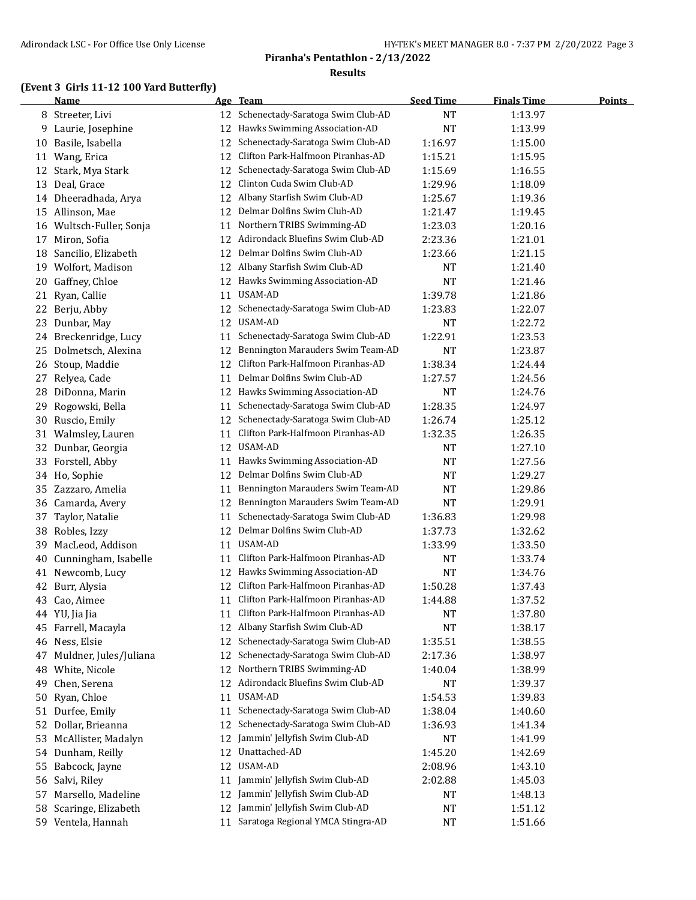## **(Event 3 Girls 11-12 100 Yard Butterfly)**

|    | <b>Name</b>            |    | Age Team                          | <b>Seed Time</b> | <b>Finals Time</b> | <b>Points</b> |
|----|------------------------|----|-----------------------------------|------------------|--------------------|---------------|
|    | 8 Streeter, Livi       | 12 | Schenectady-Saratoga Swim Club-AD | NT               | 1:13.97            |               |
|    | 9 Laurie, Josephine    | 12 | Hawks Swimming Association-AD     | <b>NT</b>        | 1:13.99            |               |
| 10 | Basile, Isabella       | 12 | Schenectady-Saratoga Swim Club-AD | 1:16.97          | 1:15.00            |               |
|    | 11 Wang, Erica         | 12 | Clifton Park-Halfmoon Piranhas-AD | 1:15.21          | 1:15.95            |               |
| 12 | Stark, Mya Stark       | 12 | Schenectady-Saratoga Swim Club-AD | 1:15.69          | 1:16.55            |               |
| 13 | Deal, Grace            | 12 | Clinton Cuda Swim Club-AD         | 1:29.96          | 1:18.09            |               |
|    | 14 Dheeradhada, Arya   | 12 | Albany Starfish Swim Club-AD      | 1:25.67          | 1:19.36            |               |
| 15 | Allinson, Mae          | 12 | Delmar Dolfins Swim Club-AD       | 1:21.47          | 1:19.45            |               |
| 16 | Wultsch-Fuller, Sonja  | 11 | Northern TRIBS Swimming-AD        | 1:23.03          | 1:20.16            |               |
| 17 | Miron, Sofia           | 12 | Adirondack Bluefins Swim Club-AD  | 2:23.36          | 1:21.01            |               |
| 18 | Sancilio, Elizabeth    | 12 | Delmar Dolfins Swim Club-AD       | 1:23.66          | 1:21.15            |               |
| 19 | Wolfort, Madison       | 12 | Albany Starfish Swim Club-AD      | <b>NT</b>        | 1:21.40            |               |
| 20 | Gaffney, Chloe         | 12 | Hawks Swimming Association-AD     | <b>NT</b>        | 1:21.46            |               |
| 21 | Ryan, Callie           | 11 | USAM-AD                           | 1:39.78          | 1:21.86            |               |
| 22 | Berju, Abby            | 12 | Schenectady-Saratoga Swim Club-AD | 1:23.83          | 1:22.07            |               |
| 23 | Dunbar, May            | 12 | USAM-AD                           | <b>NT</b>        | 1:22.72            |               |
| 24 | Breckenridge, Lucy     | 11 | Schenectady-Saratoga Swim Club-AD | 1:22.91          | 1:23.53            |               |
| 25 | Dolmetsch, Alexina     | 12 | Bennington Marauders Swim Team-AD | <b>NT</b>        | 1:23.87            |               |
|    | 26 Stoup, Maddie       | 12 | Clifton Park-Halfmoon Piranhas-AD | 1:38.34          | 1:24.44            |               |
| 27 | Relyea, Cade           | 11 | Delmar Dolfins Swim Club-AD       | 1:27.57          | 1:24.56            |               |
|    | 28 DiDonna, Marin      |    | 12 Hawks Swimming Association-AD  | NT               | 1:24.76            |               |
| 29 | Rogowski, Bella        | 11 | Schenectady-Saratoga Swim Club-AD | 1:28.35          | 1:24.97            |               |
| 30 | Ruscio, Emily          | 12 | Schenectady-Saratoga Swim Club-AD | 1:26.74          | 1:25.12            |               |
| 31 | Walmsley, Lauren       | 11 | Clifton Park-Halfmoon Piranhas-AD | 1:32.35          | 1:26.35            |               |
| 32 | Dunbar, Georgia        | 12 | USAM-AD                           | NT               | 1:27.10            |               |
| 33 | Forstell, Abby         | 11 | Hawks Swimming Association-AD     | <b>NT</b>        | 1:27.56            |               |
| 34 | Ho, Sophie             | 12 | Delmar Dolfins Swim Club-AD       | <b>NT</b>        | 1:29.27            |               |
|    |                        | 11 | Bennington Marauders Swim Team-AD | <b>NT</b>        | 1:29.86            |               |
| 35 | Zazzaro, Amelia        |    | Bennington Marauders Swim Team-AD | <b>NT</b>        |                    |               |
| 36 | Camarda, Avery         | 12 | Schenectady-Saratoga Swim Club-AD |                  | 1:29.91            |               |
| 37 | Taylor, Natalie        | 11 | Delmar Dolfins Swim Club-AD       | 1:36.83          | 1:29.98            |               |
| 38 | Robles, Izzy           | 12 |                                   | 1:37.73          | 1:32.62            |               |
| 39 | MacLeod, Addison       | 11 | USAM-AD                           | 1:33.99          | 1:33.50            |               |
| 40 | Cunningham, Isabelle   | 11 | Clifton Park-Halfmoon Piranhas-AD | NT               | 1:33.74            |               |
| 41 | Newcomb, Lucy          | 12 | Hawks Swimming Association-AD     | <b>NT</b>        | 1:34.76            |               |
| 42 | Burr, Alysia           | 12 | Clifton Park-Halfmoon Piranhas-AD | 1:50.28          | 1:37.43            |               |
|    | 43 Cao, Aimee          | 11 | Clifton Park-Halfmoon Piranhas-AD | 1:44.88          | 1:37.52            |               |
|    | 44 YU, Jia Jia         | 11 | Clifton Park-Halfmoon Piranhas-AD | <b>NT</b>        | 1:37.80            |               |
| 45 | Farrell, Macayla       | 12 | Albany Starfish Swim Club-AD      | <b>NT</b>        | 1:38.17            |               |
|    | 46 Ness, Elsie         | 12 | Schenectady-Saratoga Swim Club-AD | 1:35.51          | 1:38.55            |               |
| 47 | Muldner, Jules/Juliana | 12 | Schenectady-Saratoga Swim Club-AD | 2:17.36          | 1:38.97            |               |
| 48 | White, Nicole          | 12 | Northern TRIBS Swimming-AD        | 1:40.04          | 1:38.99            |               |
| 49 | Chen, Serena           | 12 | Adirondack Bluefins Swim Club-AD  | <b>NT</b>        | 1:39.37            |               |
| 50 | Ryan, Chloe            | 11 | USAM-AD                           | 1:54.53          | 1:39.83            |               |
| 51 | Durfee, Emily          | 11 | Schenectady-Saratoga Swim Club-AD | 1:38.04          | 1:40.60            |               |
| 52 | Dollar, Brieanna       | 12 | Schenectady-Saratoga Swim Club-AD | 1:36.93          | 1:41.34            |               |
| 53 | McAllister, Madalyn    | 12 | Jammin' Jellyfish Swim Club-AD    | NT               | 1:41.99            |               |
| 54 | Dunham, Reilly         | 12 | Unattached-AD                     | 1:45.20          | 1:42.69            |               |
| 55 | Babcock, Jayne         | 12 | USAM-AD                           | 2:08.96          | 1:43.10            |               |
| 56 | Salvi, Riley           | 11 | Jammin' Jellyfish Swim Club-AD    | 2:02.88          | 1:45.03            |               |
| 57 | Marsello, Madeline     | 12 | Jammin' Jellyfish Swim Club-AD    | NT               | 1:48.13            |               |
| 58 | Scaringe, Elizabeth    | 12 | Jammin' Jellyfish Swim Club-AD    | <b>NT</b>        | 1:51.12            |               |
|    | 59 Ventela, Hannah     | 11 | Saratoga Regional YMCA Stingra-AD | $\rm{NT}$        | 1:51.66            |               |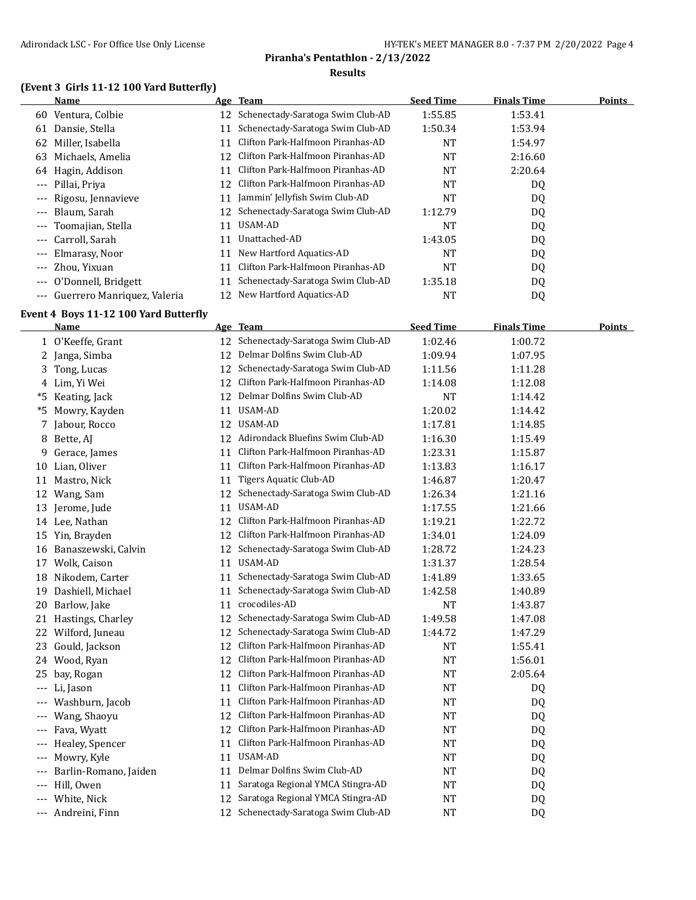## **(Event 3 Girls 11-12 100 Yard Butterfly)**

|                     | Name                        |    | Age Team                             | <b>Seed Time</b> | <b>Finals Time</b> | <b>Points</b> |
|---------------------|-----------------------------|----|--------------------------------------|------------------|--------------------|---------------|
| 60                  | Ventura, Colbie             |    | 12 Schenectady-Saratoga Swim Club-AD | 1:55.85          | 1:53.41            |               |
| 61                  | Dansie, Stella              | 11 | Schenectady-Saratoga Swim Club-AD    | 1:50.34          | 1:53.94            |               |
| 62                  | Miller, Isabella            |    | Clifton Park-Halfmoon Piranhas-AD    | NT               | 1:54.97            |               |
| 63                  | Michaels, Amelia            | 12 | Clifton Park-Halfmoon Piranhas-AD    | <b>NT</b>        | 2:16.60            |               |
| 64                  | Hagin, Addison              | 11 | Clifton Park-Halfmoon Piranhas-AD    | NT               | 2:20.64            |               |
| $---$               | Pillai, Priya               | 12 | Clifton Park-Halfmoon Piranhas-AD    | <b>NT</b>        | DQ                 |               |
| $---$               | Rigosu, Jennavieve          | 11 | Jammin' Jellyfish Swim Club-AD       | NT               | DQ                 |               |
| $---$               | Blaum, Sarah                |    | 12 Schenectady-Saratoga Swim Club-AD | 1:12.79          | DQ                 |               |
| $\qquad \qquad - -$ | Toomajian, Stella           | 11 | USAM-AD                              | NT               | DQ                 |               |
| $---$               | Carroll, Sarah              | 11 | Unattached-AD                        | 1:43.05          | DQ                 |               |
| $---$               | Elmarasy, Noor              | 11 | New Hartford Aquatics-AD             | NT               | DQ                 |               |
| $---$               | Zhou, Yixuan                | 11 | Clifton Park-Halfmoon Piranhas-AD    | NT               | DQ                 |               |
| $\qquad \qquad - -$ | O'Donnell, Bridgett         | 11 | Schenectady-Saratoga Swim Club-AD    | 1:35.18          | DQ                 |               |
| $---$               | Guerrero Manriguez, Valeria | 12 | New Hartford Aquatics-AD             | NT               | DQ                 |               |
|                     |                             |    |                                      |                  |                    |               |

#### **Event 4 Boys 11-12 100 Yard Butterfly**

|       | Name                  |    | Age Team                             | <b>Seed Time</b> | <b>Finals Time</b> | <b>Points</b> |
|-------|-----------------------|----|--------------------------------------|------------------|--------------------|---------------|
|       | 1 O'Keeffe, Grant     | 12 | Schenectady-Saratoga Swim Club-AD    | 1:02.46          | 1:00.72            |               |
|       | 2 Janga, Simba        | 12 | Delmar Dolfins Swim Club-AD          | 1:09.94          | 1:07.95            |               |
| 3.    | Tong, Lucas           | 12 | Schenectady-Saratoga Swim Club-AD    | 1:11.56          | 1:11.28            |               |
|       | 4 Lim, Yi Wei         | 12 | Clifton Park-Halfmoon Piranhas-AD    | 1:14.08          | 1:12.08            |               |
| *5    | Keating, Jack         | 12 | Delmar Dolfins Swim Club-AD          | <b>NT</b>        | 1:14.42            |               |
| *5    | Mowry, Kayden         | 11 | USAM-AD                              | 1:20.02          | 1:14.42            |               |
| 7     | Jabour, Rocco         | 12 | <b>USAM-AD</b>                       | 1:17.81          | 1:14.85            |               |
| 8     | Bette, AJ             | 12 | Adirondack Bluefins Swim Club-AD     | 1:16.30          | 1:15.49            |               |
| 9     | Gerace, James         | 11 | Clifton Park-Halfmoon Piranhas-AD    | 1:23.31          | 1:15.87            |               |
| 10    | Lian, Oliver          | 11 | Clifton Park-Halfmoon Piranhas-AD    | 1:13.83          | 1:16.17            |               |
| 11    | Mastro, Nick          | 11 | Tigers Aquatic Club-AD               | 1:46.87          | 1:20.47            |               |
| 12    | Wang, Sam             | 12 | Schenectady-Saratoga Swim Club-AD    | 1:26.34          | 1:21.16            |               |
| 13    | Jerome, Jude          | 11 | <b>USAM-AD</b>                       | 1:17.55          | 1:21.66            |               |
|       | 14 Lee, Nathan        | 12 | Clifton Park-Halfmoon Piranhas-AD    | 1:19.21          | 1:22.72            |               |
| 15    | Yin, Brayden          | 12 | Clifton Park-Halfmoon Piranhas-AD    | 1:34.01          | 1:24.09            |               |
| 16    | Banaszewski, Calvin   | 12 | Schenectady-Saratoga Swim Club-AD    | 1:28.72          | 1:24.23            |               |
| 17    | Wolk, Caison          | 11 | USAM-AD                              | 1:31.37          | 1:28.54            |               |
|       | 18 Nikodem, Carter    | 11 | Schenectady-Saratoga Swim Club-AD    | 1:41.89          | 1:33.65            |               |
| 19    | Dashiell, Michael     | 11 | Schenectady-Saratoga Swim Club-AD    | 1:42.58          | 1:40.89            |               |
| 20    | Barlow, Jake          | 11 | crocodiles-AD                        | <b>NT</b>        | 1:43.87            |               |
| 21    | Hastings, Charley     | 12 | Schenectady-Saratoga Swim Club-AD    | 1:49.58          | 1:47.08            |               |
| 22    | Wilford, Juneau       | 12 | Schenectady-Saratoga Swim Club-AD    | 1:44.72          | 1:47.29            |               |
| 23    | Gould, Jackson        | 12 | Clifton Park-Halfmoon Piranhas-AD    | <b>NT</b>        | 1:55.41            |               |
| 24    | Wood, Ryan            | 12 | Clifton Park-Halfmoon Piranhas-AD    | NT               | 1:56.01            |               |
| 25    | bay, Rogan            | 12 | Clifton Park-Halfmoon Piranhas-AD    | NT               | 2:05.64            |               |
| $---$ | Li, Jason             | 11 | Clifton Park-Halfmoon Piranhas-AD    | NT               | DQ                 |               |
|       | Washburn, Jacob       | 11 | Clifton Park-Halfmoon Piranhas-AD    | <b>NT</b>        | DQ                 |               |
|       | Wang, Shaoyu          | 12 | Clifton Park-Halfmoon Piranhas-AD    | <b>NT</b>        | DQ                 |               |
|       | Fava, Wyatt           | 12 | Clifton Park-Halfmoon Piranhas-AD    | <b>NT</b>        | DQ                 |               |
|       | Healey, Spencer       | 11 | Clifton Park-Halfmoon Piranhas-AD    | NT               | DQ                 |               |
| $---$ | Mowry, Kyle           | 11 | USAM-AD                              | <b>NT</b>        | DQ                 |               |
|       | Barlin-Romano, Jaiden | 11 | Delmar Dolfins Swim Club-AD          | NT               | DQ                 |               |
|       | Hill, Owen            | 11 | Saratoga Regional YMCA Stingra-AD    | NT               | DQ                 |               |
| $---$ | White, Nick           | 12 | Saratoga Regional YMCA Stingra-AD    | NT               | DQ                 |               |
| $---$ | Andreini, Finn        |    | 12 Schenectady-Saratoga Swim Club-AD | <b>NT</b>        | <b>DQ</b>          |               |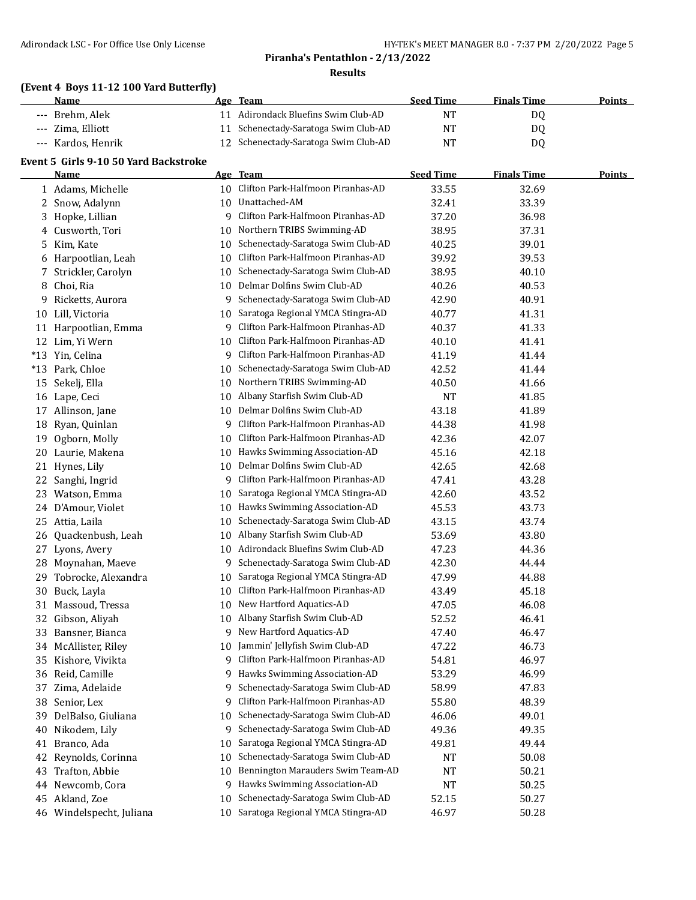|       | Results                                 |    |                                      |                  |                    |               |  |
|-------|-----------------------------------------|----|--------------------------------------|------------------|--------------------|---------------|--|
|       | (Event 4 Boys 11-12 100 Yard Butterfly) |    | Age Team                             | <b>Seed Time</b> | <b>Finals Time</b> | <b>Points</b> |  |
| $---$ | Name<br>Brehm, Alek                     |    | 11 Adirondack Bluefins Swim Club-AD  | <b>NT</b>        |                    |               |  |
|       | Zima, Elliott                           | 11 | Schenectady-Saratoga Swim Club-AD    | <b>NT</b>        | DQ                 |               |  |
| $---$ |                                         | 12 | Schenectady-Saratoga Swim Club-AD    |                  | DQ                 |               |  |
| $---$ | Kardos, Henrik                          |    |                                      | <b>NT</b>        | DQ                 |               |  |
|       | Event 5 Girls 9-10 50 Yard Backstroke   |    |                                      |                  |                    |               |  |
|       | Name                                    |    | Age Team                             | <b>Seed Time</b> | <b>Finals Time</b> | <b>Points</b> |  |
|       | 1 Adams, Michelle                       |    | 10 Clifton Park-Halfmoon Piranhas-AD | 33.55            | 32.69              |               |  |
|       | 2 Snow, Adalynn                         |    | 10 Unattached-AM                     | 32.41            | 33.39              |               |  |
|       | 3 Hopke, Lillian                        | 9. | Clifton Park-Halfmoon Piranhas-AD    | 37.20            | 36.98              |               |  |
|       | 4 Cusworth, Tori                        | 10 | Northern TRIBS Swimming-AD           | 38.95            | 37.31              |               |  |
| 5.    | Kim, Kate                               | 10 | Schenectady-Saratoga Swim Club-AD    | 40.25            | 39.01              |               |  |
|       | 6 Harpootlian, Leah                     | 10 | Clifton Park-Halfmoon Piranhas-AD    | 39.92            | 39.53              |               |  |
| 7     | Strickler, Carolyn                      |    | 10 Schenectady-Saratoga Swim Club-AD | 38.95            | 40.10              |               |  |
| 8     | Choi, Ria                               | 10 | Delmar Dolfins Swim Club-AD          | 40.26            | 40.53              |               |  |
| 9     | Ricketts, Aurora                        |    | 9 Schenectady-Saratoga Swim Club-AD  | 42.90            | 40.91              |               |  |
| 10    | Lill, Victoria                          | 10 | Saratoga Regional YMCA Stingra-AD    | 40.77            | 41.31              |               |  |
| 11    | Harpootlian, Emma                       |    | 9 Clifton Park-Halfmoon Piranhas-AD  | 40.37            | 41.33              |               |  |
| 12    | Lim, Yi Wern                            |    | 10 Clifton Park-Halfmoon Piranhas-AD | 40.10            | 41.41              |               |  |
|       | *13 Yin, Celina                         |    | 9 Clifton Park-Halfmoon Piranhas-AD  | 41.19            | 41.44              |               |  |
| $*13$ | Park, Chloe                             | 10 | Schenectady-Saratoga Swim Club-AD    | 42.52            | 41.44              |               |  |
| 15    | Sekelj, Ella                            | 10 | Northern TRIBS Swimming-AD           | 40.50            | 41.66              |               |  |
|       | 16 Lape, Ceci                           | 10 | Albany Starfish Swim Club-AD         | <b>NT</b>        | 41.85              |               |  |
|       | 17 Allinson, Jane                       |    | 10 Delmar Dolfins Swim Club-AD       | 43.18            | 41.89              |               |  |
|       | 18 Ryan, Quinlan                        |    | 9 Clifton Park-Halfmoon Piranhas-AD  | 44.38            | 41.98              |               |  |
| 19    | Ogborn, Molly                           | 10 | Clifton Park-Halfmoon Piranhas-AD    | 42.36            | 42.07              |               |  |
|       | 20 Laurie, Makena                       |    | 10 Hawks Swimming Association-AD     | 45.16            | 42.18              |               |  |
| 21    | Hynes, Lily                             | 10 | Delmar Dolfins Swim Club-AD          | 42.65            | 42.68              |               |  |
| 22    | Sanghi, Ingrid                          | 9  | Clifton Park-Halfmoon Piranhas-AD    | 47.41            | 43.28              |               |  |
| 23    | Watson, Emma                            | 10 | Saratoga Regional YMCA Stingra-AD    | 42.60            | 43.52              |               |  |
|       | 24 D'Amour, Violet                      |    | 10 Hawks Swimming Association-AD     | 45.53            | 43.73              |               |  |
| 25    | Attia, Laila                            | 10 | Schenectady-Saratoga Swim Club-AD    | 43.15            | 43.74              |               |  |
| 26    | Quackenbush, Leah                       | 10 | Albany Starfish Swim Club-AD         | 53.69            | 43.80              |               |  |
| 27    | Lyons, Avery                            |    | 10 Adirondack Bluefins Swim Club-AD  | 47.23            | 44.36              |               |  |
| 28    | Moynahan, Maeve                         |    | 9 Schenectady-Saratoga Swim Club-AD  | 42.30            | 44.44              |               |  |
| 29    | Tobrocke, Alexandra                     |    | 10 Saratoga Regional YMCA Stingra-AD | 47.99            | 44.88              |               |  |
|       | 30 Buck, Layla                          | 10 | Clifton Park-Halfmoon Piranhas-AD    | 43.49            | 45.18              |               |  |
| 31    | Massoud, Tressa                         | 10 | New Hartford Aquatics-AD             | 47.05            | 46.08              |               |  |
| 32    | Gibson, Aliyah                          | 10 | Albany Starfish Swim Club-AD         | 52.52            | 46.41              |               |  |
| 33    | Bansner, Bianca                         | 9. | New Hartford Aquatics-AD             | 47.40            | 46.47              |               |  |
| 34    | McAllister, Riley                       | 10 | Jammin' Jellyfish Swim Club-AD       | 47.22            | 46.73              |               |  |
| 35    | Kishore, Vivikta                        | 9  | Clifton Park-Halfmoon Piranhas-AD    | 54.81            | 46.97              |               |  |
| 36    | Reid, Camille                           | 9  | Hawks Swimming Association-AD        | 53.29            | 46.99              |               |  |
| 37    | Zima, Adelaide                          | 9  | Schenectady-Saratoga Swim Club-AD    | 58.99            | 47.83              |               |  |
|       | 38 Senior, Lex                          | 9. | Clifton Park-Halfmoon Piranhas-AD    | 55.80            | 48.39              |               |  |

 DelBalso, Giuliana 10 Schenectady-Saratoga Swim Club-AD 46.06 49.01 Nikodem, Lily 9 Schenectady-Saratoga Swim Club-AD 49.36 49.35 Branco, Ada 10 Saratoga Regional YMCA Stingra-AD 49.81 49.44 Reynolds, Corinna 10 Schenectady-Saratoga Swim Club-AD NT 50.08 Trafton, Abbie 10 Bennington Marauders Swim Team-AD NT 50.21 Newcomb, Cora 9 Hawks Swimming Association-AD NT 50.25 Akland, Zoe 10 Schenectady-Saratoga Swim Club-AD 52.15 50.27 Windelspecht, Juliana 10 Saratoga Regional YMCA Stingra-AD 46.97 50.28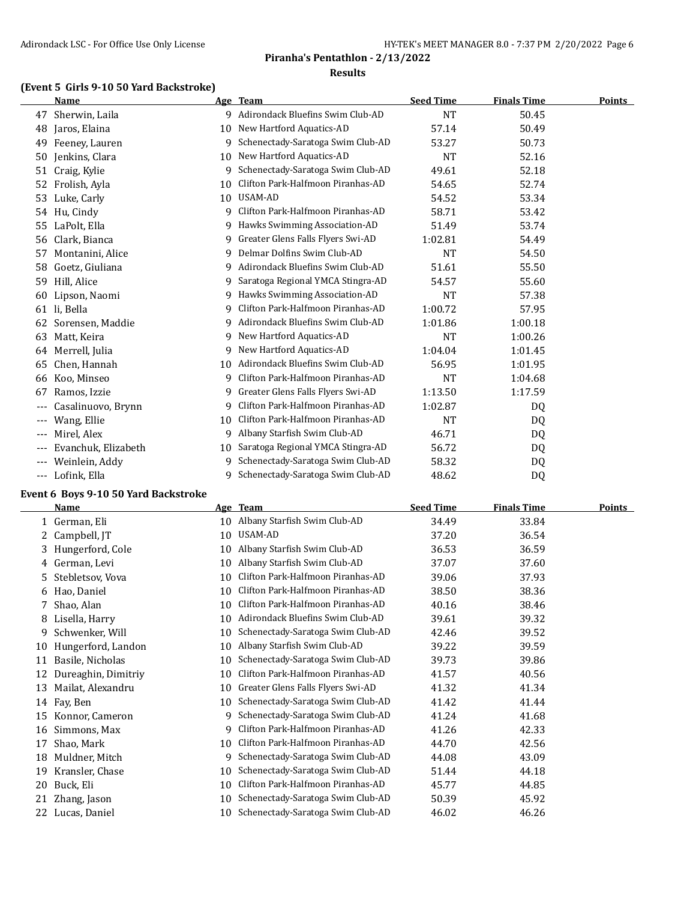#### **(Event 5 Girls 9-10 50 Yard Backstroke)**

|       | <b>Name</b>         |    | Age Team                           | <b>Seed Time</b> | <b>Finals Time</b> | <b>Points</b> |
|-------|---------------------|----|------------------------------------|------------------|--------------------|---------------|
| 47    | Sherwin, Laila      |    | 9 Adirondack Bluefins Swim Club-AD | <b>NT</b>        | 50.45              |               |
| 48    | Jaros, Elaina       | 10 | New Hartford Aquatics-AD           | 57.14            | 50.49              |               |
| 49    | Feeney, Lauren      | 9  | Schenectady-Saratoga Swim Club-AD  | 53.27            | 50.73              |               |
| 50    | Jenkins, Clara      | 10 | New Hartford Aquatics-AD           | NT               | 52.16              |               |
| 51    | Craig, Kylie        | 9  | Schenectady-Saratoga Swim Club-AD  | 49.61            | 52.18              |               |
| 52    | Frolish, Ayla       | 10 | Clifton Park-Halfmoon Piranhas-AD  | 54.65            | 52.74              |               |
| 53    | Luke, Carly         | 10 | USAM-AD                            | 54.52            | 53.34              |               |
| 54    | Hu, Cindy           | 9  | Clifton Park-Halfmoon Piranhas-AD  | 58.71            | 53.42              |               |
| 55    | LaPolt, Ella        | 9  | Hawks Swimming Association-AD      | 51.49            | 53.74              |               |
| 56    | Clark, Bianca       | 9  | Greater Glens Falls Flyers Swi-AD  | 1:02.81          | 54.49              |               |
| 57    | Montanini, Alice    | 9  | Delmar Dolfins Swim Club-AD        | <b>NT</b>        | 54.50              |               |
| 58    | Goetz, Giuliana     | 9  | Adirondack Bluefins Swim Club-AD   | 51.61            | 55.50              |               |
| 59    | Hill, Alice         | 9  | Saratoga Regional YMCA Stingra-AD  | 54.57            | 55.60              |               |
| 60    | Lipson, Naomi       | 9  | Hawks Swimming Association-AD      | <b>NT</b>        | 57.38              |               |
| 61    | li, Bella           | 9  | Clifton Park-Halfmoon Piranhas-AD  | 1:00.72          | 57.95              |               |
| 62    | Sorensen, Maddie    | 9  | Adirondack Bluefins Swim Club-AD   | 1:01.86          | 1:00.18            |               |
| 63    | Matt, Keira         | 9. | New Hartford Aquatics-AD           | <b>NT</b>        | 1:00.26            |               |
| 64    | Merrell, Julia      | 9  | New Hartford Aquatics-AD           | 1:04.04          | 1:01.45            |               |
| 65    | Chen, Hannah        | 10 | Adirondack Bluefins Swim Club-AD   | 56.95            | 1:01.95            |               |
| 66    | Koo, Minseo         | 9  | Clifton Park-Halfmoon Piranhas-AD  | NT               | 1:04.68            |               |
| 67    | Ramos, Izzie        | 9  | Greater Glens Falls Flyers Swi-AD  | 1:13.50          | 1:17.59            |               |
| ---   | Casalinuovo, Brynn  | 9  | Clifton Park-Halfmoon Piranhas-AD  | 1:02.87          | DQ                 |               |
|       | Wang, Ellie         | 10 | Clifton Park-Halfmoon Piranhas-AD  | <b>NT</b>        | DQ                 |               |
| $---$ | Mirel, Alex         | 9  | Albany Starfish Swim Club-AD       | 46.71            | DQ                 |               |
| ---   | Evanchuk, Elizabeth | 10 | Saratoga Regional YMCA Stingra-AD  | 56.72            | DQ                 |               |
|       | Weinlein, Addy      | 9  | Schenectady-Saratoga Swim Club-AD  | 58.32            | DQ                 |               |
| ---   | Lofink, Ella        | 9  | Schenectady-Saratoga Swim Club-AD  | 48.62            | D <sub>0</sub>     |               |

#### **Event 6 Boys 9-10 50 Yard Backstroke**

|    | <b>Name</b>         | Age | <b>Team</b>                       | <b>Seed Time</b> | <b>Finals Time</b> | Points |
|----|---------------------|-----|-----------------------------------|------------------|--------------------|--------|
|    | German, Eli         | 10  | Albany Starfish Swim Club-AD      | 34.49            | 33.84              |        |
| 2. | Campbell, JT        | 10  | USAM-AD                           | 37.20            | 36.54              |        |
| 3. | Hungerford, Cole    | 10  | Albany Starfish Swim Club-AD      | 36.53            | 36.59              |        |
| 4  | German, Levi        | 10  | Albany Starfish Swim Club-AD      | 37.07            | 37.60              |        |
| 5  | Stebletsov, Vova    | 10  | Clifton Park-Halfmoon Piranhas-AD | 39.06            | 37.93              |        |
| 6  | Hao, Daniel         | 10  | Clifton Park-Halfmoon Piranhas-AD | 38.50            | 38.36              |        |
|    | Shao, Alan          | 10  | Clifton Park-Halfmoon Piranhas-AD | 40.16            | 38.46              |        |
| 8  | Lisella, Harry      | 10  | Adirondack Bluefins Swim Club-AD  | 39.61            | 39.32              |        |
| 9  | Schwenker, Will     | 10  | Schenectady-Saratoga Swim Club-AD | 42.46            | 39.52              |        |
| 10 | Hungerford, Landon  | 10  | Albany Starfish Swim Club-AD      | 39.22            | 39.59              |        |
| 11 | Basile, Nicholas    | 10  | Schenectady-Saratoga Swim Club-AD | 39.73            | 39.86              |        |
|    | Dureaghin, Dimitriy | 10  | Clifton Park-Halfmoon Piranhas-AD | 41.57            | 40.56              |        |
| 13 | Mailat, Alexandru   | 10  | Greater Glens Falls Flyers Swi-AD | 41.32            | 41.34              |        |
| 14 | Fay, Ben            | 10  | Schenectady-Saratoga Swim Club-AD | 41.42            | 41.44              |        |
| 15 | Konnor, Cameron     | 9   | Schenectady-Saratoga Swim Club-AD | 41.24            | 41.68              |        |
| 16 | Simmons, Max        | 9   | Clifton Park-Halfmoon Piranhas-AD | 41.26            | 42.33              |        |
| 17 | Shao, Mark          | 10  | Clifton Park-Halfmoon Piranhas-AD | 44.70            | 42.56              |        |
| 18 | Muldner, Mitch      | 9   | Schenectady-Saratoga Swim Club-AD | 44.08            | 43.09              |        |
| 19 | Kransler, Chase     | 10  | Schenectady-Saratoga Swim Club-AD | 51.44            | 44.18              |        |
| 20 | Buck, Eli           | 10  | Clifton Park-Halfmoon Piranhas-AD | 45.77            | 44.85              |        |
| 21 | Zhang, Jason        | 10  | Schenectady-Saratoga Swim Club-AD | 50.39            | 45.92              |        |
| 22 | Lucas, Daniel       | 10  | Schenectady-Saratoga Swim Club-AD | 46.02            | 46.26              |        |
|    |                     |     |                                   |                  |                    |        |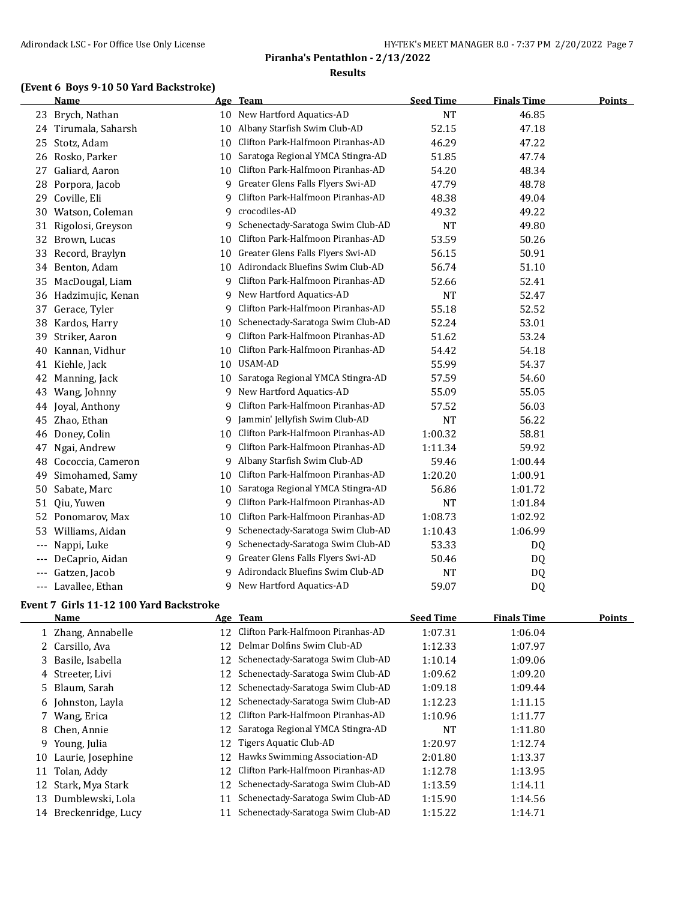#### **(Event 6 Boys 9-10 50 Yard Backstroke)**

|                   | Name               |    | Age Team                            | <b>Seed Time</b> | <b>Finals Time</b> | <b>Points</b> |
|-------------------|--------------------|----|-------------------------------------|------------------|--------------------|---------------|
| 23                | Brych, Nathan      |    | 10 New Hartford Aquatics-AD         | <b>NT</b>        | 46.85              |               |
| 24                | Tirumala, Saharsh  | 10 | Albany Starfish Swim Club-AD        | 52.15            | 47.18              |               |
| 25                | Stotz, Adam        | 10 | Clifton Park-Halfmoon Piranhas-AD   | 46.29            | 47.22              |               |
| 26                | Rosko, Parker      | 10 | Saratoga Regional YMCA Stingra-AD   | 51.85            | 47.74              |               |
| 27                | Galiard, Aaron     | 10 | Clifton Park-Halfmoon Piranhas-AD   | 54.20            | 48.34              |               |
| 28                | Porpora, Jacob     | 9  | Greater Glens Falls Flyers Swi-AD   | 47.79            | 48.78              |               |
| 29                | Coville, Eli       | 9  | Clifton Park-Halfmoon Piranhas-AD   | 48.38            | 49.04              |               |
|                   | 30 Watson, Coleman | 9  | crocodiles-AD                       | 49.32            | 49.22              |               |
| 31                | Rigolosi, Greyson  | 9  | Schenectady-Saratoga Swim Club-AD   | <b>NT</b>        | 49.80              |               |
| 32                | Brown, Lucas       | 10 | Clifton Park-Halfmoon Piranhas-AD   | 53.59            | 50.26              |               |
| 33                | Record, Braylyn    | 10 | Greater Glens Falls Flyers Swi-AD   | 56.15            | 50.91              |               |
| 34                | Benton, Adam       |    | 10 Adirondack Bluefins Swim Club-AD | 56.74            | 51.10              |               |
| 35                | MacDougal, Liam    | 9  | Clifton Park-Halfmoon Piranhas-AD   | 52.66            | 52.41              |               |
| 36                | Hadzimujic, Kenan  |    | 9 New Hartford Aquatics-AD          | <b>NT</b>        | 52.47              |               |
| 37                | Gerace, Tyler      | 9  | Clifton Park-Halfmoon Piranhas-AD   | 55.18            | 52.52              |               |
| 38                | Kardos, Harry      | 10 | Schenectady-Saratoga Swim Club-AD   | 52.24            | 53.01              |               |
| 39                | Striker, Aaron     | 9  | Clifton Park-Halfmoon Piranhas-AD   | 51.62            | 53.24              |               |
| 40                | Kannan, Vidhur     | 10 | Clifton Park-Halfmoon Piranhas-AD   | 54.42            | 54.18              |               |
| 41                | Kiehle, Jack       |    | 10 USAM-AD                          | 55.99            | 54.37              |               |
| 42                | Manning, Jack      | 10 | Saratoga Regional YMCA Stingra-AD   | 57.59            | 54.60              |               |
| 43                | Wang, Johnny       | 9  | New Hartford Aquatics-AD            | 55.09            | 55.05              |               |
| 44                | Joyal, Anthony     | 9  | Clifton Park-Halfmoon Piranhas-AD   | 57.52            | 56.03              |               |
| 45                | Zhao, Ethan        | 9  | Jammin' Jellyfish Swim Club-AD      | <b>NT</b>        | 56.22              |               |
| 46                | Doney, Colin       | 10 | Clifton Park-Halfmoon Piranhas-AD   | 1:00.32          | 58.81              |               |
| 47                | Ngai, Andrew       | 9  | Clifton Park-Halfmoon Piranhas-AD   | 1:11.34          | 59.92              |               |
| 48                | Cococcia, Cameron  | 9  | Albany Starfish Swim Club-AD        | 59.46            | 1:00.44            |               |
| 49                | Simohamed, Samy    | 10 | Clifton Park-Halfmoon Piranhas-AD   | 1:20.20          | 1:00.91            |               |
| 50                | Sabate, Marc       | 10 | Saratoga Regional YMCA Stingra-AD   | 56.86            | 1:01.72            |               |
| 51                | Qiu, Yuwen         | 9  | Clifton Park-Halfmoon Piranhas-AD   | <b>NT</b>        | 1:01.84            |               |
| 52                | Ponomarov, Max     | 10 | Clifton Park-Halfmoon Piranhas-AD   | 1:08.73          | 1:02.92            |               |
| 53                | Williams, Aidan    | 9  | Schenectady-Saratoga Swim Club-AD   | 1:10.43          | 1:06.99            |               |
| $\qquad \qquad -$ | Nappi, Luke        | 9  | Schenectady-Saratoga Swim Club-AD   | 53.33            | DQ                 |               |
| ---               | DeCaprio, Aidan    | 9  | Greater Glens Falls Flyers Swi-AD   | 50.46            | DQ                 |               |
| ---               | Gatzen, Jacob      | 9. | Adirondack Bluefins Swim Club-AD    | <b>NT</b>        | DQ                 |               |
|                   | Lavallee, Ethan    | 9  | New Hartford Aquatics-AD            | 59.07            | DQ                 |               |

# **Event 7 Girls 11-12 100 Yard Backstroke**

|    | <b>Name</b>           |    | Age Team                             | <b>Seed Time</b> | <b>Finals Time</b> | <b>Points</b> |
|----|-----------------------|----|--------------------------------------|------------------|--------------------|---------------|
|    | 1 Zhang, Annabelle    | 12 | Clifton Park-Halfmoon Piranhas-AD    | 1:07.31          | 1:06.04            |               |
|    | 2 Carsillo, Ava       | 12 | Delmar Dolfins Swim Club-AD          | 1:12.33          | 1:07.97            |               |
|    | 3 Basile, Isabella    |    | 12 Schenectady-Saratoga Swim Club-AD | 1:10.14          | 1:09.06            |               |
|    | 4 Streeter, Livi      |    | 12 Schenectady-Saratoga Swim Club-AD | 1:09.62          | 1:09.20            |               |
|    | 5 Blaum, Sarah        |    | 12 Schenectady-Saratoga Swim Club-AD | 1:09.18          | 1:09.44            |               |
|    | 6 Johnston, Layla     |    | 12 Schenectady-Saratoga Swim Club-AD | 1:12.23          | 1:11.15            |               |
|    | 7 Wang, Erica         | 12 | Clifton Park-Halfmoon Piranhas-AD    | 1:10.96          | 1:11.77            |               |
|    | 8 Chen, Annie         |    | 12 Saratoga Regional YMCA Stingra-AD | NT               | 1:11.80            |               |
| 9. | Young, Julia          | 12 | Tigers Aquatic Club-AD               | 1:20.97          | 1:12.74            |               |
| 10 | Laurie, Josephine     | 12 | Hawks Swimming Association-AD        | 2:01.80          | 1:13.37            |               |
| 11 | Tolan, Addy           | 12 | Clifton Park-Halfmoon Piranhas-AD    | 1:12.78          | 1:13.95            |               |
|    | 12 Stark, Mya Stark   |    | 12 Schenectady-Saratoga Swim Club-AD | 1:13.59          | 1:14.11            |               |
| 13 | Dumblewski, Lola      | 11 | Schenectady-Saratoga Swim Club-AD    | 1:15.90          | 1:14.56            |               |
|    | 14 Breckenridge, Lucy |    | Schenectady-Saratoga Swim Club-AD    | 1:15.22          | 1:14.71            |               |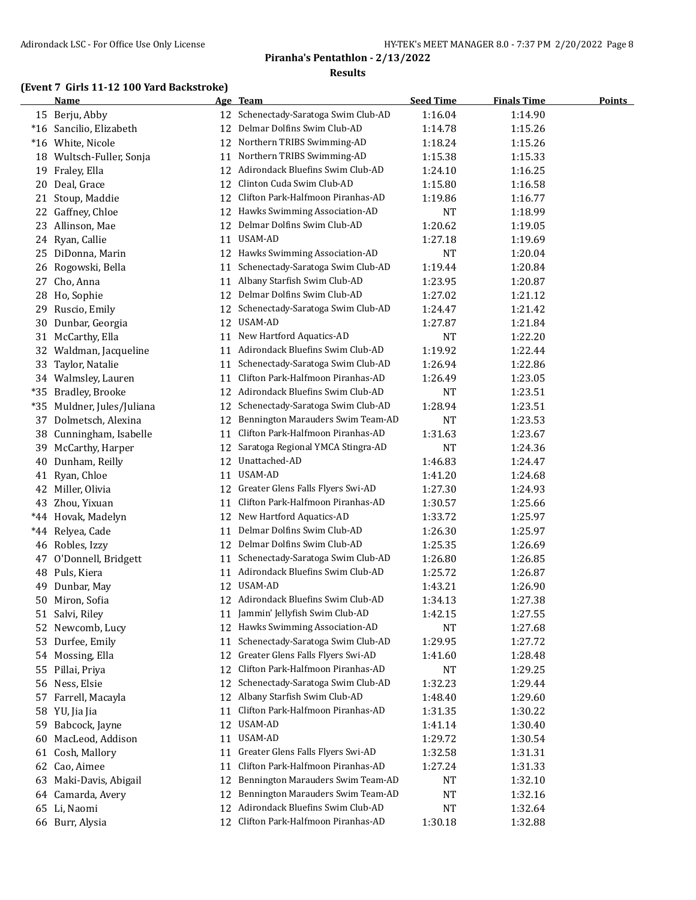## **(Event 7 Girls 11-12 100 Yard Backstroke)**

|       | <b>Name</b>             |    | Age Team                             | <b>Seed Time</b> | <b>Finals Time</b> | <b>Points</b> |
|-------|-------------------------|----|--------------------------------------|------------------|--------------------|---------------|
|       | 15 Berju, Abby          |    | 12 Schenectady-Saratoga Swim Club-AD | 1:16.04          | 1:14.90            |               |
|       | *16 Sancilio, Elizabeth | 12 | Delmar Dolfins Swim Club-AD          | 1:14.78          | 1:15.26            |               |
|       | *16 White, Nicole       | 12 | Northern TRIBS Swimming-AD           | 1:18.24          | 1:15.26            |               |
| 18    | Wultsch-Fuller, Sonja   | 11 | Northern TRIBS Swimming-AD           | 1:15.38          | 1:15.33            |               |
| 19    | Fraley, Ella            | 12 | Adirondack Bluefins Swim Club-AD     | 1:24.10          | 1:16.25            |               |
| 20    | Deal, Grace             | 12 | Clinton Cuda Swim Club-AD            | 1:15.80          | 1:16.58            |               |
| 21    | Stoup, Maddie           | 12 | Clifton Park-Halfmoon Piranhas-AD    | 1:19.86          | 1:16.77            |               |
| 22    | Gaffney, Chloe          | 12 | Hawks Swimming Association-AD        | <b>NT</b>        | 1:18.99            |               |
| 23    | Allinson, Mae           | 12 | Delmar Dolfins Swim Club-AD          | 1:20.62          | 1:19.05            |               |
| 24    | Ryan, Callie            | 11 | <b>USAM-AD</b>                       | 1:27.18          | 1:19.69            |               |
| 25    | DiDonna, Marin          | 12 | Hawks Swimming Association-AD        | NT               | 1:20.04            |               |
| 26    | Rogowski, Bella         | 11 | Schenectady-Saratoga Swim Club-AD    | 1:19.44          | 1:20.84            |               |
| 27    | Cho, Anna               | 11 | Albany Starfish Swim Club-AD         | 1:23.95          | 1:20.87            |               |
| 28    | Ho, Sophie              | 12 | Delmar Dolfins Swim Club-AD          | 1:27.02          | 1:21.12            |               |
| 29    | Ruscio, Emily           | 12 | Schenectady-Saratoga Swim Club-AD    | 1:24.47          | 1:21.42            |               |
| 30    | Dunbar, Georgia         | 12 | USAM-AD                              | 1:27.87          | 1:21.84            |               |
| 31    | McCarthy, Ella          | 11 | New Hartford Aquatics-AD             | <b>NT</b>        | 1:22.20            |               |
|       | 32 Waldman, Jacqueline  | 11 | Adirondack Bluefins Swim Club-AD     | 1:19.92          | 1:22.44            |               |
| 33    | Taylor, Natalie         | 11 | Schenectady-Saratoga Swim Club-AD    | 1:26.94          | 1:22.86            |               |
|       | 34 Walmsley, Lauren     | 11 | Clifton Park-Halfmoon Piranhas-AD    | 1:26.49          | 1:23.05            |               |
| $*35$ | Bradley, Brooke         |    | 12 Adirondack Bluefins Swim Club-AD  | <b>NT</b>        | 1:23.51            |               |
| $*35$ | Muldner, Jules/Juliana  | 12 | Schenectady-Saratoga Swim Club-AD    | 1:28.94          | 1:23.51            |               |
| 37    | Dolmetsch, Alexina      | 12 | Bennington Marauders Swim Team-AD    | <b>NT</b>        | 1:23.53            |               |
| 38    | Cunningham, Isabelle    | 11 | Clifton Park-Halfmoon Piranhas-AD    | 1:31.63          | 1:23.67            |               |
| 39    | McCarthy, Harper        | 12 | Saratoga Regional YMCA Stingra-AD    | <b>NT</b>        | 1:24.36            |               |
| 40    | Dunham, Reilly          | 12 | Unattached-AD                        | 1:46.83          | 1:24.47            |               |
| 41    | Ryan, Chloe             | 11 | USAM-AD                              | 1:41.20          | 1:24.68            |               |
| 42    | Miller, Olivia          | 12 | Greater Glens Falls Flyers Swi-AD    | 1:27.30          | 1:24.93            |               |
| 43    | Zhou, Yixuan            | 11 | Clifton Park-Halfmoon Piranhas-AD    | 1:30.57          | 1:25.66            |               |
| $*44$ | Hovak, Madelyn          | 12 | New Hartford Aquatics-AD             | 1:33.72          | 1:25.97            |               |
| $*44$ | Relyea, Cade            | 11 | Delmar Dolfins Swim Club-AD          | 1:26.30          | 1:25.97            |               |
| 46    | Robles, Izzy            | 12 | Delmar Dolfins Swim Club-AD          | 1:25.35          | 1:26.69            |               |
| 47    | O'Donnell, Bridgett     | 11 | Schenectady-Saratoga Swim Club-AD    | 1:26.80          | 1:26.85            |               |
| 48    | Puls, Kiera             |    | 11 Adirondack Bluefins Swim Club-AD  | 1:25.72          | 1:26.87            |               |
| 49    | Dunbar, May             | 12 | USAM-AD                              | 1:43.21          | 1:26.90            |               |
|       | 50 Miron, Sofia         |    | 12 Adirondack Bluefins Swim Club-AD  | 1:34.13          | 1:27.38            |               |
|       | 51 Salvi, Riley         |    | 11 Jammin' Jellyfish Swim Club-AD    | 1:42.15          | 1:27.55            |               |
| 52    | Newcomb, Lucy           | 12 | Hawks Swimming Association-AD        | <b>NT</b>        | 1:27.68            |               |
| 53    | Durfee, Emily           | 11 | Schenectady-Saratoga Swim Club-AD    | 1:29.95          | 1:27.72            |               |
|       | 54 Mossing, Ella        | 12 | Greater Glens Falls Flyers Swi-AD    | 1:41.60          | 1:28.48            |               |
| 55    | Pillai, Priya           | 12 | Clifton Park-Halfmoon Piranhas-AD    | NT               | 1:29.25            |               |
| 56    | Ness, Elsie             | 12 | Schenectady-Saratoga Swim Club-AD    | 1:32.23          | 1:29.44            |               |
| 57    | Farrell, Macayla        | 12 | Albany Starfish Swim Club-AD         | 1:48.40          | 1:29.60            |               |
|       | 58 YU, Jia Jia          | 11 | Clifton Park-Halfmoon Piranhas-AD    | 1:31.35          | 1:30.22            |               |
| 59    | Babcock, Jayne          | 12 | <b>USAM-AD</b>                       | 1:41.14          | 1:30.40            |               |
| 60    | MacLeod, Addison        | 11 | USAM-AD                              | 1:29.72          | 1:30.54            |               |
| 61    | Cosh, Mallory           | 11 | Greater Glens Falls Flyers Swi-AD    | 1:32.58          | 1:31.31            |               |
| 62    | Cao, Aimee              | 11 | Clifton Park-Halfmoon Piranhas-AD    | 1:27.24          | 1:31.33            |               |
| 63    | Maki-Davis, Abigail     | 12 | Bennington Marauders Swim Team-AD    | NT               | 1:32.10            |               |
|       | 64 Camarda, Avery       | 12 | Bennington Marauders Swim Team-AD    | NT               | 1:32.16            |               |
|       | 65 Li, Naomi            | 12 | Adirondack Bluefins Swim Club-AD     | NT               | 1:32.64            |               |
|       | 66 Burr, Alysia         |    | 12 Clifton Park-Halfmoon Piranhas-AD | 1:30.18          | 1:32.88            |               |
|       |                         |    |                                      |                  |                    |               |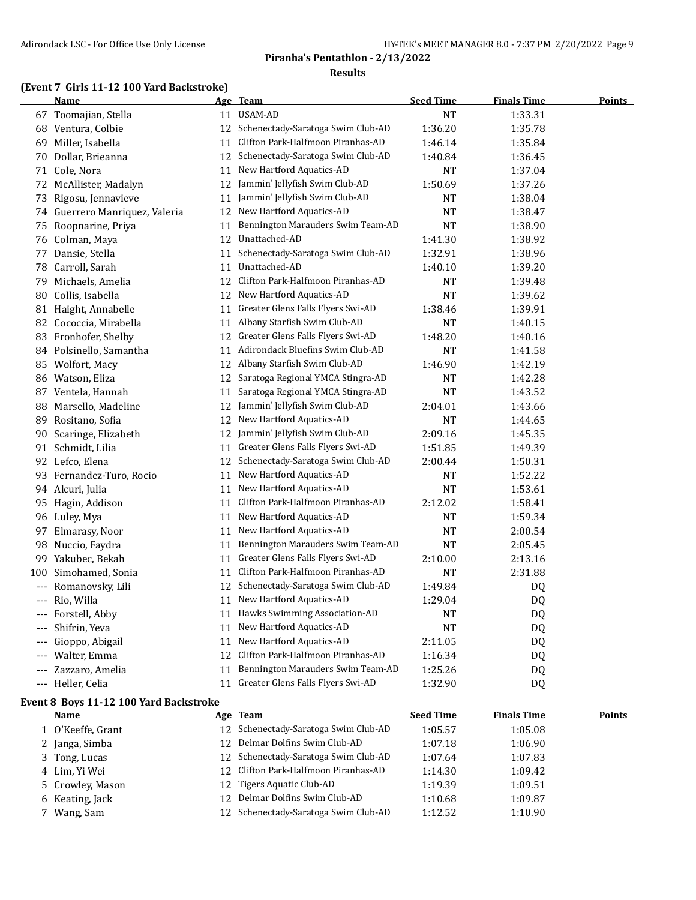#### **(Event 7 Girls 11-12 100 Yard Backstroke)**

|          | Name                           |    | <u>Age Team</u>                      | <b>Seed Time</b> | <b>Finals Time</b> | <b>Points</b> |
|----------|--------------------------------|----|--------------------------------------|------------------|--------------------|---------------|
|          | 67 Toomajian, Stella           |    | 11 USAM-AD                           | NT               | 1:33.31            |               |
|          | 68 Ventura, Colbie             |    | 12 Schenectady-Saratoga Swim Club-AD | 1:36.20          | 1:35.78            |               |
|          | 69 Miller, Isabella            | 11 | Clifton Park-Halfmoon Piranhas-AD    | 1:46.14          | 1:35.84            |               |
|          | 70 Dollar, Brieanna            |    | 12 Schenectady-Saratoga Swim Club-AD | 1:40.84          | 1:36.45            |               |
|          | 71 Cole, Nora                  | 11 | New Hartford Aquatics-AD             | NT               | 1:37.04            |               |
|          | 72 McAllister, Madalyn         | 12 | Jammin' Jellyfish Swim Club-AD       | 1:50.69          | 1:37.26            |               |
| 73       | Rigosu, Jennavieve             | 11 | Jammin' Jellyfish Swim Club-AD       | NT               | 1:38.04            |               |
|          | 74 Guerrero Manriquez, Valeria |    | 12 New Hartford Aquatics-AD          | NT               | 1:38.47            |               |
|          | 75 Roopnarine, Priya           | 11 | Bennington Marauders Swim Team-AD    | NT               | 1:38.90            |               |
|          | 76 Colman, Maya                |    | 12 Unattached-AD                     | 1:41.30          | 1:38.92            |               |
|          | 77 Dansie, Stella              | 11 | Schenectady-Saratoga Swim Club-AD    | 1:32.91          | 1:38.96            |               |
|          | 78 Carroll, Sarah              |    | 11 Unattached-AD                     | 1:40.10          | 1:39.20            |               |
| 79.      | Michaels, Amelia               | 12 | Clifton Park-Halfmoon Piranhas-AD    | NT               | 1:39.48            |               |
| 80       | Collis, Isabella               |    | 12 New Hartford Aquatics-AD          | <b>NT</b>        | 1:39.62            |               |
|          | 81 Haight, Annabelle           | 11 | Greater Glens Falls Flyers Swi-AD    | 1:38.46          | 1:39.91            |               |
|          | 82 Cococcia, Mirabella         |    | 11 Albany Starfish Swim Club-AD      | NT               | 1:40.15            |               |
|          | 83 Fronhofer, Shelby           | 12 | Greater Glens Falls Flyers Swi-AD    | 1:48.20          | 1:40.16            |               |
|          | 84 Polsinello, Samantha        | 11 | Adirondack Bluefins Swim Club-AD     | NT               | 1:41.58            |               |
|          | 85 Wolfort, Macy               | 12 | Albany Starfish Swim Club-AD         | 1:46.90          | 1:42.19            |               |
|          | 86 Watson, Eliza               |    | 12 Saratoga Regional YMCA Stingra-AD | NT               | 1:42.28            |               |
|          | 87 Ventela, Hannah             | 11 | Saratoga Regional YMCA Stingra-AD    | NT               | 1:43.52            |               |
|          | 88 Marsello, Madeline          | 12 | Jammin' Jellyfish Swim Club-AD       | 2:04.01          | 1:43.66            |               |
|          | 89 Rositano, Sofia             | 12 | New Hartford Aquatics-AD             | NT               | 1:44.65            |               |
|          | 90 Scaringe, Elizabeth         |    | 12 Jammin' Jellyfish Swim Club-AD    | 2:09.16          | 1:45.35            |               |
|          | 91 Schmidt, Lilia              |    | 11 Greater Glens Falls Flyers Swi-AD | 1:51.85          | 1:49.39            |               |
|          | 92 Lefco, Elena                |    | 12 Schenectady-Saratoga Swim Club-AD | 2:00.44          | 1:50.31            |               |
|          | 93 Fernandez-Turo, Rocio       | 11 | New Hartford Aquatics-AD             | NT               | 1:52.22            |               |
|          | 94 Alcuri, Julia               |    | 11 New Hartford Aquatics-AD          | NT               | 1:53.61            |               |
|          | 95 Hagin, Addison              | 11 | Clifton Park-Halfmoon Piranhas-AD    | 2:12.02          | 1:58.41            |               |
|          | 96 Luley, Mya                  | 11 | New Hartford Aquatics-AD             | NT               | 1:59.34            |               |
|          | 97 Elmarasy, Noor              | 11 | New Hartford Aquatics-AD             | NT               | 2:00.54            |               |
|          | 98 Nuccio, Faydra              |    | 11 Bennington Marauders Swim Team-AD | NT               | 2:05.45            |               |
|          | 99 Yakubec, Bekah              | 11 | Greater Glens Falls Flyers Swi-AD    | 2:10.00          | 2:13.16            |               |
| 100      | Simohamed, Sonia               | 11 | Clifton Park-Halfmoon Piranhas-AD    | NT               | 2:31.88            |               |
| $---$    | Romanovsky, Lili               | 12 | Schenectady-Saratoga Swim Club-AD    | 1:49.84          | DQ.                |               |
| $---$    | Rio, Willa                     |    | 11 New Hartford Aquatics-AD          | 1:29.04          | DQ                 |               |
|          | Forstell, Abby                 | 11 | Hawks Swimming Association-AD        | NT               | DQ                 |               |
|          | Shifrin, Yeva                  | 11 | New Hartford Aquatics-AD             | NT               | DQ                 |               |
|          | Gioppo, Abigail                | 11 | New Hartford Aquatics-AD             | 2:11.05          | DQ                 |               |
|          | Walter, Emma                   |    | 12 Clifton Park-Halfmoon Piranhas-AD | 1:16.34          | DQ                 |               |
|          | Zazzaro, Amelia                | 11 | Bennington Marauders Swim Team-AD    | 1:25.26          | DQ                 |               |
| $\cdots$ | Heller, Celia                  |    | 11 Greater Glens Falls Flyers Swi-AD | 1:32.90          | DQ                 |               |

#### **Event 8 Boys 11-12 100 Yard Backstroke**

| Name              | Age Team                             | <b>Seed Time</b> | <b>Finals Time</b> | Points |
|-------------------|--------------------------------------|------------------|--------------------|--------|
| 1 O'Keeffe, Grant | 12 Schenectady-Saratoga Swim Club-AD | 1:05.57          | 1:05.08            |        |
| 2 Janga, Simba    | 12 Delmar Dolfins Swim Club-AD       | 1:07.18          | 1:06.90            |        |
| 3 Tong, Lucas     | 12 Schenectady-Saratoga Swim Club-AD | 1:07.64          | 1:07.83            |        |
| 4 Lim, Yi Wei     | 12 Clifton Park-Halfmoon Piranhas-AD | 1:14.30          | 1:09.42            |        |
| 5 Crowley, Mason  | 12 Tigers Aquatic Club-AD            | 1:19.39          | 1:09.51            |        |
| 6 Keating, Jack   | 12 Delmar Dolfins Swim Club-AD       | 1:10.68          | 1:09.87            |        |
| 7 Wang, Sam       | Schenectady-Saratoga Swim Club-AD    | 1:12.52          | 1:10.90            |        |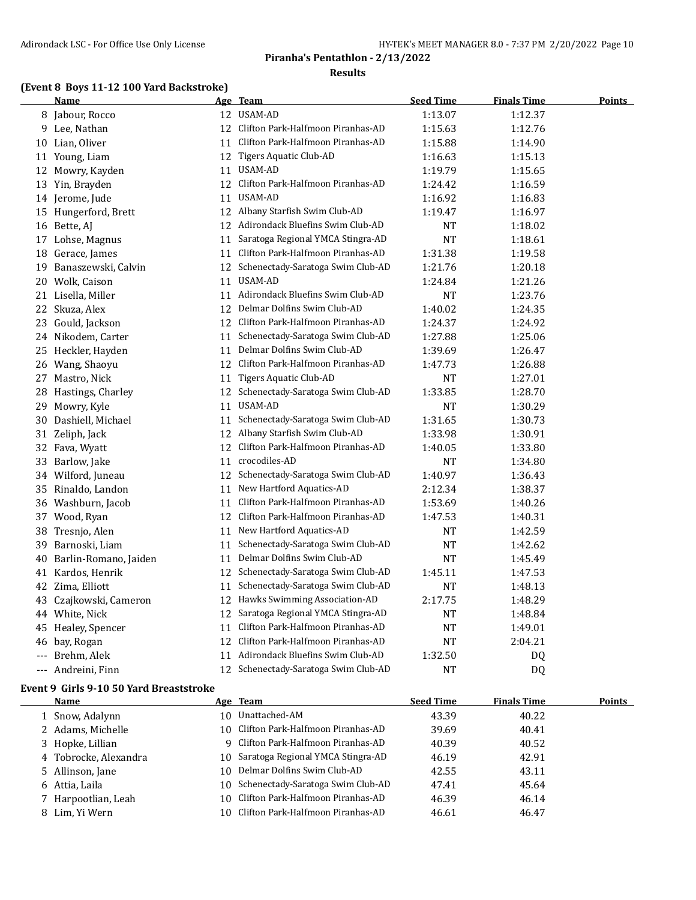#### **(Event 8 Boys 11-12 100 Yard Backstroke)**

|                     | <u>Name</u>            |    | Age Team                             | <b>Seed Time</b> | <u>Finals Time</u> | <b>Points</b> |
|---------------------|------------------------|----|--------------------------------------|------------------|--------------------|---------------|
|                     | 8 Jabour, Rocco        |    | 12 USAM-AD                           | 1:13.07          | 1:12.37            |               |
|                     | 9 Lee, Nathan          |    | 12 Clifton Park-Halfmoon Piranhas-AD | 1:15.63          | 1:12.76            |               |
|                     | 10 Lian, Oliver        |    | 11 Clifton Park-Halfmoon Piranhas-AD | 1:15.88          | 1:14.90            |               |
|                     | 11 Young, Liam         |    | 12 Tigers Aquatic Club-AD            | 1:16.63          | 1:15.13            |               |
|                     | 12 Mowry, Kayden       |    | 11 USAM-AD                           | 1:19.79          | 1:15.65            |               |
|                     | 13 Yin, Brayden        |    | 12 Clifton Park-Halfmoon Piranhas-AD | 1:24.42          | 1:16.59            |               |
|                     | 14 Jerome, Jude        | 11 | <b>USAM-AD</b>                       | 1:16.92          | 1:16.83            |               |
| 15                  | Hungerford, Brett      |    | 12 Albany Starfish Swim Club-AD      | 1:19.47          | 1:16.97            |               |
|                     | 16 Bette, AJ           |    | 12 Adirondack Bluefins Swim Club-AD  | NT               | 1:18.02            |               |
|                     | 17 Lohse, Magnus       |    | 11 Saratoga Regional YMCA Stingra-AD | <b>NT</b>        | 1:18.61            |               |
| 18                  | Gerace, James          | 11 | Clifton Park-Halfmoon Piranhas-AD    | 1:31.38          | 1:19.58            |               |
| 19                  | Banaszewski, Calvin    |    | 12 Schenectady-Saratoga Swim Club-AD | 1:21.76          | 1:20.18            |               |
|                     | 20 Wolk, Caison        | 11 | USAM-AD                              | 1:24.84          | 1:21.26            |               |
|                     | 21 Lisella, Miller     |    | 11 Adirondack Bluefins Swim Club-AD  | NT               | 1:23.76            |               |
|                     | 22 Skuza, Alex         |    | 12 Delmar Dolfins Swim Club-AD       | 1:40.02          | 1:24.35            |               |
|                     | 23 Gould, Jackson      | 12 | Clifton Park-Halfmoon Piranhas-AD    | 1:24.37          | 1:24.92            |               |
|                     | 24 Nikodem, Carter     |    | 11 Schenectady-Saratoga Swim Club-AD | 1:27.88          | 1:25.06            |               |
| 25                  | Heckler, Hayden        | 11 | Delmar Dolfins Swim Club-AD          | 1:39.69          | 1:26.47            |               |
| 26                  | Wang, Shaoyu           |    | 12 Clifton Park-Halfmoon Piranhas-AD | 1:47.73          | 1:26.88            |               |
| 27                  | Mastro, Nick           |    | 11 Tigers Aquatic Club-AD            | NT               | 1:27.01            |               |
| 28                  | Hastings, Charley      |    | 12 Schenectady-Saratoga Swim Club-AD | 1:33.85          | 1:28.70            |               |
| 29                  | Mowry, Kyle            |    | 11 USAM-AD                           | <b>NT</b>        | 1:30.29            |               |
|                     | 30 Dashiell, Michael   |    | 11 Schenectady-Saratoga Swim Club-AD | 1:31.65          | 1:30.73            |               |
|                     | 31 Zeliph, Jack        |    | 12 Albany Starfish Swim Club-AD      | 1:33.98          | 1:30.91            |               |
| 32                  | Fava, Wyatt            | 12 | Clifton Park-Halfmoon Piranhas-AD    | 1:40.05          | 1:33.80            |               |
| 33                  | Barlow, Jake           | 11 | crocodiles-AD                        | <b>NT</b>        | 1:34.80            |               |
|                     | 34 Wilford, Juneau     | 12 | Schenectady-Saratoga Swim Club-AD    | 1:40.97          | 1:36.43            |               |
| 35                  | Rinaldo, Landon        | 11 | New Hartford Aquatics-AD             | 2:12.34          | 1:38.37            |               |
|                     | 36 Washburn, Jacob     |    | 11 Clifton Park-Halfmoon Piranhas-AD | 1:53.69          | 1:40.26            |               |
|                     | 37 Wood, Ryan          | 12 | Clifton Park-Halfmoon Piranhas-AD    | 1:47.53          | 1:40.31            |               |
| 38                  | Tresnjo, Alen          | 11 | New Hartford Aquatics-AD             | NT               | 1:42.59            |               |
| 39                  | Barnoski, Liam         | 11 | Schenectady-Saratoga Swim Club-AD    | NT               | 1:42.62            |               |
| 40                  | Barlin-Romano, Jaiden  |    | 11 Delmar Dolfins Swim Club-AD       | NT               | 1:45.49            |               |
|                     | 41 Kardos, Henrik      |    | 12 Schenectady-Saratoga Swim Club-AD | 1:45.11          | 1:47.53            |               |
|                     | 42 Zima, Elliott       | 11 | Schenectady-Saratoga Swim Club-AD    | <b>NT</b>        | 1:48.13            |               |
|                     | 43 Czajkowski, Cameron | 12 | Hawks Swimming Association-AD        | 2:17.75          | 1:48.29            |               |
|                     | 44 White, Nick         | 12 | Saratoga Regional YMCA Stingra-AD    | NT               | 1:48.84            |               |
| 45                  | Healey, Spencer        |    | 11 Clifton Park-Halfmoon Piranhas-AD | <b>NT</b>        | 1:49.01            |               |
| 46                  | bay, Rogan             |    | 12 Clifton Park-Halfmoon Piranhas-AD | NT               | 2:04.21            |               |
|                     | Brehm, Alek            | 11 | Adirondack Bluefins Swim Club-AD     | 1:32.50          | DQ                 |               |
| $\qquad \qquad - -$ | Andreini, Finn         |    | 12 Schenectady-Saratoga Swim Club-AD | <b>NT</b>        | <b>DQ</b>          |               |

#### **Event 9 Girls 9-10 50 Yard Breaststroke**

| Name                  |    | Age Team                             | <b>Seed Time</b> | <b>Finals Time</b> | <b>Points</b> |
|-----------------------|----|--------------------------------------|------------------|--------------------|---------------|
| 1 Snow, Adalynn       | 10 | Unattached-AM                        | 43.39            | 40.22              |               |
| 2 Adams, Michelle     |    | 10 Clifton Park-Halfmoon Piranhas-AD | 39.69            | 40.41              |               |
| 3 Hopke, Lillian      |    | 9 Clifton Park-Halfmoon Piranhas-AD  | 40.39            | 40.52              |               |
| 4 Tobrocke, Alexandra |    | 10 Saratoga Regional YMCA Stingra-AD | 46.19            | 42.91              |               |
| 5 Allinson, Jane      |    | 10 Delmar Dolfins Swim Club-AD       | 42.55            | 43.11              |               |
| 6 Attia, Laila        |    | 10 Schenectady-Saratoga Swim Club-AD | 47.41            | 45.64              |               |
| 7 Harpootlian, Leah   |    | 10 Clifton Park-Halfmoon Piranhas-AD | 46.39            | 46.14              |               |
| 8 Lim. Yi Wern        |    | 10 Clifton Park-Halfmoon Piranhas-AD | 46.61            | 46.47              |               |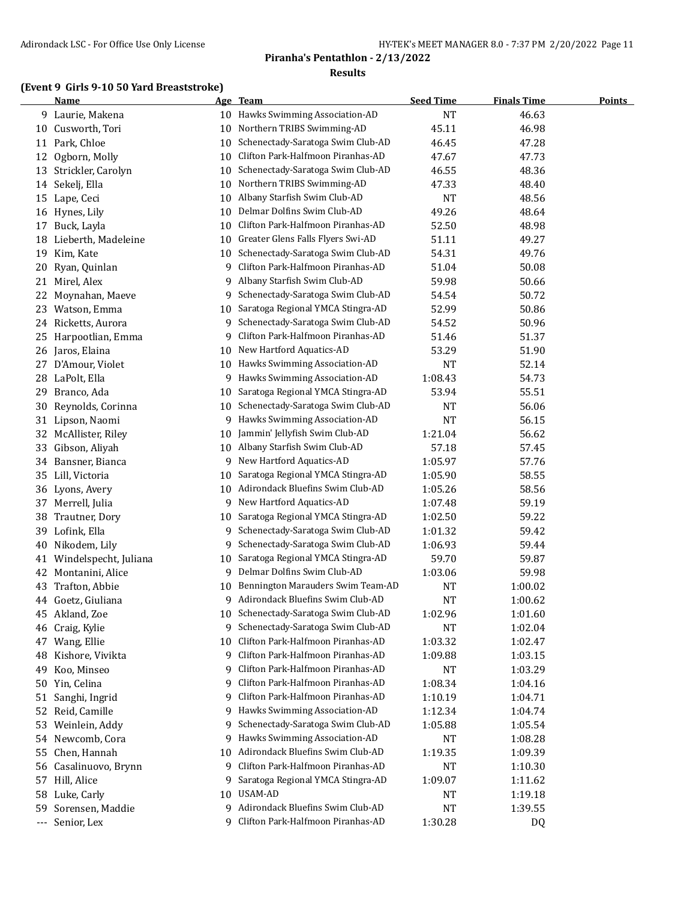## **(Event 9 Girls 9-10 50 Yard Breaststroke)**

|                      | <b>Name</b>           |    | Age Team                             | <b>Seed Time</b> | <b>Finals Time</b> | <b>Points</b> |
|----------------------|-----------------------|----|--------------------------------------|------------------|--------------------|---------------|
|                      | 9 Laurie, Makena      |    | 10 Hawks Swimming Association-AD     | <b>NT</b>        | 46.63              |               |
| 10                   | Cusworth, Tori        | 10 | Northern TRIBS Swimming-AD           | 45.11            | 46.98              |               |
|                      | 11 Park, Chloe        | 10 | Schenectady-Saratoga Swim Club-AD    | 46.45            | 47.28              |               |
| 12                   | Ogborn, Molly         | 10 | Clifton Park-Halfmoon Piranhas-AD    | 47.67            | 47.73              |               |
| 13                   | Strickler, Carolyn    | 10 | Schenectady-Saratoga Swim Club-AD    | 46.55            | 48.36              |               |
| 14                   | Sekelj, Ella          | 10 | Northern TRIBS Swimming-AD           | 47.33            | 48.40              |               |
|                      | 15 Lape, Ceci         | 10 | Albany Starfish Swim Club-AD         | <b>NT</b>        | 48.56              |               |
| 16                   | Hynes, Lily           | 10 | Delmar Dolfins Swim Club-AD          | 49.26            | 48.64              |               |
| 17                   | Buck, Layla           | 10 | Clifton Park-Halfmoon Piranhas-AD    | 52.50            | 48.98              |               |
| 18                   | Lieberth, Madeleine   | 10 | Greater Glens Falls Flyers Swi-AD    | 51.11            | 49.27              |               |
| 19                   | Kim, Kate             | 10 | Schenectady-Saratoga Swim Club-AD    | 54.31            | 49.76              |               |
| 20                   | Ryan, Quinlan         | 9  | Clifton Park-Halfmoon Piranhas-AD    | 51.04            | 50.08              |               |
| 21                   | Mirel, Alex           | 9  | Albany Starfish Swim Club-AD         | 59.98            | 50.66              |               |
| 22                   | Moynahan, Maeve       | 9  | Schenectady-Saratoga Swim Club-AD    | 54.54            | 50.72              |               |
| 23                   | Watson, Emma          | 10 | Saratoga Regional YMCA Stingra-AD    | 52.99            | 50.86              |               |
| 24                   | Ricketts, Aurora      | 9  | Schenectady-Saratoga Swim Club-AD    | 54.52            | 50.96              |               |
| 25                   | Harpootlian, Emma     | 9  | Clifton Park-Halfmoon Piranhas-AD    | 51.46            | 51.37              |               |
|                      | 26 Jaros, Elaina      | 10 | New Hartford Aquatics-AD             | 53.29            | 51.90              |               |
| 27                   | D'Amour, Violet       | 10 | Hawks Swimming Association-AD        | NT               | 52.14              |               |
|                      | 28 LaPolt, Ella       | 9  | Hawks Swimming Association-AD        | 1:08.43          | 54.73              |               |
| 29                   | Branco, Ada           | 10 | Saratoga Regional YMCA Stingra-AD    | 53.94            | 55.51              |               |
| 30                   | Reynolds, Corinna     | 10 | Schenectady-Saratoga Swim Club-AD    | <b>NT</b>        | 56.06              |               |
| 31                   | Lipson, Naomi         | 9  | Hawks Swimming Association-AD        | <b>NT</b>        | 56.15              |               |
| 32                   | McAllister, Riley     | 10 | Jammin' Jellyfish Swim Club-AD       | 1:21.04          | 56.62              |               |
| 33                   | Gibson, Aliyah        | 10 | Albany Starfish Swim Club-AD         | 57.18            | 57.45              |               |
| 34                   | Bansner, Bianca       | 9. | New Hartford Aquatics-AD             | 1:05.97          | 57.76              |               |
| 35                   | Lill, Victoria        | 10 | Saratoga Regional YMCA Stingra-AD    | 1:05.90          | 58.55              |               |
| 36                   | Lyons, Avery          | 10 | Adirondack Bluefins Swim Club-AD     | 1:05.26          | 58.56              |               |
|                      | 37 Merrell, Julia     | 9  | New Hartford Aquatics-AD             | 1:07.48          | 59.19              |               |
| 38                   | Trautner, Dory        | 10 | Saratoga Regional YMCA Stingra-AD    | 1:02.50          | 59.22              |               |
| 39                   | Lofink, Ella          | 9  | Schenectady-Saratoga Swim Club-AD    | 1:01.32          | 59.42              |               |
| 40                   | Nikodem, Lily         | 9  | Schenectady-Saratoga Swim Club-AD    | 1:06.93          | 59.44              |               |
| 41                   | Windelspecht, Juliana | 10 | Saratoga Regional YMCA Stingra-AD    | 59.70            | 59.87              |               |
| 42                   | Montanini, Alice      | 9. | Delmar Dolfins Swim Club-AD          | 1:03.06          | 59.98              |               |
| 43                   | Trafton, Abbie        | 10 | Bennington Marauders Swim Team-AD    | NT               | 1:00.02            |               |
|                      | 44 Goetz, Giuliana    | 9. | Adirondack Bluefins Swim Club-AD     | NT               | 1:00.62            |               |
| 45                   | Akland, Zoe           |    | 10 Schenectady-Saratoga Swim Club-AD | 1:02.96          | 1:01.60            |               |
| 46                   | Craig, Kylie          | 9  | Schenectady-Saratoga Swim Club-AD    | <b>NT</b>        | 1:02.04            |               |
|                      | 47 Wang, Ellie        | 10 | Clifton Park-Halfmoon Piranhas-AD    | 1:03.32          | 1:02.47            |               |
| 48                   | Kishore, Vivikta      | 9  | Clifton Park-Halfmoon Piranhas-AD    | 1:09.88          | 1:03.15            |               |
| 49                   | Koo, Minseo           | 9  | Clifton Park-Halfmoon Piranhas-AD    | NT               | 1:03.29            |               |
| 50                   | Yin, Celina           | 9  | Clifton Park-Halfmoon Piranhas-AD    | 1:08.34          | 1:04.16            |               |
| 51                   | Sanghi, Ingrid        | 9  | Clifton Park-Halfmoon Piranhas-AD    | 1:10.19          | 1:04.71            |               |
| 52                   | Reid, Camille         | 9. | Hawks Swimming Association-AD        | 1:12.34          | 1:04.74            |               |
| 53                   | Weinlein, Addy        | 9  | Schenectady-Saratoga Swim Club-AD    | 1:05.88          | 1:05.54            |               |
| 54                   | Newcomb, Cora         | 9  | Hawks Swimming Association-AD        | NT               | 1:08.28            |               |
| 55                   | Chen, Hannah          | 10 | Adirondack Bluefins Swim Club-AD     | 1:19.35          | 1:09.39            |               |
| 56                   | Casalinuovo, Brynn    | 9  | Clifton Park-Halfmoon Piranhas-AD    | NT               | 1:10.30            |               |
| 57                   | Hill, Alice           | 9  | Saratoga Regional YMCA Stingra-AD    | 1:09.07          | 1:11.62            |               |
| 58                   | Luke, Carly           | 10 | USAM-AD                              | NT               | 1:19.18            |               |
| 59                   | Sorensen, Maddie      | 9  | Adirondack Bluefins Swim Club-AD     | <b>NT</b>        | 1:39.55            |               |
| $\scriptstyle\cdots$ | Senior, Lex           | 9  | Clifton Park-Halfmoon Piranhas-AD    | 1:30.28          | DQ                 |               |
|                      |                       |    |                                      |                  |                    |               |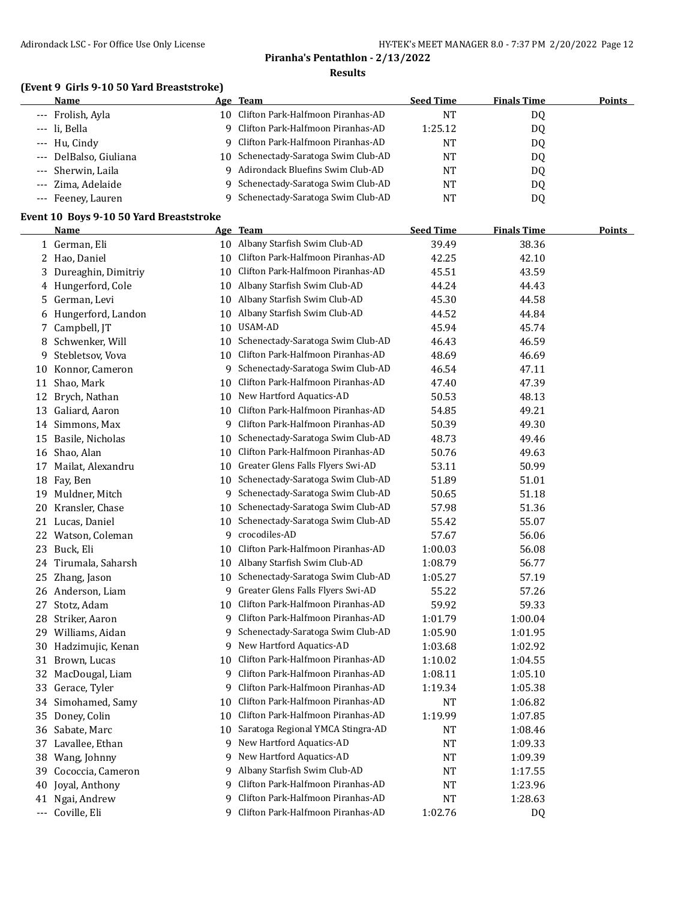## **(Event 9 Girls 9-10 50 Yard Breaststroke)**

| Name                   |     | Age Team                             | <b>Seed Time</b> | <b>Finals Time</b> | <b>Points</b> |
|------------------------|-----|--------------------------------------|------------------|--------------------|---------------|
| --- Frolish, Ayla      | 10. | Clifton Park-Halfmoon Piranhas-AD    | NT               | DO.                |               |
| --- li. Bella          |     | 9 Clifton Park-Halfmoon Piranhas-AD  | 1:25.12          | DQ                 |               |
| --- Hu, Cindy          |     | 9 Clifton Park-Halfmoon Piranhas-AD  | NT               | DQ                 |               |
| --- DelBalso, Giuliana |     | 10 Schenectady-Saratoga Swim Club-AD | NT               | D <sub>0</sub>     |               |
| --- Sherwin, Laila     | q   | Adirondack Bluefins Swim Club-AD     | NT               | DO.                |               |
| --- Zima, Adelaide     |     | 9 Schenectady-Saratoga Swim Club-AD  | NT               | DO.                |               |
| --- Feeney, Lauren     |     | Schenectady-Saratoga Swim Club-AD    | NT               | DO.                |               |

#### **Event 10 Boys 9-10 50 Yard Breaststroke**

|    | <b>Name</b>          |    | Age Team                          | <b>Seed Time</b> | <b>Finals Time</b> | <b>Points</b> |
|----|----------------------|----|-----------------------------------|------------------|--------------------|---------------|
|    | 1 German, Eli        |    | 10 Albany Starfish Swim Club-AD   | 39.49            | 38.36              |               |
|    | 2 Hao, Daniel        | 10 | Clifton Park-Halfmoon Piranhas-AD | 42.25            | 42.10              |               |
| 3  | Dureaghin, Dimitriy  | 10 | Clifton Park-Halfmoon Piranhas-AD | 45.51            | 43.59              |               |
| 4  | Hungerford, Cole     | 10 | Albany Starfish Swim Club-AD      | 44.24            | 44.43              |               |
| 5. | German, Levi         | 10 | Albany Starfish Swim Club-AD      | 45.30            | 44.58              |               |
| 6  | Hungerford, Landon   | 10 | Albany Starfish Swim Club-AD      | 44.52            | 44.84              |               |
| 7  | Campbell, JT         | 10 | USAM-AD                           | 45.94            | 45.74              |               |
| 8  | Schwenker, Will      | 10 | Schenectady-Saratoga Swim Club-AD | 46.43            | 46.59              |               |
| 9  | Stebletsov, Vova     | 10 | Clifton Park-Halfmoon Piranhas-AD | 48.69            | 46.69              |               |
| 10 | Konnor, Cameron      | 9  | Schenectady-Saratoga Swim Club-AD | 46.54            | 47.11              |               |
| 11 | Shao, Mark           | 10 | Clifton Park-Halfmoon Piranhas-AD | 47.40            | 47.39              |               |
| 12 | Brych, Nathan        | 10 | New Hartford Aquatics-AD          | 50.53            | 48.13              |               |
| 13 | Galiard, Aaron       | 10 | Clifton Park-Halfmoon Piranhas-AD | 54.85            | 49.21              |               |
|    | 14 Simmons, Max      | 9  | Clifton Park-Halfmoon Piranhas-AD | 50.39            | 49.30              |               |
|    | 15 Basile, Nicholas  | 10 | Schenectady-Saratoga Swim Club-AD | 48.73            | 49.46              |               |
|    | 16 Shao, Alan        | 10 | Clifton Park-Halfmoon Piranhas-AD | 50.76            | 49.63              |               |
| 17 | Mailat, Alexandru    | 10 | Greater Glens Falls Flyers Swi-AD | 53.11            | 50.99              |               |
| 18 | Fay, Ben             | 10 | Schenectady-Saratoga Swim Club-AD | 51.89            | 51.01              |               |
| 19 | Muldner, Mitch       | 9  | Schenectady-Saratoga Swim Club-AD | 50.65            | 51.18              |               |
| 20 | Kransler, Chase      | 10 | Schenectady-Saratoga Swim Club-AD | 57.98            | 51.36              |               |
| 21 | Lucas, Daniel        | 10 | Schenectady-Saratoga Swim Club-AD | 55.42            | 55.07              |               |
|    | 22 Watson, Coleman   | 9  | crocodiles-AD                     | 57.67            | 56.06              |               |
|    | 23 Buck, Eli         | 10 | Clifton Park-Halfmoon Piranhas-AD | 1:00.03          | 56.08              |               |
| 24 | Tirumala, Saharsh    | 10 | Albany Starfish Swim Club-AD      | 1:08.79          | 56.77              |               |
| 25 | Zhang, Jason         | 10 | Schenectady-Saratoga Swim Club-AD | 1:05.27          | 57.19              |               |
|    | 26 Anderson, Liam    | 9  | Greater Glens Falls Flyers Swi-AD | 55.22            | 57.26              |               |
|    | 27 Stotz, Adam       | 10 | Clifton Park-Halfmoon Piranhas-AD | 59.92            | 59.33              |               |
| 28 | Striker, Aaron       | 9  | Clifton Park-Halfmoon Piranhas-AD | 1:01.79          | 1:00.04            |               |
|    | 29 Williams, Aidan   | 9. | Schenectady-Saratoga Swim Club-AD | 1:05.90          | 1:01.95            |               |
|    | 30 Hadzimujic, Kenan |    | 9 New Hartford Aquatics-AD        | 1:03.68          | 1:02.92            |               |
|    | 31 Brown, Lucas      | 10 | Clifton Park-Halfmoon Piranhas-AD | 1:10.02          | 1:04.55            |               |
| 32 | MacDougal, Liam      | 9  | Clifton Park-Halfmoon Piranhas-AD | 1:08.11          | 1:05.10            |               |
| 33 | Gerace, Tyler        | 9  | Clifton Park-Halfmoon Piranhas-AD | 1:19.34          | 1:05.38            |               |
| 34 | Simohamed, Samy      | 10 | Clifton Park-Halfmoon Piranhas-AD | NT               | 1:06.82            |               |
|    | 35 Doney, Colin      | 10 | Clifton Park-Halfmoon Piranhas-AD | 1:19.99          | 1:07.85            |               |
|    | 36 Sabate, Marc      | 10 | Saratoga Regional YMCA Stingra-AD | <b>NT</b>        | 1:08.46            |               |
|    | 37 Lavallee, Ethan   | 9. | New Hartford Aquatics-AD          | NT               | 1:09.33            |               |
| 38 | Wang, Johnny         | 9  | New Hartford Aquatics-AD          | <b>NT</b>        | 1:09.39            |               |
| 39 | Cococcia, Cameron    | 9  | Albany Starfish Swim Club-AD      | NT               | 1:17.55            |               |
| 40 | Joyal, Anthony       | 9  | Clifton Park-Halfmoon Piranhas-AD | NT               | 1:23.96            |               |
| 41 | Ngai, Andrew         | 9  | Clifton Park-Halfmoon Piranhas-AD | NT               | 1:28.63            |               |
|    | --- Coville, Eli     | 9  | Clifton Park-Halfmoon Piranhas-AD | 1:02.76          | DQ                 |               |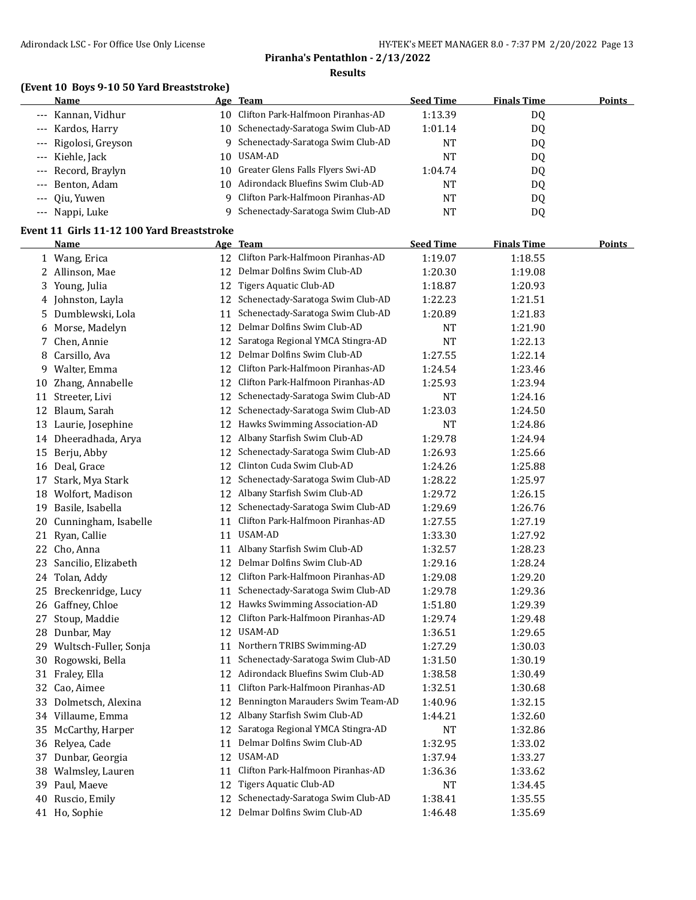#### **(Event 10 Boys 9-10 50 Yard Breaststroke)**

| Name                  | Age Team                             | <b>Seed Time</b> | <b>Finals Time</b> | Points |
|-----------------------|--------------------------------------|------------------|--------------------|--------|
| --- Kannan, Vidhur    | 10 Clifton Park-Halfmoon Piranhas-AD | 1:13.39          | DQ                 |        |
| --- Kardos, Harry     | 10 Schenectady-Saratoga Swim Club-AD | 1:01.14          | DQ                 |        |
| --- Rigolosi, Greyson | 9 Schenectady-Saratoga Swim Club-AD  | NT               | DQ                 |        |
| --- Kiehle, Jack      | 10 USAM-AD                           | NT               | DQ                 |        |
| --- Record, Braylyn   | 10 Greater Glens Falls Flyers Swi-AD | 1:04.74          | DQ                 |        |
| --- Benton, Adam      | 10 Adirondack Bluefins Swim Club-AD  | NT               | DQ                 |        |
| --- Oiu, Yuwen        | 9 Clifton Park-Halfmoon Piranhas-AD  | NT               | DQ                 |        |
| --- Nappi, Luke       | Schenectady-Saratoga Swim Club-AD    | NT               | DQ                 |        |

## **Event 11 Girls 11-12 100 Yard Breaststroke**

|    | <b>Name</b>              |    | Age Team                             | <b>Seed Time</b> | <b>Finals Time</b> | <b>Points</b> |
|----|--------------------------|----|--------------------------------------|------------------|--------------------|---------------|
|    | 1 Wang, Erica            | 12 | Clifton Park-Halfmoon Piranhas-AD    | 1:19.07          | 1:18.55            |               |
|    | 2 Allinson, Mae          | 12 | Delmar Dolfins Swim Club-AD          | 1:20.30          | 1:19.08            |               |
|    | 3 Young, Julia           | 12 | Tigers Aquatic Club-AD               | 1:18.87          | 1:20.93            |               |
|    | 4 Johnston, Layla        |    | 12 Schenectady-Saratoga Swim Club-AD | 1:22.23          | 1:21.51            |               |
|    | 5 Dumblewski, Lola       | 11 | Schenectady-Saratoga Swim Club-AD    | 1:20.89          | 1:21.83            |               |
| 6  | Morse, Madelyn           | 12 | Delmar Dolfins Swim Club-AD          | NT               | 1:21.90            |               |
|    | 7 Chen, Annie            | 12 | Saratoga Regional YMCA Stingra-AD    | NT               | 1:22.13            |               |
|    | 8 Carsillo, Ava          | 12 | Delmar Dolfins Swim Club-AD          | 1:27.55          | 1:22.14            |               |
|    | 9 Walter, Emma           | 12 | Clifton Park-Halfmoon Piranhas-AD    | 1:24.54          | 1:23.46            |               |
|    | 10 Zhang, Annabelle      | 12 | Clifton Park-Halfmoon Piranhas-AD    | 1:25.93          | 1:23.94            |               |
|    | 11 Streeter, Livi        | 12 | Schenectady-Saratoga Swim Club-AD    | NT               | 1:24.16            |               |
|    | 12 Blaum, Sarah          | 12 | Schenectady-Saratoga Swim Club-AD    | 1:23.03          | 1:24.50            |               |
|    | 13 Laurie, Josephine     | 12 | Hawks Swimming Association-AD        | $\rm{NT}$        | 1:24.86            |               |
|    | 14 Dheeradhada, Arya     |    | 12 Albany Starfish Swim Club-AD      | 1:29.78          | 1:24.94            |               |
|    | 15 Berju, Abby           | 12 | Schenectady-Saratoga Swim Club-AD    | 1:26.93          | 1:25.66            |               |
|    | 16 Deal, Grace           | 12 | Clinton Cuda Swim Club-AD            | 1:24.26          | 1:25.88            |               |
|    | 17 Stark, Mya Stark      | 12 | Schenectady-Saratoga Swim Club-AD    | 1:28.22          | 1:25.97            |               |
|    | 18 Wolfort, Madison      |    | 12 Albany Starfish Swim Club-AD      | 1:29.72          | 1:26.15            |               |
|    | 19 Basile, Isabella      |    | 12 Schenectady-Saratoga Swim Club-AD | 1:29.69          | 1:26.76            |               |
|    | 20 Cunningham, Isabelle  | 11 | Clifton Park-Halfmoon Piranhas-AD    | 1:27.55          | 1:27.19            |               |
|    | 21 Ryan, Callie          | 11 | USAM-AD                              | 1:33.30          | 1:27.92            |               |
|    | 22 Cho, Anna             | 11 | Albany Starfish Swim Club-AD         | 1:32.57          | 1:28.23            |               |
|    | 23 Sancilio, Elizabeth   | 12 | Delmar Dolfins Swim Club-AD          | 1:29.16          | 1:28.24            |               |
|    | 24 Tolan, Addy           |    | 12 Clifton Park-Halfmoon Piranhas-AD | 1:29.08          | 1:29.20            |               |
|    | 25 Breckenridge, Lucy    | 11 | Schenectady-Saratoga Swim Club-AD    | 1:29.78          | 1:29.36            |               |
| 26 | Gaffney, Chloe           |    | 12 Hawks Swimming Association-AD     | 1:51.80          | 1:29.39            |               |
| 27 | Stoup, Maddie            | 12 | Clifton Park-Halfmoon Piranhas-AD    | 1:29.74          | 1:29.48            |               |
| 28 | Dunbar, May              | 12 | USAM-AD                              | 1:36.51          | 1:29.65            |               |
|    | 29 Wultsch-Fuller, Sonja | 11 | Northern TRIBS Swimming-AD           | 1:27.29          | 1:30.03            |               |
|    | 30 Rogowski, Bella       | 11 | Schenectady-Saratoga Swim Club-AD    | 1:31.50          | 1:30.19            |               |
|    | 31 Fraley, Ella          |    | 12 Adirondack Bluefins Swim Club-AD  | 1:38.58          | 1:30.49            |               |
|    | 32 Cao, Aimee            | 11 | Clifton Park-Halfmoon Piranhas-AD    | 1:32.51          | 1:30.68            |               |
|    | 33 Dolmetsch, Alexina    |    | 12 Bennington Marauders Swim Team-AD | 1:40.96          | 1:32.15            |               |
|    | 34 Villaume, Emma        | 12 | Albany Starfish Swim Club-AD         | 1:44.21          | 1:32.60            |               |
|    | 35 McCarthy, Harper      | 12 | Saratoga Regional YMCA Stingra-AD    | <b>NT</b>        | 1:32.86            |               |
|    | 36 Relyea, Cade          | 11 | Delmar Dolfins Swim Club-AD          | 1:32.95          | 1:33.02            |               |
|    | 37 Dunbar, Georgia       | 12 | USAM-AD                              | 1:37.94          | 1:33.27            |               |
|    | 38 Walmsley, Lauren      | 11 | Clifton Park-Halfmoon Piranhas-AD    | 1:36.36          | 1:33.62            |               |
|    | 39 Paul, Maeve           | 12 | Tigers Aquatic Club-AD               | NT               | 1:34.45            |               |
| 40 | Ruscio, Emily            | 12 | Schenectady-Saratoga Swim Club-AD    | 1:38.41          | 1:35.55            |               |
|    | 41 Ho, Sophie            | 12 | Delmar Dolfins Swim Club-AD          | 1:46.48          | 1:35.69            |               |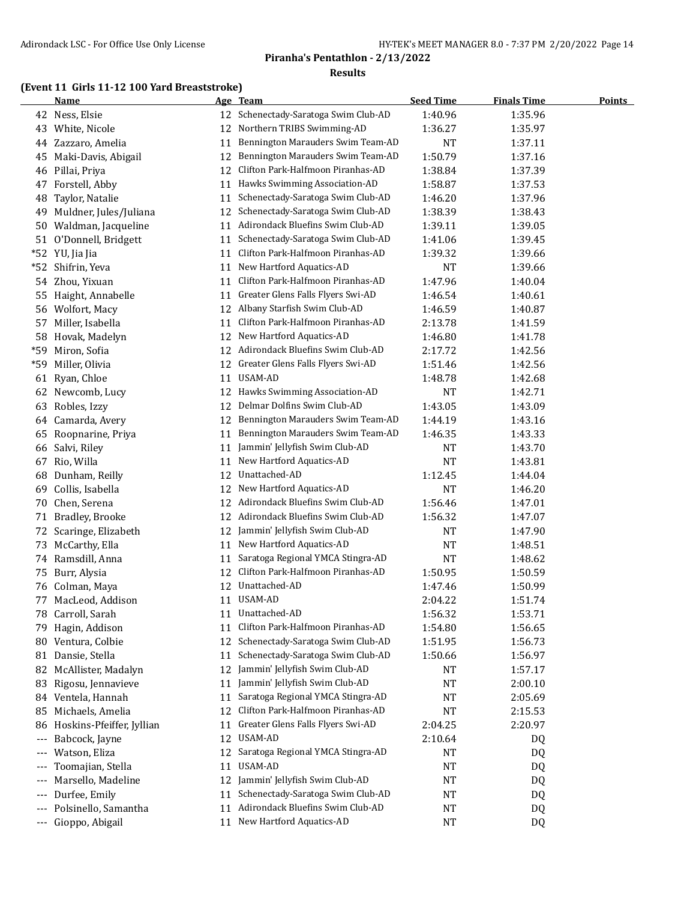## **(Event 11 Girls 11-12 100 Yard Breaststroke)**

|       | <b>Name</b>               |    | Age Team                             | <b>Seed Time</b> | <b>Finals Time</b> | <b>Points</b> |
|-------|---------------------------|----|--------------------------------------|------------------|--------------------|---------------|
|       | 42 Ness, Elsie            |    | 12 Schenectady-Saratoga Swim Club-AD | 1:40.96          | 1:35.96            |               |
|       | 43 White, Nicole          | 12 | Northern TRIBS Swimming-AD           | 1:36.27          | 1:35.97            |               |
| 44    | Zazzaro, Amelia           | 11 | Bennington Marauders Swim Team-AD    | <b>NT</b>        | 1:37.11            |               |
| 45    | Maki-Davis, Abigail       | 12 | Bennington Marauders Swim Team-AD    | 1:50.79          | 1:37.16            |               |
| 46    | Pillai, Priya             | 12 | Clifton Park-Halfmoon Piranhas-AD    | 1:38.84          | 1:37.39            |               |
| 47    | Forstell, Abby            | 11 | Hawks Swimming Association-AD        | 1:58.87          | 1:37.53            |               |
| 48    | Taylor, Natalie           | 11 | Schenectady-Saratoga Swim Club-AD    | 1:46.20          | 1:37.96            |               |
| 49    | Muldner, Jules/Juliana    | 12 | Schenectady-Saratoga Swim Club-AD    | 1:38.39          | 1:38.43            |               |
| 50    | Waldman, Jacqueline       | 11 | Adirondack Bluefins Swim Club-AD     | 1:39.11          | 1:39.05            |               |
| 51    | O'Donnell, Bridgett       | 11 | Schenectady-Saratoga Swim Club-AD    | 1:41.06          | 1:39.45            |               |
| $*52$ | YU, Jia Jia               | 11 | Clifton Park-Halfmoon Piranhas-AD    | 1:39.32          | 1:39.66            |               |
| $*52$ | Shifrin, Yeva             | 11 | New Hartford Aquatics-AD             | NT               | 1:39.66            |               |
| 54    | Zhou, Yixuan              | 11 | Clifton Park-Halfmoon Piranhas-AD    | 1:47.96          | 1:40.04            |               |
| 55    | Haight, Annabelle         | 11 | Greater Glens Falls Flyers Swi-AD    | 1:46.54          | 1:40.61            |               |
| 56    | Wolfort, Macy             | 12 | Albany Starfish Swim Club-AD         | 1:46.59          | 1:40.87            |               |
| 57    | Miller, Isabella          | 11 | Clifton Park-Halfmoon Piranhas-AD    | 2:13.78          | 1:41.59            |               |
| 58    | Hovak, Madelyn            | 12 | New Hartford Aquatics-AD             | 1:46.80          | 1:41.78            |               |
| $*59$ | Miron, Sofia              | 12 | Adirondack Bluefins Swim Club-AD     | 2:17.72          | 1:42.56            |               |
| $*59$ | Miller, Olivia            | 12 | Greater Glens Falls Flyers Swi-AD    | 1:51.46          | 1:42.56            |               |
| 61    | Ryan, Chloe               | 11 | USAM-AD                              | 1:48.78          | 1:42.68            |               |
|       | 62 Newcomb, Lucy          |    | 12 Hawks Swimming Association-AD     | <b>NT</b>        | 1:42.71            |               |
| 63    | Robles, Izzy              | 12 | Delmar Dolfins Swim Club-AD          | 1:43.05          | 1:43.09            |               |
| 64    | Camarda, Avery            | 12 | Bennington Marauders Swim Team-AD    | 1:44.19          | 1:43.16            |               |
| 65    | Roopnarine, Priya         | 11 | Bennington Marauders Swim Team-AD    | 1:46.35          | 1:43.33            |               |
| 66    | Salvi, Riley              | 11 | Jammin' Jellyfish Swim Club-AD       | NT               | 1:43.70            |               |
| 67    | Rio, Willa                | 11 | New Hartford Aquatics-AD             | NT               | 1:43.81            |               |
| 68    | Dunham, Reilly            | 12 | Unattached-AD                        | 1:12.45          | 1:44.04            |               |
| 69    | Collis, Isabella          | 12 | New Hartford Aquatics-AD             | <b>NT</b>        |                    |               |
|       |                           |    | Adirondack Bluefins Swim Club-AD     | 1:56.46          | 1:46.20            |               |
| 70    | Chen, Serena              | 12 | Adirondack Bluefins Swim Club-AD     |                  | 1:47.01            |               |
| 71    | Bradley, Brooke           | 12 |                                      | 1:56.32          | 1:47.07            |               |
| 72    | Scaringe, Elizabeth       | 12 | Jammin' Jellyfish Swim Club-AD       | NT               | 1:47.90            |               |
|       | 73 McCarthy, Ella         | 11 | New Hartford Aquatics-AD             | <b>NT</b>        | 1:48.51            |               |
|       | 74 Ramsdill, Anna         | 11 | Saratoga Regional YMCA Stingra-AD    | <b>NT</b>        | 1:48.62            |               |
| 75    | Burr, Alysia              | 12 | Clifton Park-Halfmoon Piranhas-AD    | 1:50.95          | 1:50.59            |               |
| 76    | Colman, Maya              | 12 | Unattached-AD                        | 1:47.46          | 1:50.99            |               |
| 77    | MacLeod, Addison          |    | 11 USAM-AD                           | 2:04.22          | 1:51.74            |               |
| 78    | Carroll, Sarah            |    | 11 Unattached-AD                     | 1:56.32          | 1:53.71            |               |
| 79    | Hagin, Addison            | 11 | Clifton Park-Halfmoon Piranhas-AD    | 1:54.80          | 1:56.65            |               |
| 80    | Ventura, Colbie           | 12 | Schenectady-Saratoga Swim Club-AD    | 1:51.95          | 1:56.73            |               |
|       | 81 Dansie, Stella         | 11 | Schenectady-Saratoga Swim Club-AD    | 1:50.66          | 1:56.97            |               |
| 82    | McAllister, Madalyn       | 12 | Jammin' Jellyfish Swim Club-AD       | NT               | 1:57.17            |               |
| 83    | Rigosu, Jennavieve        | 11 | Jammin' Jellyfish Swim Club-AD       | <b>NT</b>        | 2:00.10            |               |
|       | 84 Ventela, Hannah        | 11 | Saratoga Regional YMCA Stingra-AD    | <b>NT</b>        | 2:05.69            |               |
| 85    | Michaels, Amelia          | 12 | Clifton Park-Halfmoon Piranhas-AD    | <b>NT</b>        | 2:15.53            |               |
| 86    | Hoskins-Pfeiffer, Jyllian | 11 | Greater Glens Falls Flyers Swi-AD    | 2:04.25          | 2:20.97            |               |
| ---   | Babcock, Jayne            | 12 | USAM-AD                              | 2:10.64          | DQ                 |               |
| $---$ | Watson, Eliza             | 12 | Saratoga Regional YMCA Stingra-AD    | NT               | DQ                 |               |
| ---   | Toomajian, Stella         | 11 | USAM-AD                              | NT               | DQ                 |               |
| $---$ | Marsello, Madeline        | 12 | Jammin' Jellyfish Swim Club-AD       | NT               | DQ                 |               |
| $---$ | Durfee, Emily             | 11 | Schenectady-Saratoga Swim Club-AD    | NT               | DQ                 |               |
| $---$ | Polsinello, Samantha      | 11 | Adirondack Bluefins Swim Club-AD     | NT               | DQ                 |               |
| ---   | Gioppo, Abigail           | 11 | New Hartford Aquatics-AD             | NT               | DQ                 |               |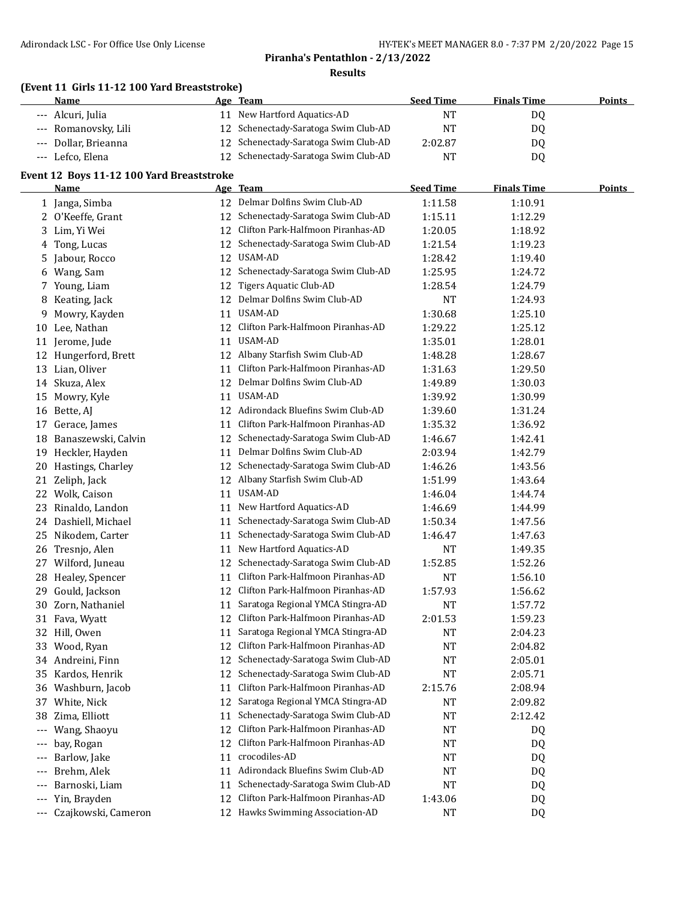#### **(Event 11 Girls 11-12 100 Yard Breaststroke)**

| <b>Name</b>          | Age Team                             | <b>Seed Time</b> | <b>Finals Time</b> | <b>Points</b> |
|----------------------|--------------------------------------|------------------|--------------------|---------------|
| --- Alcuri, Julia    | 11 New Hartford Aquatics-AD          | NT               | DQ                 |               |
| --- Romanovsky, Lili | 12 Schenectady-Saratoga Swim Club-AD | NT               | D <sub>0</sub>     |               |
| --- Dollar, Brieanna | 12 Schenectady-Saratoga Swim Club-AD | 2:02.87          | D0                 |               |
| --- Lefco, Elena     | Schenectady-Saratoga Swim Club-AD    | NΤ               | DQ                 |               |

#### **Event 12 Boys 11-12 100 Yard Breaststroke**

|     | 3 11 12 100 Turu Di custoti ong |    |                                      |                  |                    |        |
|-----|---------------------------------|----|--------------------------------------|------------------|--------------------|--------|
|     | Name                            |    | <u>Age Team</u>                      | <b>Seed Time</b> | <b>Finals Time</b> | Points |
|     | 1 Janga, Simba                  |    | 12 Delmar Dolfins Swim Club-AD       | 1:11.58          | 1:10.91            |        |
|     | 2 O'Keeffe, Grant               | 12 | Schenectady-Saratoga Swim Club-AD    | 1:15.11          | 1:12.29            |        |
| 3   | Lim, Yi Wei                     | 12 | Clifton Park-Halfmoon Piranhas-AD    | 1:20.05          | 1:18.92            |        |
| 4   | Tong, Lucas                     | 12 | Schenectady-Saratoga Swim Club-AD    | 1:21.54          | 1:19.23            |        |
| 5.  | Jabour, Rocco                   | 12 | USAM-AD                              | 1:28.42          | 1:19.40            |        |
| 6   | Wang, Sam                       | 12 | Schenectady-Saratoga Swim Club-AD    | 1:25.95          | 1:24.72            |        |
|     | 7 Young, Liam                   | 12 | Tigers Aquatic Club-AD               | 1:28.54          | 1:24.79            |        |
|     | 8 Keating, Jack                 | 12 | Delmar Dolfins Swim Club-AD          | NT               | 1:24.93            |        |
| 9   | Mowry, Kayden                   | 11 | USAM-AD                              | 1:30.68          | 1:25.10            |        |
|     | 10 Lee, Nathan                  |    | 12 Clifton Park-Halfmoon Piranhas-AD | 1:29.22          | 1:25.12            |        |
|     | 11 Jerome, Jude                 | 11 | USAM-AD                              | 1:35.01          | 1:28.01            |        |
| 12  | Hungerford, Brett               | 12 | Albany Starfish Swim Club-AD         | 1:48.28          | 1:28.67            |        |
|     | 13 Lian, Oliver                 | 11 | Clifton Park-Halfmoon Piranhas-AD    | 1:31.63          | 1:29.50            |        |
|     | 14 Skuza, Alex                  | 12 | Delmar Dolfins Swim Club-AD          | 1:49.89          | 1:30.03            |        |
| 15  | Mowry, Kyle                     | 11 | USAM-AD                              | 1:39.92          | 1:30.99            |        |
|     | 16 Bette, AJ                    | 12 | Adirondack Bluefins Swim Club-AD     | 1:39.60          | 1:31.24            |        |
| 17  | Gerace, James                   | 11 | Clifton Park-Halfmoon Piranhas-AD    | 1:35.32          | 1:36.92            |        |
| 18  | Banaszewski, Calvin             | 12 | Schenectady-Saratoga Swim Club-AD    | 1:46.67          | 1:42.41            |        |
| 19  | Heckler, Hayden                 | 11 | Delmar Dolfins Swim Club-AD          | 2:03.94          | 1:42.79            |        |
| 20  | Hastings, Charley               | 12 | Schenectady-Saratoga Swim Club-AD    | 1:46.26          | 1:43.56            |        |
| 21  | Zeliph, Jack                    | 12 | Albany Starfish Swim Club-AD         | 1:51.99          | 1:43.64            |        |
|     | 22 Wolk, Caison                 | 11 | USAM-AD                              | 1:46.04          | 1:44.74            |        |
| 23  | Rinaldo, Landon                 |    | 11 New Hartford Aquatics-AD          | 1:46.69          | 1:44.99            |        |
|     | 24 Dashiell, Michael            | 11 | Schenectady-Saratoga Swim Club-AD    | 1:50.34          | 1:47.56            |        |
| 25  | Nikodem, Carter                 | 11 | Schenectady-Saratoga Swim Club-AD    | 1:46.47          | 1:47.63            |        |
| 26  | Tresnjo, Alen                   | 11 | New Hartford Aquatics-AD             | <b>NT</b>        | 1:49.35            |        |
| 27  | Wilford, Juneau                 | 12 | Schenectady-Saratoga Swim Club-AD    | 1:52.85          | 1:52.26            |        |
| 28  | Healey, Spencer                 | 11 | Clifton Park-Halfmoon Piranhas-AD    | <b>NT</b>        | 1:56.10            |        |
| 29  | Gould, Jackson                  | 12 | Clifton Park-Halfmoon Piranhas-AD    | 1:57.93          | 1:56.62            |        |
| 30  | Zorn, Nathaniel                 | 11 | Saratoga Regional YMCA Stingra-AD    | <b>NT</b>        | 1:57.72            |        |
| 31  | Fava, Wyatt                     | 12 | Clifton Park-Halfmoon Piranhas-AD    | 2:01.53          | 1:59.23            |        |
| 32  | Hill, Owen                      | 11 | Saratoga Regional YMCA Stingra-AD    | NT               | 2:04.23            |        |
|     | 33 Wood, Ryan                   | 12 | Clifton Park-Halfmoon Piranhas-AD    | NT               | 2:04.82            |        |
|     | 34 Andreini, Finn               | 12 | Schenectady-Saratoga Swim Club-AD    | NT               | 2:05.01            |        |
|     | 35 Kardos, Henrik               |    | 12 Schenectady-Saratoga Swim Club-AD | <b>NT</b>        | 2:05.71            |        |
|     | 36 Washburn, Jacob              |    | 11 Clifton Park-Halfmoon Piranhas-AD | 2:15.76          | 2:08.94            |        |
|     | 37 White, Nick                  |    | 12 Saratoga Regional YMCA Stingra-AD | NT               | 2:09.82            |        |
|     | 38 Zima, Elliott                | 11 | Schenectady-Saratoga Swim Club-AD    | NT               | 2:12.42            |        |
|     | --- Wang, Shaoyu                | 12 | Clifton Park-Halfmoon Piranhas-AD    | NT               | DQ                 |        |
| --- | bay, Rogan                      | 12 | Clifton Park-Halfmoon Piranhas-AD    | NT               | DQ                 |        |
| --- | Barlow, Jake                    | 11 | crocodiles-AD                        | NT               | DQ                 |        |
|     | Brehm, Alek                     | 11 | Adirondack Bluefins Swim Club-AD     | NT               | DQ                 |        |
| --- | Barnoski, Liam                  | 11 | Schenectady-Saratoga Swim Club-AD    | <b>NT</b>        | DQ                 |        |
| --- | Yin, Brayden                    | 12 | Clifton Park-Halfmoon Piranhas-AD    | 1:43.06          | DQ                 |        |
|     | --- Czajkowski, Cameron         |    | 12 Hawks Swimming Association-AD     | <b>NT</b>        | DQ                 |        |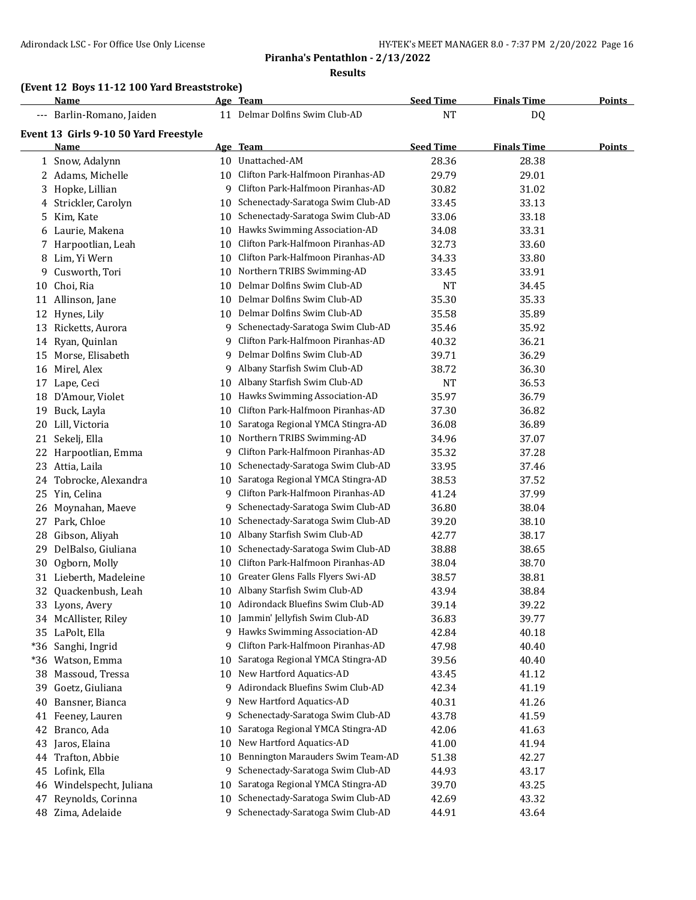## **Piranha's Pentathlon - 2/13/2022**

**Results**

## **(Event 12 Boys 11-12 100 Yard Breaststroke)**

|    | Name                                  |    | Age Team                             | <b>Seed Time</b> | <b>Finals Time</b> | <b>Points</b> |
|----|---------------------------------------|----|--------------------------------------|------------------|--------------------|---------------|
|    | --- Barlin-Romano, Jaiden             |    | 11 Delmar Dolfins Swim Club-AD       | <b>NT</b>        | DQ                 |               |
|    | Event 13 Girls 9-10 50 Yard Freestyle |    |                                      |                  |                    |               |
|    | Name                                  |    | Age Team                             | <b>Seed Time</b> | <b>Finals Time</b> | <u>Points</u> |
|    | 1 Snow, Adalynn                       |    | 10 Unattached-AM                     | 28.36            | 28.38              |               |
|    | 2 Adams, Michelle                     | 10 | Clifton Park-Halfmoon Piranhas-AD    | 29.79            | 29.01              |               |
| 3  | Hopke, Lillian                        | 9  | Clifton Park-Halfmoon Piranhas-AD    | 30.82            | 31.02              |               |
| 4  | Strickler, Carolyn                    | 10 | Schenectady-Saratoga Swim Club-AD    | 33.45            | 33.13              |               |
| 5  | Kim, Kate                             | 10 | Schenectady-Saratoga Swim Club-AD    | 33.06            | 33.18              |               |
| 6  | Laurie, Makena                        | 10 | Hawks Swimming Association-AD        | 34.08            | 33.31              |               |
| 7  | Harpootlian, Leah                     | 10 | Clifton Park-Halfmoon Piranhas-AD    | 32.73            | 33.60              |               |
| 8  | Lim, Yi Wern                          | 10 | Clifton Park-Halfmoon Piranhas-AD    | 34.33            | 33.80              |               |
| 9  | Cusworth, Tori                        | 10 | Northern TRIBS Swimming-AD           | 33.45            | 33.91              |               |
| 10 | Choi, Ria                             | 10 | Delmar Dolfins Swim Club-AD          | <b>NT</b>        | 34.45              |               |
|    | 11 Allinson, Jane                     | 10 | Delmar Dolfins Swim Club-AD          | 35.30            | 35.33              |               |
|    | 12 Hynes, Lily                        | 10 | Delmar Dolfins Swim Club-AD          | 35.58            | 35.89              |               |
|    | 13 Ricketts, Aurora                   | 9. | Schenectady-Saratoga Swim Club-AD    | 35.46            | 35.92              |               |
|    | 14 Ryan, Quinlan                      | 9  | Clifton Park-Halfmoon Piranhas-AD    | 40.32            | 36.21              |               |
| 15 | Morse, Elisabeth                      | 9  | Delmar Dolfins Swim Club-AD          | 39.71            | 36.29              |               |
|    | 16 Mirel, Alex                        | 9  | Albany Starfish Swim Club-AD         | 38.72            | 36.30              |               |
|    | 17 Lape, Ceci                         | 10 | Albany Starfish Swim Club-AD         | <b>NT</b>        | 36.53              |               |
| 18 | D'Amour, Violet                       | 10 | Hawks Swimming Association-AD        | 35.97            | 36.79              |               |
| 19 | Buck, Layla                           | 10 | Clifton Park-Halfmoon Piranhas-AD    | 37.30            | 36.82              |               |
| 20 | Lill, Victoria                        | 10 | Saratoga Regional YMCA Stingra-AD    | 36.08            | 36.89              |               |
| 21 | Sekelj, Ella                          | 10 | Northern TRIBS Swimming-AD           | 34.96            | 37.07              |               |
| 22 | Harpootlian, Emma                     | 9  | Clifton Park-Halfmoon Piranhas-AD    | 35.32            | 37.28              |               |
| 23 | Attia, Laila                          | 10 | Schenectady-Saratoga Swim Club-AD    | 33.95            | 37.46              |               |
| 24 | Tobrocke, Alexandra                   | 10 | Saratoga Regional YMCA Stingra-AD    | 38.53            | 37.52              |               |
| 25 | Yin, Celina                           | 9  | Clifton Park-Halfmoon Piranhas-AD    | 41.24            | 37.99              |               |
| 26 | Moynahan, Maeve                       | 9  | Schenectady-Saratoga Swim Club-AD    | 36.80            | 38.04              |               |
| 27 | Park, Chloe                           | 10 | Schenectady-Saratoga Swim Club-AD    | 39.20            | 38.10              |               |
| 28 | Gibson, Aliyah                        | 10 | Albany Starfish Swim Club-AD         | 42.77            | 38.17              |               |
| 29 | DelBalso, Giuliana                    | 10 | Schenectady-Saratoga Swim Club-AD    | 38.88            | 38.65              |               |
| 30 | Ogborn, Molly                         | 10 | Clifton Park-Halfmoon Piranhas-AD    | 38.04            | 38.70              |               |
|    | 31 Lieberth, Madeleine                |    | 10 Greater Glens Falls Flyers Swi-AD | 38.57            | 38.81              |               |
|    | 32 Quackenbush, Leah                  |    | 10 Albany Starfish Swim Club-AD      | 43.94            | 38.84              |               |
|    | 33 Lyons, Avery                       |    | 10 Adirondack Bluefins Swim Club-AD  | 39.14            | 39.22              |               |
|    | 34 McAllister, Riley                  |    | 10 Jammin' Jellyfish Swim Club-AD    | 36.83            | 39.77              |               |
|    | 35 LaPolt, Ella                       |    | 9 Hawks Swimming Association-AD      | 42.84            | 40.18              |               |
|    | *36 Sanghi, Ingrid                    | 9  | Clifton Park-Halfmoon Piranhas-AD    | 47.98            | 40.40              |               |
|    | *36 Watson, Emma                      | 10 | Saratoga Regional YMCA Stingra-AD    | 39.56            | 40.40              |               |
| 38 | Massoud, Tressa                       | 10 | New Hartford Aquatics-AD             | 43.45            | 41.12              |               |
| 39 | Goetz, Giuliana                       | 9  | Adirondack Bluefins Swim Club-AD     | 42.34            | 41.19              |               |
| 40 | Bansner, Bianca                       | 9  | New Hartford Aquatics-AD             | 40.31            | 41.26              |               |
|    | 41 Feeney, Lauren                     | 9  | Schenectady-Saratoga Swim Club-AD    | 43.78            | 41.59              |               |
| 42 | Branco, Ada                           | 10 | Saratoga Regional YMCA Stingra-AD    | 42.06            | 41.63              |               |
| 43 | Jaros, Elaina                         | 10 | New Hartford Aquatics-AD             | 41.00            | 41.94              |               |
| 44 | Trafton, Abbie                        | 10 | Bennington Marauders Swim Team-AD    | 51.38            | 42.27              |               |
| 45 | Lofink, Ella                          | 9  | Schenectady-Saratoga Swim Club-AD    | 44.93            | 43.17              |               |
| 46 | Windelspecht, Juliana                 | 10 | Saratoga Regional YMCA Stingra-AD    | 39.70            | 43.25              |               |
| 47 | Reynolds, Corinna                     | 10 | Schenectady-Saratoga Swim Club-AD    | 42.69            | 43.32              |               |
|    | 48 Zima, Adelaide                     |    | 9 Schenectady-Saratoga Swim Club-AD  | 44.91            | 43.64              |               |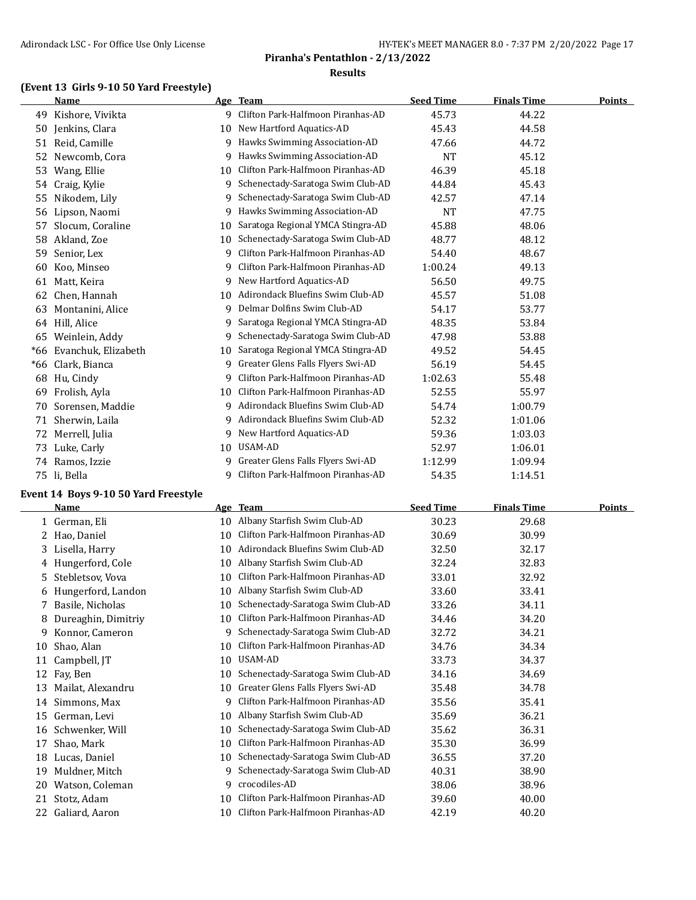## **(Event 13 Girls 9-10 50 Yard Freestyle)**

|       | Name                |    | Age Team                            | <b>Seed Time</b> | <b>Finals Time</b> | <b>Points</b> |
|-------|---------------------|----|-------------------------------------|------------------|--------------------|---------------|
| 49    | Kishore, Vivikta    |    | 9 Clifton Park-Halfmoon Piranhas-AD | 45.73            | 44.22              |               |
| 50    | Jenkins, Clara      | 10 | New Hartford Aquatics-AD            | 45.43            | 44.58              |               |
| 51    | Reid, Camille       | 9  | Hawks Swimming Association-AD       | 47.66            | 44.72              |               |
| 52    | Newcomb, Cora       | 9  | Hawks Swimming Association-AD       | <b>NT</b>        | 45.12              |               |
| 53    | Wang, Ellie         | 10 | Clifton Park-Halfmoon Piranhas-AD   | 46.39            | 45.18              |               |
| 54    | Craig, Kylie        | 9  | Schenectady-Saratoga Swim Club-AD   | 44.84            | 45.43              |               |
| 55    | Nikodem, Lily       | 9  | Schenectady-Saratoga Swim Club-AD   | 42.57            | 47.14              |               |
| 56    | Lipson, Naomi       | 9  | Hawks Swimming Association-AD       | <b>NT</b>        | 47.75              |               |
| 57    | Slocum, Coraline    | 10 | Saratoga Regional YMCA Stingra-AD   | 45.88            | 48.06              |               |
| 58    | Akland, Zoe         | 10 | Schenectady-Saratoga Swim Club-AD   | 48.77            | 48.12              |               |
| 59    | Senior, Lex         | 9  | Clifton Park-Halfmoon Piranhas-AD   | 54.40            | 48.67              |               |
| 60    | Koo, Minseo         | 9  | Clifton Park-Halfmoon Piranhas-AD   | 1:00.24          | 49.13              |               |
| 61    | Matt, Keira         | 9  | New Hartford Aquatics-AD            | 56.50            | 49.75              |               |
| 62    | Chen, Hannah        | 10 | Adirondack Bluefins Swim Club-AD    | 45.57            | 51.08              |               |
| 63    | Montanini, Alice    | q  | Delmar Dolfins Swim Club-AD         | 54.17            | 53.77              |               |
| 64    | Hill, Alice         | 9  | Saratoga Regional YMCA Stingra-AD   | 48.35            | 53.84              |               |
| 65    | Weinlein, Addy      | 9  | Schenectady-Saratoga Swim Club-AD   | 47.98            | 53.88              |               |
| $*66$ | Evanchuk, Elizabeth | 10 | Saratoga Regional YMCA Stingra-AD   | 49.52            | 54.45              |               |
| $*66$ | Clark, Bianca       | 9  | Greater Glens Falls Flyers Swi-AD   | 56.19            | 54.45              |               |
| 68    | Hu, Cindy           | 9  | Clifton Park-Halfmoon Piranhas-AD   | 1:02.63          | 55.48              |               |
| 69    | Frolish, Ayla       | 10 | Clifton Park-Halfmoon Piranhas-AD   | 52.55            | 55.97              |               |
| 70    | Sorensen, Maddie    | 9  | Adirondack Bluefins Swim Club-AD    | 54.74            | 1:00.79            |               |
| 71    | Sherwin, Laila      | 9  | Adirondack Bluefins Swim Club-AD    | 52.32            | 1:01.06            |               |
| 72    | Merrell, Julia      | 9  | New Hartford Aquatics-AD            | 59.36            | 1:03.03            |               |
| 73    | Luke, Carly         | 10 | USAM-AD                             | 52.97            | 1:06.01            |               |
|       | 74 Ramos, Izzie     | 9  | Greater Glens Falls Flyers Swi-AD   | 1:12.99          | 1:09.94            |               |
| 75    | li, Bella           | 9  | Clifton Park-Halfmoon Piranhas-AD   | 54.35            | 1:14.51            |               |

## **Event 14 Boys 9-10 50 Yard Freestyle**

|    | Name                | Age | <b>Team</b>                       | <b>Seed Time</b> | <b>Finals Time</b> | <b>Points</b> |
|----|---------------------|-----|-----------------------------------|------------------|--------------------|---------------|
|    | 1 German, Eli       | 10  | Albany Starfish Swim Club-AD      | 30.23            | 29.68              |               |
| 2  | Hao, Daniel         | 10  | Clifton Park-Halfmoon Piranhas-AD | 30.69            | 30.99              |               |
| 3  | Lisella, Harry      | 10  | Adirondack Bluefins Swim Club-AD  | 32.50            | 32.17              |               |
| 4  | Hungerford, Cole    | 10  | Albany Starfish Swim Club-AD      | 32.24            | 32.83              |               |
|    | 5 Stebletsov, Vova  | 10  | Clifton Park-Halfmoon Piranhas-AD | 33.01            | 32.92              |               |
| 6  | Hungerford, Landon  | 10  | Albany Starfish Swim Club-AD      | 33.60            | 33.41              |               |
| 7  | Basile, Nicholas    | 10  | Schenectady-Saratoga Swim Club-AD | 33.26            | 34.11              |               |
| 8  | Dureaghin, Dimitriy | 10  | Clifton Park-Halfmoon Piranhas-AD | 34.46            | 34.20              |               |
| 9  | Konnor, Cameron     | 9   | Schenectady-Saratoga Swim Club-AD | 32.72            | 34.21              |               |
| 10 | Shao, Alan          | 10  | Clifton Park-Halfmoon Piranhas-AD | 34.76            | 34.34              |               |
| 11 | Campbell, JT        | 10  | USAM-AD                           | 33.73            | 34.37              |               |
| 12 | Fay, Ben            | 10  | Schenectady-Saratoga Swim Club-AD | 34.16            | 34.69              |               |
| 13 | Mailat, Alexandru   | 10  | Greater Glens Falls Flyers Swi-AD | 35.48            | 34.78              |               |
| 14 | Simmons, Max        | 9   | Clifton Park-Halfmoon Piranhas-AD | 35.56            | 35.41              |               |
| 15 | German, Levi        | 10  | Albany Starfish Swim Club-AD      | 35.69            | 36.21              |               |
| 16 | Schwenker, Will     | 10  | Schenectady-Saratoga Swim Club-AD | 35.62            | 36.31              |               |
| 17 | Shao, Mark          | 10  | Clifton Park-Halfmoon Piranhas-AD | 35.30            | 36.99              |               |
| 18 | Lucas, Daniel       | 10  | Schenectady-Saratoga Swim Club-AD | 36.55            | 37.20              |               |
| 19 | Muldner, Mitch      | 9   | Schenectady-Saratoga Swim Club-AD | 40.31            | 38.90              |               |
| 20 | Watson, Coleman     | 9   | crocodiles-AD                     | 38.06            | 38.96              |               |
| 21 | Stotz, Adam         | 10  | Clifton Park-Halfmoon Piranhas-AD | 39.60            | 40.00              |               |
| 22 | Galiard, Aaron      | 10  | Clifton Park-Halfmoon Piranhas-AD | 42.19            | 40.20              |               |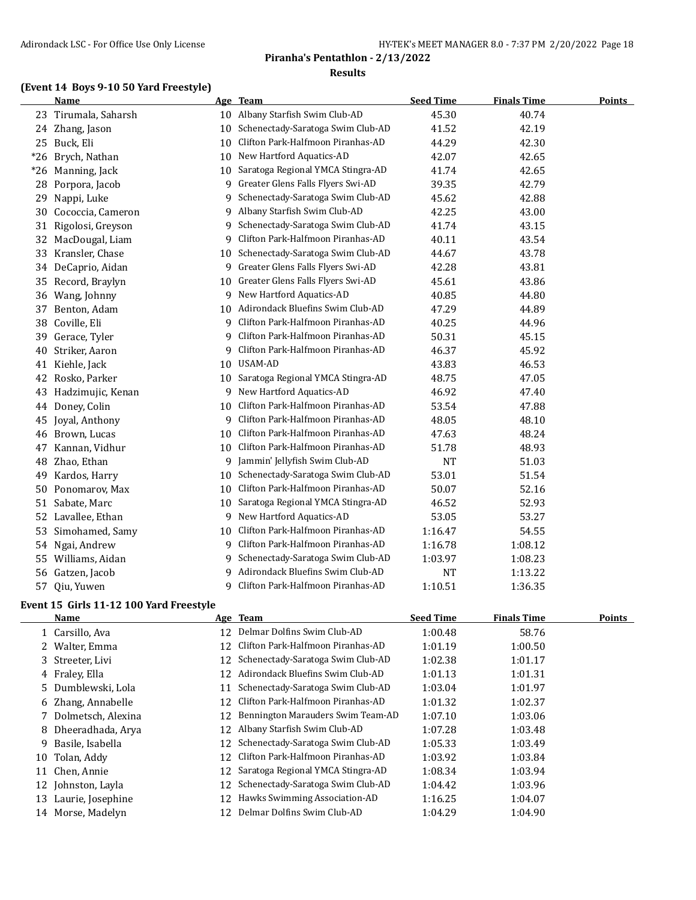## **(Event 14 Boys 9-10 50 Yard Freestyle)**

|       | <b>Name</b>       |    | Age Team                          | <b>Seed Time</b> | <b>Finals Time</b> | <b>Points</b> |
|-------|-------------------|----|-----------------------------------|------------------|--------------------|---------------|
| 23    | Tirumala, Saharsh | 10 | Albany Starfish Swim Club-AD      | 45.30            | 40.74              |               |
| 24    | Zhang, Jason      | 10 | Schenectady-Saratoga Swim Club-AD | 41.52            | 42.19              |               |
|       | 25 Buck, Eli      | 10 | Clifton Park-Halfmoon Piranhas-AD | 44.29            | 42.30              |               |
| $*26$ | Brych, Nathan     | 10 | New Hartford Aquatics-AD          | 42.07            | 42.65              |               |
| $*26$ | Manning, Jack     | 10 | Saratoga Regional YMCA Stingra-AD | 41.74            | 42.65              |               |
| 28    | Porpora, Jacob    | 9  | Greater Glens Falls Flyers Swi-AD | 39.35            | 42.79              |               |
| 29    | Nappi, Luke       | 9  | Schenectady-Saratoga Swim Club-AD | 45.62            | 42.88              |               |
| 30    | Cococcia, Cameron | 9. | Albany Starfish Swim Club-AD      | 42.25            | 43.00              |               |
| 31    | Rigolosi, Greyson | 9  | Schenectady-Saratoga Swim Club-AD | 41.74            | 43.15              |               |
| 32    | MacDougal, Liam   | 9  | Clifton Park-Halfmoon Piranhas-AD | 40.11            | 43.54              |               |
| 33    | Kransler, Chase   | 10 | Schenectady-Saratoga Swim Club-AD | 44.67            | 43.78              |               |
| 34    | DeCaprio, Aidan   | 9  | Greater Glens Falls Flyers Swi-AD | 42.28            | 43.81              |               |
| 35    | Record, Braylyn   | 10 | Greater Glens Falls Flyers Swi-AD | 45.61            | 43.86              |               |
| 36    | Wang, Johnny      | 9  | New Hartford Aquatics-AD          | 40.85            | 44.80              |               |
| 37    | Benton, Adam      | 10 | Adirondack Bluefins Swim Club-AD  | 47.29            | 44.89              |               |
| 38    | Coville, Eli      | 9  | Clifton Park-Halfmoon Piranhas-AD | 40.25            | 44.96              |               |
| 39    | Gerace, Tyler     | 9  | Clifton Park-Halfmoon Piranhas-AD | 50.31            | 45.15              |               |
| 40    | Striker, Aaron    | 9  | Clifton Park-Halfmoon Piranhas-AD | 46.37            | 45.92              |               |
| 41    | Kiehle, Jack      | 10 | USAM-AD                           | 43.83            | 46.53              |               |
| 42    | Rosko, Parker     | 10 | Saratoga Regional YMCA Stingra-AD | 48.75            | 47.05              |               |
| 43    | Hadzimujic, Kenan | 9  | New Hartford Aquatics-AD          | 46.92            | 47.40              |               |
| 44    | Doney, Colin      | 10 | Clifton Park-Halfmoon Piranhas-AD | 53.54            | 47.88              |               |
| 45    | Joyal, Anthony    | 9  | Clifton Park-Halfmoon Piranhas-AD | 48.05            | 48.10              |               |
| 46    | Brown, Lucas      | 10 | Clifton Park-Halfmoon Piranhas-AD | 47.63            | 48.24              |               |
| 47    | Kannan, Vidhur    | 10 | Clifton Park-Halfmoon Piranhas-AD | 51.78            | 48.93              |               |
| 48    | Zhao, Ethan       | 9  | Jammin' Jellyfish Swim Club-AD    | <b>NT</b>        | 51.03              |               |
| 49    | Kardos, Harry     | 10 | Schenectady-Saratoga Swim Club-AD | 53.01            | 51.54              |               |
| 50    | Ponomarov, Max    | 10 | Clifton Park-Halfmoon Piranhas-AD | 50.07            | 52.16              |               |
| 51    | Sabate, Marc      | 10 | Saratoga Regional YMCA Stingra-AD | 46.52            | 52.93              |               |
| 52    | Lavallee, Ethan   | 9. | New Hartford Aquatics-AD          | 53.05            | 53.27              |               |
| 53    | Simohamed, Samy   | 10 | Clifton Park-Halfmoon Piranhas-AD | 1:16.47          | 54.55              |               |
| 54    | Ngai, Andrew      | 9. | Clifton Park-Halfmoon Piranhas-AD | 1:16.78          | 1:08.12            |               |
| 55    | Williams, Aidan   | 9  | Schenectady-Saratoga Swim Club-AD | 1:03.97          | 1:08.23            |               |
| 56    | Gatzen, Jacob     | 9. | Adirondack Bluefins Swim Club-AD  | <b>NT</b>        | 1:13.22            |               |
| 57    | Qiu, Yuwen        | 9  | Clifton Park-Halfmoon Piranhas-AD | 1:10.51          | 1:36.35            |               |

#### **Event 15 Girls 11-12 100 Yard Freestyle**

|    | Name                 |    | Age Team                          | <b>Seed Time</b> | <b>Finals Time</b> | <b>Points</b> |
|----|----------------------|----|-----------------------------------|------------------|--------------------|---------------|
|    | 1 Carsillo, Ava      | 12 | Delmar Dolfins Swim Club-AD       | 1:00.48          | 58.76              |               |
|    | 2 Walter, Emma       | 12 | Clifton Park-Halfmoon Piranhas-AD | 1:01.19          | 1:00.50            |               |
|    | 3 Streeter, Livi     | 12 | Schenectady-Saratoga Swim Club-AD | 1:02.38          | 1:01.17            |               |
|    | 4 Fraley, Ella       | 12 | Adirondack Bluefins Swim Club-AD  | 1:01.13          | 1:01.31            |               |
|    | 5 Dumblewski, Lola   | 11 | Schenectady-Saratoga Swim Club-AD | 1:03.04          | 1:01.97            |               |
|    | 6 Zhang, Annabelle   | 12 | Clifton Park-Halfmoon Piranhas-AD | 1:01.32          | 1:02.37            |               |
|    | 7 Dolmetsch, Alexina | 12 | Bennington Marauders Swim Team-AD | 1:07.10          | 1:03.06            |               |
|    | 8 Dheeradhada, Arya  | 12 | Albany Starfish Swim Club-AD      | 1:07.28          | 1:03.48            |               |
|    | 9 Basile, Isabella   | 12 | Schenectady-Saratoga Swim Club-AD | 1:05.33          | 1:03.49            |               |
| 10 | Tolan, Addy          | 12 | Clifton Park-Halfmoon Piranhas-AD | 1:03.92          | 1:03.84            |               |
| 11 | Chen, Annie          | 12 | Saratoga Regional YMCA Stingra-AD | 1:08.34          | 1:03.94            |               |
|    | 12 Johnston, Layla   | 12 | Schenectady-Saratoga Swim Club-AD | 1:04.42          | 1:03.96            |               |
| 13 | Laurie, Josephine    | 12 | Hawks Swimming Association-AD     | 1:16.25          | 1:04.07            |               |
|    | 14 Morse, Madelyn    |    | Delmar Dolfins Swim Club-AD       | 1:04.29          | 1:04.90            |               |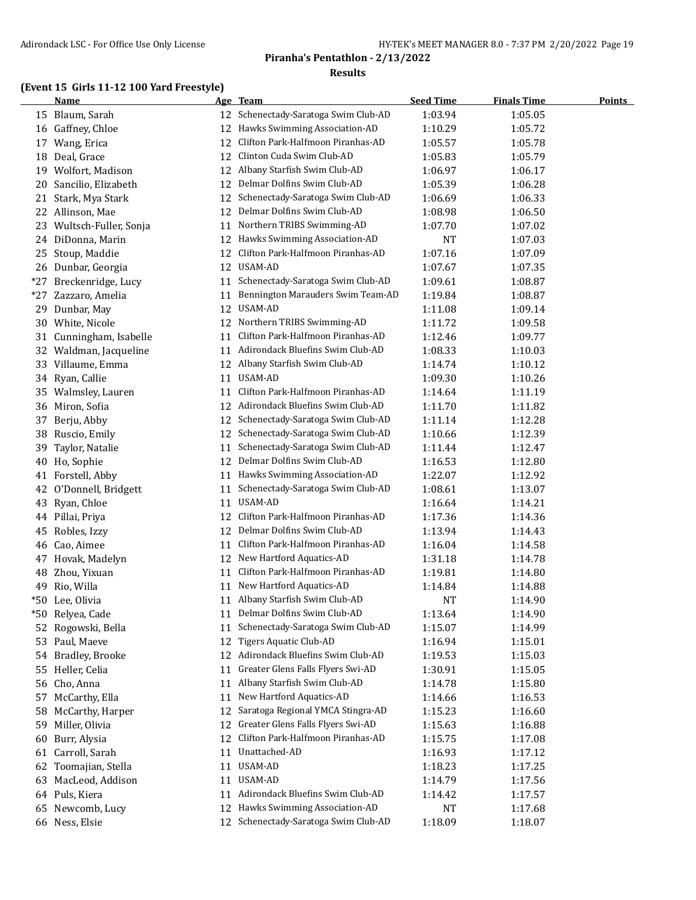## **(Event 15 Girls 11-12 100 Yard Freestyle)**

|       | <b>Name</b>             |    | Age Team                             | <b>Seed Time</b>   | <b>Finals Time</b> | <b>Points</b> |
|-------|-------------------------|----|--------------------------------------|--------------------|--------------------|---------------|
|       | 15 Blaum, Sarah         |    | 12 Schenectady-Saratoga Swim Club-AD | 1:03.94            | 1:05.05            |               |
|       | 16 Gaffney, Chloe       |    | 12 Hawks Swimming Association-AD     | 1:10.29            | 1:05.72            |               |
| 17    | Wang, Erica             | 12 | Clifton Park-Halfmoon Piranhas-AD    | 1:05.57            | 1:05.78            |               |
| 18    | Deal, Grace             | 12 | Clinton Cuda Swim Club-AD            | 1:05.83            | 1:05.79            |               |
|       | 19 Wolfort, Madison     | 12 | Albany Starfish Swim Club-AD         | 1:06.97            | 1:06.17            |               |
| 20    | Sancilio, Elizabeth     | 12 | Delmar Dolfins Swim Club-AD          | 1:05.39            | 1:06.28            |               |
| 21    | Stark, Mya Stark        | 12 | Schenectady-Saratoga Swim Club-AD    | 1:06.69            | 1:06.33            |               |
| 22    | Allinson, Mae           | 12 | Delmar Dolfins Swim Club-AD          | 1:08.98            | 1:06.50            |               |
| 23    | Wultsch-Fuller, Sonja   | 11 | Northern TRIBS Swimming-AD           | 1:07.70            | 1:07.02            |               |
| 24    | DiDonna, Marin          | 12 | Hawks Swimming Association-AD        | NT                 | 1:07.03            |               |
| 25    | Stoup, Maddie           | 12 | Clifton Park-Halfmoon Piranhas-AD    | 1:07.16            | 1:07.09            |               |
|       | 26 Dunbar, Georgia      | 12 | USAM-AD                              | 1:07.67            | 1:07.35            |               |
| $*27$ | Breckenridge, Lucy      | 11 | Schenectady-Saratoga Swim Club-AD    | 1:09.61            | 1:08.87            |               |
| *27   | Zazzaro, Amelia         | 11 | Bennington Marauders Swim Team-AD    | 1:19.84            | 1:08.87            |               |
| 29    | Dunbar, May             | 12 | USAM-AD                              | 1:11.08            | 1:09.14            |               |
|       | 30 White, Nicole        |    | 12 Northern TRIBS Swimming-AD        | 1:11.72            | 1:09.58            |               |
|       | 31 Cunningham, Isabelle | 11 | Clifton Park-Halfmoon Piranhas-AD    | 1:12.46            | 1:09.77            |               |
|       | 32 Waldman, Jacqueline  | 11 | Adirondack Bluefins Swim Club-AD     | 1:08.33            | 1:10.03            |               |
|       | 33 Villaume, Emma       |    | 12 Albany Starfish Swim Club-AD      | 1:14.74            | 1:10.12            |               |
| 34    | Ryan, Callie            | 11 | USAM-AD                              | 1:09.30            | 1:10.26            |               |
|       | 35 Walmsley, Lauren     | 11 | Clifton Park-Halfmoon Piranhas-AD    | 1:14.64            | 1:11.19            |               |
|       |                         |    | 12 Adirondack Bluefins Swim Club-AD  |                    |                    |               |
|       | 36 Miron, Sofia         | 12 | Schenectady-Saratoga Swim Club-AD    | 1:11.70            | 1:11.82            |               |
| 37    | Berju, Abby             | 12 | Schenectady-Saratoga Swim Club-AD    | 1:11.14<br>1:10.66 | 1:12.28            |               |
| 38    | Ruscio, Emily           |    | Schenectady-Saratoga Swim Club-AD    |                    | 1:12.39            |               |
| 39    | Taylor, Natalie         | 11 | Delmar Dolfins Swim Club-AD          | 1:11.44            | 1:12.47            |               |
| 40    | Ho, Sophie              | 12 |                                      | 1:16.53            | 1:12.80            |               |
| 41    | Forstell, Abby          | 11 | Hawks Swimming Association-AD        | 1:22.07            | 1:12.92            |               |
| 42    | O'Donnell, Bridgett     | 11 | Schenectady-Saratoga Swim Club-AD    | 1:08.61            | 1:13.07            |               |
|       | 43 Ryan, Chloe          | 11 | USAM-AD                              | 1:16.64            | 1:14.21            |               |
|       | 44 Pillai, Priya        | 12 | Clifton Park-Halfmoon Piranhas-AD    | 1:17.36            | 1:14.36            |               |
| 45    | Robles, Izzy            | 12 | Delmar Dolfins Swim Club-AD          | 1:13.94            | 1:14.43            |               |
|       | 46 Cao, Aimee           | 11 | Clifton Park-Halfmoon Piranhas-AD    | 1:16.04            | 1:14.58            |               |
| 47    | Hovak, Madelyn          | 12 | New Hartford Aquatics-AD             | 1:31.18            | 1:14.78            |               |
| 48    | Zhou, Yixuan            | 11 | Clifton Park-Halfmoon Piranhas-AD    | 1:19.81            | 1:14.80            |               |
| 49    | Rio, Willa              | 11 | New Hartford Aquatics-AD             | 1:14.84            | 1:14.88            |               |
|       | *50 Lee, Olivia         |    | 11 Albany Starfish Swim Club-AD      | <b>NT</b>          | 1:14.90            |               |
| $*50$ | Relyea, Cade            | 11 | Delmar Dolfins Swim Club-AD          | 1:13.64            | 1:14.90            |               |
| 52    | Rogowski, Bella         | 11 | Schenectady-Saratoga Swim Club-AD    | 1:15.07            | 1:14.99            |               |
| 53    | Paul, Maeve             | 12 | <b>Tigers Aquatic Club-AD</b>        | 1:16.94            | 1:15.01            |               |
| 54    | Bradley, Brooke         | 12 | Adirondack Bluefins Swim Club-AD     | 1:19.53            | 1:15.03            |               |
| 55    | Heller, Celia           | 11 | Greater Glens Falls Flyers Swi-AD    | 1:30.91            | 1:15.05            |               |
| 56    | Cho, Anna               | 11 | Albany Starfish Swim Club-AD         | 1:14.78            | 1:15.80            |               |
| 57    | McCarthy, Ella          | 11 | New Hartford Aquatics-AD             | 1:14.66            | 1:16.53            |               |
| 58    | McCarthy, Harper        | 12 | Saratoga Regional YMCA Stingra-AD    | 1:15.23            | 1:16.60            |               |
| 59    | Miller, Olivia          | 12 | Greater Glens Falls Flyers Swi-AD    | 1:15.63            | 1:16.88            |               |
| 60    | Burr, Alysia            | 12 | Clifton Park-Halfmoon Piranhas-AD    | 1:15.75            | 1:17.08            |               |
| 61    | Carroll, Sarah          | 11 | Unattached-AD                        | 1:16.93            | 1:17.12            |               |
| 62    | Toomajian, Stella       | 11 | USAM-AD                              | 1:18.23            | 1:17.25            |               |
| 63    | MacLeod, Addison        | 11 | USAM-AD                              | 1:14.79            | 1:17.56            |               |
| 64    | Puls, Kiera             | 11 | Adirondack Bluefins Swim Club-AD     | 1:14.42            | 1:17.57            |               |
| 65    | Newcomb, Lucy           | 12 | Hawks Swimming Association-AD        | NT                 | 1:17.68            |               |
|       | 66 Ness, Elsie          | 12 | Schenectady-Saratoga Swim Club-AD    | 1:18.09            | 1:18.07            |               |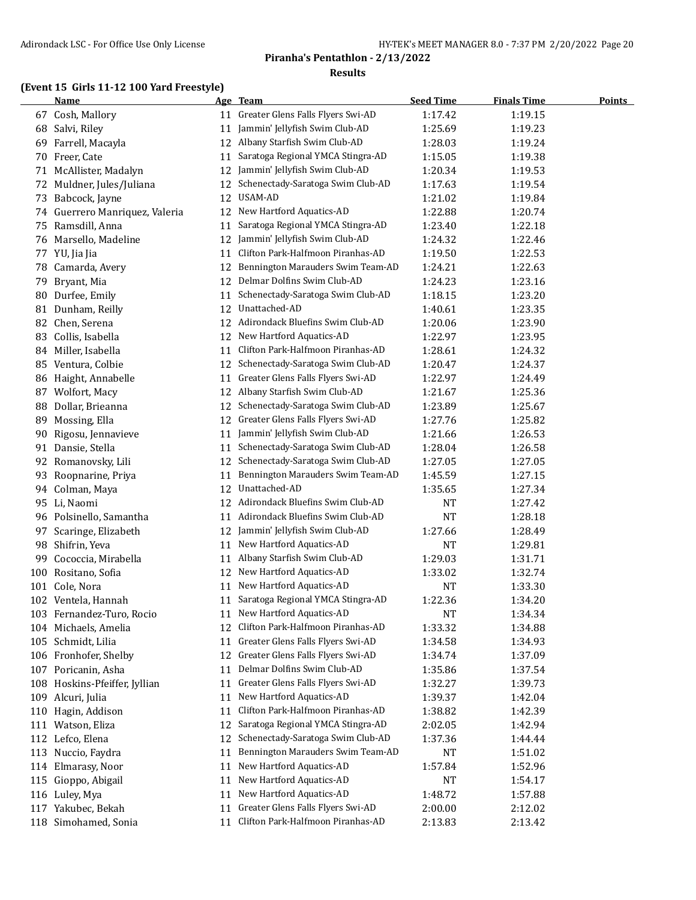## **(Event 15 Girls 11-12 100 Yard Freestyle)**

|     | <b>Name</b>                   |    | Age Team                             | <b>Seed Time</b> | <b>Finals Time</b> | <b>Points</b> |
|-----|-------------------------------|----|--------------------------------------|------------------|--------------------|---------------|
|     | 67 Cosh, Mallory              | 11 | Greater Glens Falls Flyers Swi-AD    | 1:17.42          | 1:19.15            |               |
| 68  | Salvi, Riley                  | 11 | Jammin' Jellyfish Swim Club-AD       | 1:25.69          | 1:19.23            |               |
| 69  | Farrell, Macayla              | 12 | Albany Starfish Swim Club-AD         | 1:28.03          | 1:19.24            |               |
| 70  | Freer, Cate                   | 11 | Saratoga Regional YMCA Stingra-AD    | 1:15.05          | 1:19.38            |               |
|     | 71 McAllister, Madalyn        | 12 | Jammin' Jellyfish Swim Club-AD       | 1:20.34          | 1:19.53            |               |
| 72  | Muldner, Jules/Juliana        | 12 | Schenectady-Saratoga Swim Club-AD    | 1:17.63          | 1:19.54            |               |
| 73  | Babcock, Jayne                | 12 | USAM-AD                              | 1:21.02          | 1:19.84            |               |
| 74  | Guerrero Manriquez, Valeria   | 12 | New Hartford Aquatics-AD             | 1:22.88          | 1:20.74            |               |
| 75  | Ramsdill, Anna                | 11 | Saratoga Regional YMCA Stingra-AD    | 1:23.40          | 1:22.18            |               |
|     | 76 Marsello, Madeline         | 12 | Jammin' Jellyfish Swim Club-AD       | 1:24.32          | 1:22.46            |               |
|     | 77 YU, Jia Jia                | 11 | Clifton Park-Halfmoon Piranhas-AD    | 1:19.50          | 1:22.53            |               |
| 78  | Camarda, Avery                | 12 | Bennington Marauders Swim Team-AD    | 1:24.21          | 1:22.63            |               |
| 79  | Bryant, Mia                   | 12 | Delmar Dolfins Swim Club-AD          | 1:24.23          | 1:23.16            |               |
| 80  | Durfee, Emily                 | 11 | Schenectady-Saratoga Swim Club-AD    | 1:18.15          | 1:23.20            |               |
| 81  | Dunham, Reilly                | 12 | Unattached-AD                        | 1:40.61          | 1:23.35            |               |
| 82  | Chen, Serena                  | 12 | Adirondack Bluefins Swim Club-AD     | 1:20.06          | 1:23.90            |               |
| 83  | Collis, Isabella              | 12 | New Hartford Aquatics-AD             | 1:22.97          | 1:23.95            |               |
| 84  | Miller, Isabella              | 11 | Clifton Park-Halfmoon Piranhas-AD    | 1:28.61          | 1:24.32            |               |
| 85  | Ventura, Colbie               | 12 | Schenectady-Saratoga Swim Club-AD    | 1:20.47          | 1:24.37            |               |
| 86  | Haight, Annabelle             | 11 | Greater Glens Falls Flyers Swi-AD    | 1:22.97          | 1:24.49            |               |
| 87  | Wolfort, Macy                 | 12 | Albany Starfish Swim Club-AD         | 1:21.67          | 1:25.36            |               |
| 88  | Dollar, Brieanna              | 12 | Schenectady-Saratoga Swim Club-AD    | 1:23.89          | 1:25.67            |               |
| 89  | Mossing, Ella                 | 12 | Greater Glens Falls Flyers Swi-AD    | 1:27.76          | 1:25.82            |               |
| 90  | Rigosu, Jennavieve            | 11 | Jammin' Jellyfish Swim Club-AD       | 1:21.66          | 1:26.53            |               |
| 91  | Dansie, Stella                | 11 | Schenectady-Saratoga Swim Club-AD    | 1:28.04          | 1:26.58            |               |
| 92  | Romanovsky, Lili              | 12 | Schenectady-Saratoga Swim Club-AD    | 1:27.05          | 1:27.05            |               |
| 93  | Roopnarine, Priya             | 11 | Bennington Marauders Swim Team-AD    | 1:45.59          | 1:27.15            |               |
| 94  | Colman, Maya                  | 12 | Unattached-AD                        | 1:35.65          | 1:27.34            |               |
|     | 95 Li, Naomi                  |    | 12 Adirondack Bluefins Swim Club-AD  | NT               | 1:27.42            |               |
|     | 96 Polsinello, Samantha       | 11 | Adirondack Bluefins Swim Club-AD     | <b>NT</b>        | 1:28.18            |               |
| 97  | Scaringe, Elizabeth           | 12 | Jammin' Jellyfish Swim Club-AD       | 1:27.66          | 1:28.49            |               |
| 98  | Shifrin, Yeva                 | 11 | New Hartford Aquatics-AD             | <b>NT</b>        | 1:29.81            |               |
| 99  | Cococcia, Mirabella           | 11 | Albany Starfish Swim Club-AD         | 1:29.03          | 1:31.71            |               |
| 100 | Rositano, Sofia               | 12 | New Hartford Aquatics-AD             | 1:33.02          | 1:32.74            |               |
|     | 101 Cole, Nora                | 11 | New Hartford Aquatics-AD             | NT               | 1:33.30            |               |
|     | 102 Ventela, Hannah           |    | 11 Saratoga Regional YMCA Stingra-AD | 1:22.36          | 1:34.20            |               |
|     | 103 Fernandez-Turo, Rocio     |    | 11 New Hartford Aquatics-AD          | NT               | 1:34.34            |               |
|     | 104 Michaels, Amelia          | 12 | Clifton Park-Halfmoon Piranhas-AD    | 1:33.32          | 1:34.88            |               |
|     | 105 Schmidt, Lilia            | 11 | Greater Glens Falls Flyers Swi-AD    | 1:34.58          | 1:34.93            |               |
|     | 106 Fronhofer, Shelby         | 12 | Greater Glens Falls Flyers Swi-AD    | 1:34.74          | 1:37.09            |               |
|     | 107 Poricanin, Asha           | 11 | Delmar Dolfins Swim Club-AD          | 1:35.86          | 1:37.54            |               |
|     | 108 Hoskins-Pfeiffer, Jyllian | 11 | Greater Glens Falls Flyers Swi-AD    | 1:32.27          | 1:39.73            |               |
| 109 | Alcuri, Julia                 | 11 | New Hartford Aquatics-AD             | 1:39.37          | 1:42.04            |               |
| 110 | Hagin, Addison                | 11 | Clifton Park-Halfmoon Piranhas-AD    | 1:38.82          | 1:42.39            |               |
|     | 111 Watson, Eliza             | 12 | Saratoga Regional YMCA Stingra-AD    | 2:02.05          | 1:42.94            |               |
|     | 112 Lefco, Elena              | 12 | Schenectady-Saratoga Swim Club-AD    | 1:37.36          | 1:44.44            |               |
| 113 | Nuccio, Faydra                | 11 | Bennington Marauders Swim Team-AD    | NT               | 1:51.02            |               |
| 114 | Elmarasy, Noor                | 11 | New Hartford Aquatics-AD             | 1:57.84          | 1:52.96            |               |
|     | 115 Gioppo, Abigail           | 11 | New Hartford Aquatics-AD             | NT               | 1:54.17            |               |
|     | 116 Luley, Mya                | 11 | New Hartford Aquatics-AD             | 1:48.72          | 1:57.88            |               |
|     | 117 Yakubec, Bekah            | 11 | Greater Glens Falls Flyers Swi-AD    | 2:00.00          | 2:12.02            |               |
|     | 118 Simohamed, Sonia          | 11 | Clifton Park-Halfmoon Piranhas-AD    | 2:13.83          | 2:13.42            |               |
|     |                               |    |                                      |                  |                    |               |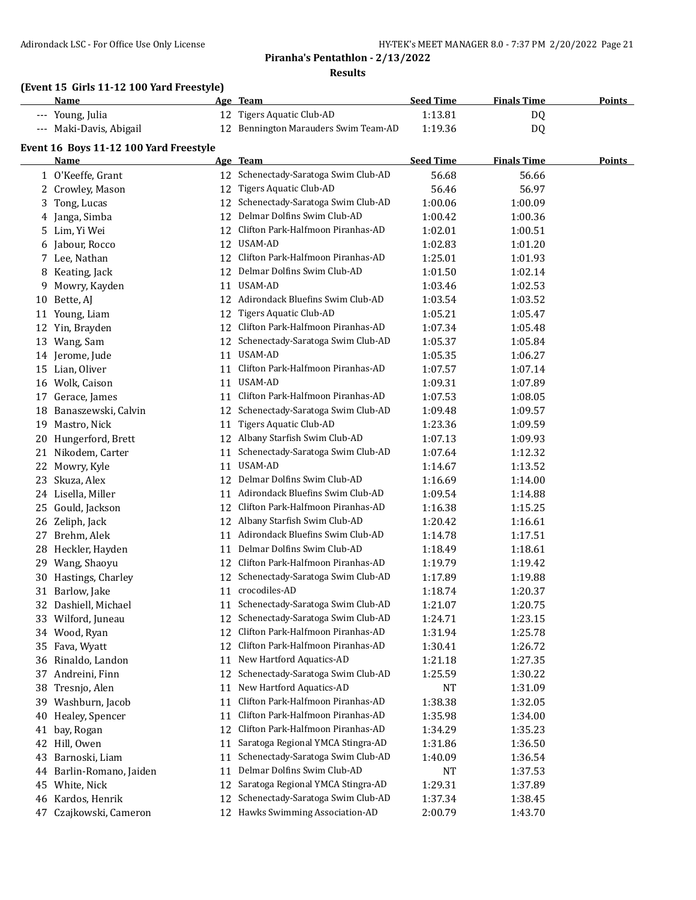## **(Event 15 Girls 11-12 100 Yard Freestyle)**

|    | Name                                   |    | Age Team                             | <b>Seed Time</b> | <b>Finals Time</b> | <b>Points</b> |
|----|----------------------------------------|----|--------------------------------------|------------------|--------------------|---------------|
|    | --- Young, Julia                       |    | 12 Tigers Aquatic Club-AD            | 1:13.81          | DQ                 |               |
|    | --- Maki-Davis, Abigail                |    | 12 Bennington Marauders Swim Team-AD | 1:19.36          | DQ                 |               |
|    | Event 16 Boys 11-12 100 Yard Freestyle |    |                                      |                  |                    |               |
|    | Name                                   |    | Age Team                             | <b>Seed Time</b> | <b>Finals Time</b> | <b>Points</b> |
|    | 1 O'Keeffe, Grant                      |    | 12 Schenectady-Saratoga Swim Club-AD | 56.68            | 56.66              |               |
|    | 2 Crowley, Mason                       |    | 12 Tigers Aquatic Club-AD            | 56.46            | 56.97              |               |
| 3  | Tong, Lucas                            |    | 12 Schenectady-Saratoga Swim Club-AD | 1:00.06          | 1:00.09            |               |
| 4  | Janga, Simba                           |    | 12 Delmar Dolfins Swim Club-AD       | 1:00.42          | 1:00.36            |               |
| 5. | Lim, Yi Wei                            |    | 12 Clifton Park-Halfmoon Piranhas-AD | 1:02.01          | 1:00.51            |               |
|    | 6 Jabour, Rocco                        |    | 12 USAM-AD                           | 1:02.83          | 1:01.20            |               |
|    | 7 Lee, Nathan                          |    | 12 Clifton Park-Halfmoon Piranhas-AD | 1:25.01          | 1:01.93            |               |
| 8  | Keating, Jack                          |    | 12 Delmar Dolfins Swim Club-AD       | 1:01.50          | 1:02.14            |               |
| 9  | Mowry, Kayden                          |    | 11 USAM-AD                           | 1:03.46          | 1:02.53            |               |
|    | 10 Bette, AJ                           |    | 12 Adirondack Bluefins Swim Club-AD  | 1:03.54          | 1:03.52            |               |
|    | 11 Young, Liam                         |    | 12 Tigers Aquatic Club-AD            | 1:05.21          | 1:05.47            |               |
|    | 12 Yin, Brayden                        |    | 12 Clifton Park-Halfmoon Piranhas-AD | 1:07.34          | 1:05.48            |               |
|    | 13 Wang, Sam                           |    | 12 Schenectady-Saratoga Swim Club-AD | 1:05.37          | 1:05.84            |               |
|    | 14 Jerome, Jude                        |    | 11 USAM-AD                           | 1:05.35          | 1:06.27            |               |
|    | 15 Lian, Oliver                        |    | 11 Clifton Park-Halfmoon Piranhas-AD | 1:07.57          | 1:07.14            |               |
|    | 16 Wolk, Caison                        |    | 11 USAM-AD                           | 1:09.31          | 1:07.89            |               |
|    | 17 Gerace, James                       |    | 11 Clifton Park-Halfmoon Piranhas-AD | 1:07.53          | 1:08.05            |               |
| 18 | Banaszewski, Calvin                    |    | 12 Schenectady-Saratoga Swim Club-AD | 1:09.48          | 1:09.57            |               |
| 19 | Mastro, Nick                           | 11 | Tigers Aquatic Club-AD               | 1:23.36          | 1:09.59            |               |
| 20 | Hungerford, Brett                      |    | 12 Albany Starfish Swim Club-AD      | 1:07.13          | 1:09.93            |               |
|    | 21 Nikodem, Carter                     | 11 | Schenectady-Saratoga Swim Club-AD    | 1:07.64          | 1:12.32            |               |
| 22 | Mowry, Kyle                            | 11 | USAM-AD                              | 1:14.67          | 1:13.52            |               |
| 23 | Skuza, Alex                            | 12 | Delmar Dolfins Swim Club-AD          | 1:16.69          | 1:14.00            |               |
|    | 24 Lisella, Miller                     |    | 11 Adirondack Bluefins Swim Club-AD  | 1:09.54          | 1:14.88            |               |
| 25 | Gould, Jackson                         | 12 | Clifton Park-Halfmoon Piranhas-AD    | 1:16.38          | 1:15.25            |               |
|    | 26 Zeliph, Jack                        |    | 12 Albany Starfish Swim Club-AD      | 1:20.42          | 1:16.61            |               |
|    | 27 Brehm, Alek                         |    | 11 Adirondack Bluefins Swim Club-AD  | 1:14.78          | 1:17.51            |               |
|    | 28 Heckler, Hayden                     | 11 | Delmar Dolfins Swim Club-AD          | 1:18.49          | 1:18.61            |               |
|    | 29 Wang, Shaoyu                        |    | 12 Clifton Park-Halfmoon Piranhas-AD | 1:19.79          | 1:19.42            |               |
|    | 30 Hastings, Charley                   |    | 12 Schenectady-Saratoga Swim Club-AD | 1:17.89          | 1:19.88            |               |
|    | 31 Barlow, Jake                        |    | 11 crocodiles-AD                     | 1:18.74          | 1:20.37            |               |
|    | 32 Dashiell, Michael                   |    | 11 Schenectady-Saratoga Swim Club-AD | 1:21.07          | 1:20.75            |               |
|    | 33 Wilford, Juneau                     |    | 12 Schenectady-Saratoga Swim Club-AD | 1:24.71          | 1:23.15            |               |
|    | 34 Wood, Ryan                          |    | 12 Clifton Park-Halfmoon Piranhas-AD | 1:31.94          | 1:25.78            |               |
| 35 | Fava, Wyatt                            | 12 | Clifton Park-Halfmoon Piranhas-AD    | 1:30.41          | 1:26.72            |               |
|    | 36 Rinaldo, Landon                     | 11 | New Hartford Aquatics-AD             | 1:21.18          | 1:27.35            |               |
| 37 | Andreini, Finn                         | 12 | Schenectady-Saratoga Swim Club-AD    | 1:25.59          | 1:30.22            |               |
| 38 | Tresnjo, Alen                          | 11 | New Hartford Aquatics-AD             | NT               | 1:31.09            |               |
| 39 | Washburn, Jacob                        | 11 | Clifton Park-Halfmoon Piranhas-AD    | 1:38.38          | 1:32.05            |               |
| 40 | Healey, Spencer                        | 11 | Clifton Park-Halfmoon Piranhas-AD    | 1:35.98          | 1:34.00            |               |
| 41 | bay, Rogan                             | 12 | Clifton Park-Halfmoon Piranhas-AD    | 1:34.29          | 1:35.23            |               |
| 42 | Hill, Owen                             | 11 | Saratoga Regional YMCA Stingra-AD    | 1:31.86          | 1:36.50            |               |
| 43 | Barnoski, Liam                         | 11 | Schenectady-Saratoga Swim Club-AD    | 1:40.09          | 1:36.54            |               |
|    | 44 Barlin-Romano, Jaiden               | 11 | Delmar Dolfins Swim Club-AD          | NT               | 1:37.53            |               |
| 45 | White, Nick                            | 12 | Saratoga Regional YMCA Stingra-AD    | 1:29.31          | 1:37.89            |               |
| 46 | Kardos, Henrik                         | 12 | Schenectady-Saratoga Swim Club-AD    | 1:37.34          | 1:38.45            |               |
| 47 | Czajkowski, Cameron                    |    | 12 Hawks Swimming Association-AD     | 2:00.79          | 1:43.70            |               |
|    |                                        |    |                                      |                  |                    |               |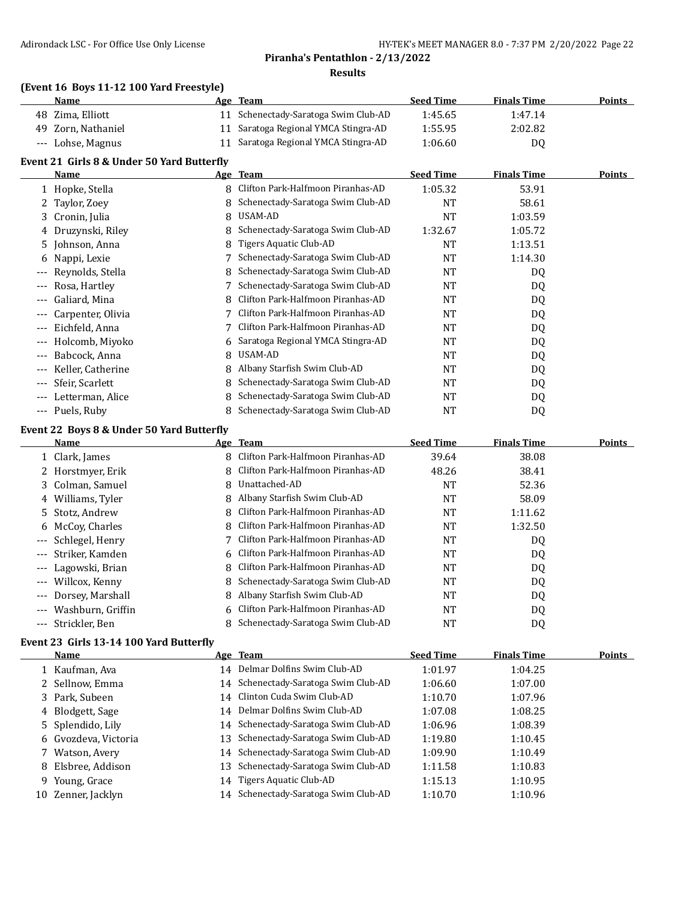#### **(Event 16 Boys 11-12 100 Yard Freestyle)**

| <b>Name</b>        | Age Team                             | <b>Seed Time</b> | <b>Finals Time</b> | <b>Points</b> |
|--------------------|--------------------------------------|------------------|--------------------|---------------|
| 48 Zima, Elliott   | 11 Schenectady-Saratoga Swim Club-AD | 1:45.65          | 1:47.14            |               |
| 49 Zorn, Nathaniel | 11 Saratoga Regional YMCA Stingra-AD | 1:55.95          | 2:02.82            |               |
| --- Lohse, Magnus  | 11 Saratoga Regional YMCA Stingra-AD | 1:06.60          | DO.                |               |

#### **Event 21 Girls 8 & Under 50 Yard Butterfly**

|          | Name                |    | Age Team                          | <b>Seed Time</b> | <b>Finals Time</b> | <b>Points</b> |
|----------|---------------------|----|-----------------------------------|------------------|--------------------|---------------|
|          | 1 Hopke, Stella     | 8  | Clifton Park-Halfmoon Piranhas-AD | 1:05.32          | 53.91              |               |
|          | 2 Taylor, Zoey      |    | Schenectady-Saratoga Swim Club-AD | NT               | 58.61              |               |
|          | 3 Cronin, Julia     | 8  | USAM-AD                           | NT               | 1:03.59            |               |
|          | 4 Druzynski, Riley  |    | Schenectady-Saratoga Swim Club-AD | 1:32.67          | 1:05.72            |               |
|          | 5 Johnson, Anna     | 8. | Tigers Aquatic Club-AD            | <b>NT</b>        | 1:13.51            |               |
|          | 6 Nappi, Lexie      |    | Schenectady-Saratoga Swim Club-AD | <b>NT</b>        | 1:14.30            |               |
| $---$    | Reynolds, Stella    |    | Schenectady-Saratoga Swim Club-AD | <b>NT</b>        | DQ                 |               |
|          | Rosa, Hartley       |    | Schenectady-Saratoga Swim Club-AD | <b>NT</b>        | DQ                 |               |
| $---$    | Galiard, Mina       |    | Clifton Park-Halfmoon Piranhas-AD | <b>NT</b>        | DQ                 |               |
|          | Carpenter, Olivia   |    | Clifton Park-Halfmoon Piranhas-AD | NT               | DQ                 |               |
| $---$    | Eichfeld, Anna      |    | Clifton Park-Halfmoon Piranhas-AD | <b>NT</b>        | DQ                 |               |
| $---$    | Holcomb, Miyoko     | 6  | Saratoga Regional YMCA Stingra-AD | <b>NT</b>        | DQ                 |               |
| $\cdots$ | Babcock, Anna       | 8  | USAM-AD                           | NT               | DQ                 |               |
|          | Keller, Catherine   | 8. | Albany Starfish Swim Club-AD      | <b>NT</b>        | DQ                 |               |
|          | --- Sfeir, Scarlett | 8. | Schenectady-Saratoga Swim Club-AD | NT               | DQ                 |               |
| $---$    | Letterman, Alice    |    | Schenectady-Saratoga Swim Club-AD | NT               | DQ                 |               |
| $\cdots$ | Puels, Ruby         |    | Schenectady-Saratoga Swim Club-AD | NT               | D <sub>0</sub>     |               |

#### **Event 22 Boys 8 & Under 50 Yard Butterfly**

|       | <b>Name</b>         |    | Age Team                            | <b>Seed Time</b> | <b>Finals Time</b> | <b>Points</b> |
|-------|---------------------|----|-------------------------------------|------------------|--------------------|---------------|
|       | 1 Clark, James      | 8  | Clifton Park-Halfmoon Piranhas-AD   | 39.64            | 38.08              |               |
|       | 2 Horstmyer, Erik   | 8  | Clifton Park-Halfmoon Piranhas-AD   | 48.26            | 38.41              |               |
|       | 3 Colman, Samuel    | 8  | Unattached-AD                       | NT               | 52.36              |               |
|       | 4 Williams, Tyler   | 8  | Albany Starfish Swim Club-AD        | NT               | 58.09              |               |
|       | 5 Stotz, Andrew     | 8  | Clifton Park-Halfmoon Piranhas-AD   | NT               | 1:11.62            |               |
|       | 6 McCoy, Charles    | 8  | Clifton Park-Halfmoon Piranhas-AD   | NT               | 1:32.50            |               |
|       | --- Schlegel, Henry |    | Clifton Park-Halfmoon Piranhas-AD   | NT               | DQ                 |               |
|       | --- Striker. Kamden |    | 6 Clifton Park-Halfmoon Piranhas-AD | NT               | DQ                 |               |
|       | --- Lagowski, Brian | 8  | Clifton Park-Halfmoon Piranhas-AD   | NT               | DQ                 |               |
| $---$ | Willcox, Kenny      | 8  | Schenectady-Saratoga Swim Club-AD   | NT               | DQ                 |               |
| $---$ | Dorsey, Marshall    | 8  | Albany Starfish Swim Club-AD        | NT               | DQ                 |               |
| $---$ | Washburn, Griffin   | 6. | Clifton Park-Halfmoon Piranhas-AD   | NT               | DQ                 |               |
|       | --- Strickler, Ben  |    | Schenectady-Saratoga Swim Club-AD   | NT               | D <sub>0</sub>     |               |

#### **Event 23 Girls 13-14 100 Yard Butterfly**

| Name                 |    | Age Team                             | <b>Seed Time</b> | <b>Finals Time</b> | <b>Points</b> |
|----------------------|----|--------------------------------------|------------------|--------------------|---------------|
| 1 Kaufman, Ava       | 14 | Delmar Dolfins Swim Club-AD          | 1:01.97          | 1:04.25            |               |
| 2 Sellnow, Emma      |    | 14 Schenectady-Saratoga Swim Club-AD | 1:06.60          | 1:07.00            |               |
| 3 Park, Subeen       |    | 14 Clinton Cuda Swim Club-AD         | 1:10.70          | 1:07.96            |               |
| 4 Blodgett, Sage     |    | 14 Delmar Dolfins Swim Club-AD       | 1:07.08          | 1:08.25            |               |
| 5 Splendido, Lily    |    | 14 Schenectady-Saratoga Swim Club-AD | 1:06.96          | 1:08.39            |               |
| 6 Gvozdeva, Victoria |    | 13 Schenectady-Saratoga Swim Club-AD | 1:19.80          | 1:10.45            |               |
| 7 Watson, Avery      |    | 14 Schenectady-Saratoga Swim Club-AD | 1:09.90          | 1:10.49            |               |
| 8 Elsbree, Addison   | 13 | Schenectady-Saratoga Swim Club-AD    | 1:11.58          | 1:10.83            |               |
| 9 Young, Grace       | 14 | Tigers Aquatic Club-AD               | 1:15.13          | 1:10.95            |               |
| 10 Zenner, Jacklyn   |    | 14 Schenectady-Saratoga Swim Club-AD | 1:10.70          | 1:10.96            |               |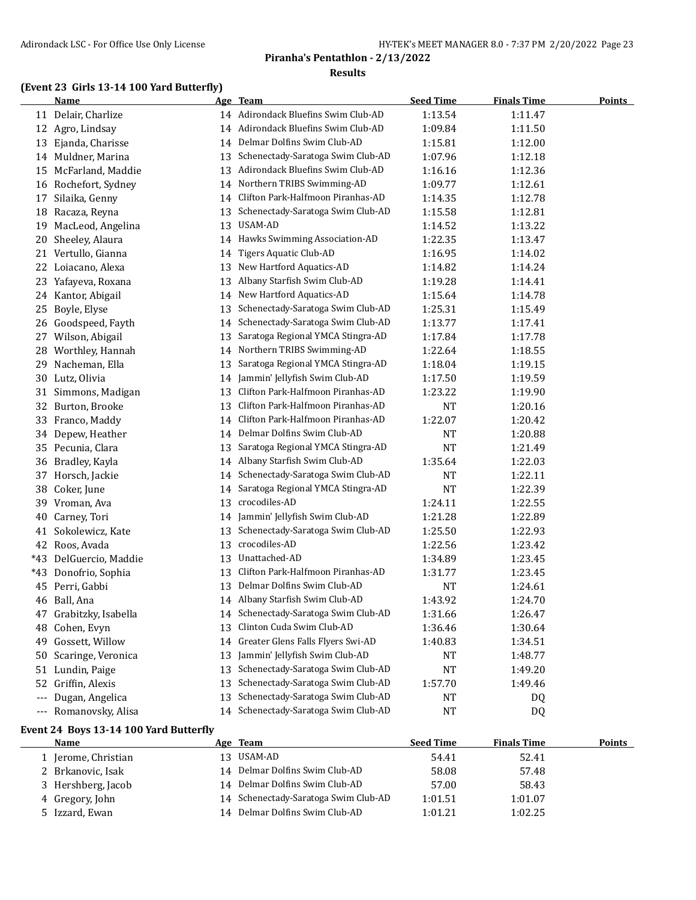## **(Event 23 Girls 13-14 100 Yard Butterfly)**

|       | <b>Name</b>            |    | Age Team                             | <b>Seed Time</b> | <b>Finals Time</b> | <b>Points</b> |
|-------|------------------------|----|--------------------------------------|------------------|--------------------|---------------|
|       | 11 Delair, Charlize    |    | 14 Adirondack Bluefins Swim Club-AD  | 1:13.54          | 1:11.47            |               |
| 12    | Agro, Lindsay          |    | 14 Adirondack Bluefins Swim Club-AD  | 1:09.84          | 1:11.50            |               |
| 13    | Ejanda, Charisse       | 14 | Delmar Dolfins Swim Club-AD          | 1:15.81          | 1:12.00            |               |
|       | 14 Muldner, Marina     | 13 | Schenectady-Saratoga Swim Club-AD    | 1:07.96          | 1:12.18            |               |
| 15    | McFarland, Maddie      | 13 | Adirondack Bluefins Swim Club-AD     | 1:16.16          | 1:12.36            |               |
|       | 16 Rochefort, Sydney   | 14 | Northern TRIBS Swimming-AD           | 1:09.77          | 1:12.61            |               |
| 17    | Silaika, Genny         | 14 | Clifton Park-Halfmoon Piranhas-AD    | 1:14.35          | 1:12.78            |               |
| 18    | Racaza, Reyna          | 13 | Schenectady-Saratoga Swim Club-AD    | 1:15.58          | 1:12.81            |               |
| 19    | MacLeod, Angelina      | 13 | USAM-AD                              | 1:14.52          | 1:13.22            |               |
| 20    | Sheeley, Alaura        | 14 | Hawks Swimming Association-AD        | 1:22.35          | 1:13.47            |               |
| 21    | Vertullo, Gianna       | 14 | <b>Tigers Aquatic Club-AD</b>        | 1:16.95          | 1:14.02            |               |
| 22    | Loiacano, Alexa        | 13 | New Hartford Aquatics-AD             | 1:14.82          | 1:14.24            |               |
| 23    | Yafayeva, Roxana       | 13 | Albany Starfish Swim Club-AD         | 1:19.28          | 1:14.41            |               |
| 24    | Kantor, Abigail        | 14 | New Hartford Aquatics-AD             | 1:15.64          | 1:14.78            |               |
| 25    | Boyle, Elyse           | 13 | Schenectady-Saratoga Swim Club-AD    | 1:25.31          | 1:15.49            |               |
| 26    | Goodspeed, Fayth       | 14 | Schenectady-Saratoga Swim Club-AD    | 1:13.77          | 1:17.41            |               |
| 27    | Wilson, Abigail        | 13 | Saratoga Regional YMCA Stingra-AD    | 1:17.84          | 1:17.78            |               |
| 28    | Worthley, Hannah       | 14 | Northern TRIBS Swimming-AD           | 1:22.64          | 1:18.55            |               |
| 29    | Nacheman, Ella         | 13 | Saratoga Regional YMCA Stingra-AD    | 1:18.04          | 1:19.15            |               |
| 30    | Lutz, Olivia           | 14 | Jammin' Jellyfish Swim Club-AD       | 1:17.50          | 1:19.59            |               |
| 31    | Simmons, Madigan       | 13 | Clifton Park-Halfmoon Piranhas-AD    | 1:23.22          | 1:19.90            |               |
| 32    | Burton, Brooke         | 13 | Clifton Park-Halfmoon Piranhas-AD    | <b>NT</b>        | 1:20.16            |               |
| 33    | Franco, Maddy          | 14 | Clifton Park-Halfmoon Piranhas-AD    | 1:22.07          | 1:20.42            |               |
| 34    | Depew, Heather         | 14 | Delmar Dolfins Swim Club-AD          | <b>NT</b>        | 1:20.88            |               |
|       | 35 Pecunia, Clara      | 13 | Saratoga Regional YMCA Stingra-AD    | <b>NT</b>        | 1:21.49            |               |
| 36    | Bradley, Kayla         | 14 | Albany Starfish Swim Club-AD         | 1:35.64          | 1:22.03            |               |
| 37    | Horsch, Jackie         | 14 | Schenectady-Saratoga Swim Club-AD    | <b>NT</b>        | 1:22.11            |               |
| 38    | Coker, June            | 14 | Saratoga Regional YMCA Stingra-AD    | <b>NT</b>        | 1:22.39            |               |
| 39    | Vroman, Ava            | 13 | crocodiles-AD                        | 1:24.11          | 1:22.55            |               |
| 40    | Carney, Tori           | 14 | Jammin' Jellyfish Swim Club-AD       | 1:21.28          | 1:22.89            |               |
| 41    | Sokolewicz, Kate       | 13 | Schenectady-Saratoga Swim Club-AD    | 1:25.50          | 1:22.93            |               |
| 42    | Roos, Avada            | 13 | crocodiles-AD                        | 1:22.56          | 1:23.42            |               |
| $*43$ | DelGuercio, Maddie     | 13 | Unattached-AD                        | 1:34.89          | 1:23.45            |               |
| $*43$ | Donofrio, Sophia       | 13 | Clifton Park-Halfmoon Piranhas-AD    | 1:31.77          | 1:23.45            |               |
| 45    | Perri, Gabbi           | 13 | Delmar Dolfins Swim Club-AD          | NT               | 1:24.61            |               |
| 46    | Ball, Ana              |    | 14 Albany Starfish Swim Club-AD      | 1:43.92          | 1:24.70            |               |
|       | 47 Grabitzky, Isabella |    | 14 Schenectady-Saratoga Swim Club-AD | 1:31.66          | 1:26.47            |               |
| 48    | Cohen, Evyn            | 13 | Clinton Cuda Swim Club-AD            | 1:36.46          | 1:30.64            |               |
| 49    | Gossett, Willow        | 14 | Greater Glens Falls Flyers Swi-AD    | 1:40.83          | 1:34.51            |               |
| 50    | Scaringe, Veronica     | 13 | Jammin' Jellyfish Swim Club-AD       | <b>NT</b>        | 1:48.77            |               |
| 51    | Lundin, Paige          | 13 | Schenectady-Saratoga Swim Club-AD    | $\rm{NT}$        | 1:49.20            |               |
| 52    | Griffin, Alexis        | 13 | Schenectady-Saratoga Swim Club-AD    | 1:57.70          | 1:49.46            |               |
| ---   | Dugan, Angelica        | 13 | Schenectady-Saratoga Swim Club-AD    | NT               | DQ                 |               |
|       | --- Romanovsky, Alisa  |    | 14 Schenectady-Saratoga Swim Club-AD | <b>NT</b>        | DQ                 |               |

#### **Event 24 Boys 13-14 100 Yard Butterfly**

| <b>Name</b>        | Age Team                             | <b>Seed Time</b> | <b>Finals Time</b> | Points |
|--------------------|--------------------------------------|------------------|--------------------|--------|
| Jerome, Christian  | 13 USAM-AD                           | 54.41            | 52.41              |        |
| 2 Brkanovic, Isak  | 14 Delmar Dolfins Swim Club-AD       | 58.08            | 57.48              |        |
| 3 Hershberg, Jacob | 14 Delmar Dolfins Swim Club-AD       | 57.00            | 58.43              |        |
| 4 Gregory, John    | 14 Schenectady-Saratoga Swim Club-AD | 1:01.51          | 1:01.07            |        |
| 5 Izzard, Ewan     | 14 Delmar Dolfins Swim Club-AD       | 1:01.21          | 1:02.25            |        |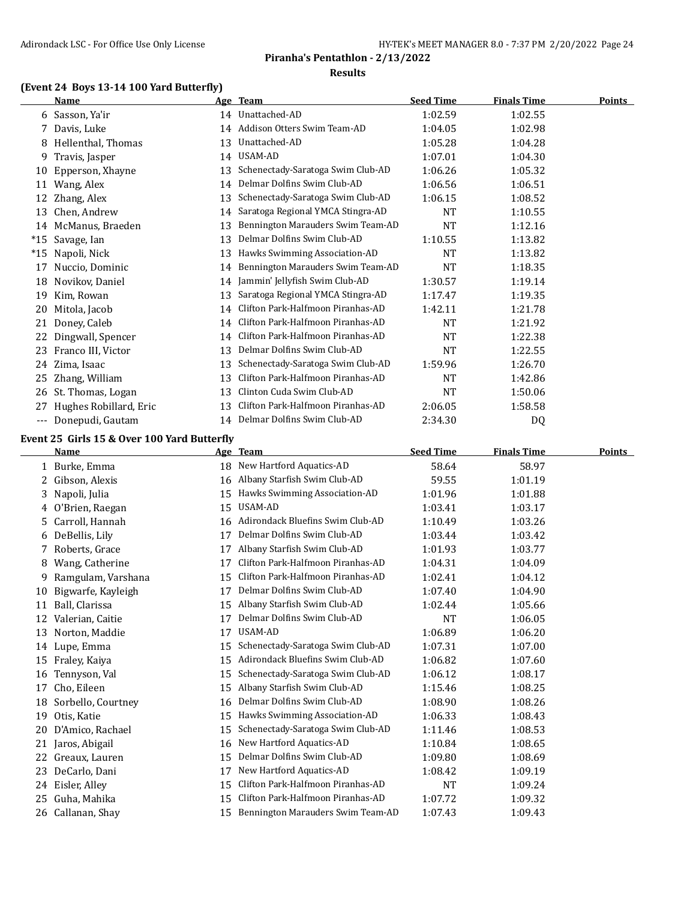## **(Event 24 Boys 13-14 100 Yard Butterfly)**

|                     | Name                                        |    | Age Team                            | <b>Seed Time</b>     | <b>Finals Time</b> | <b>Points</b> |
|---------------------|---------------------------------------------|----|-------------------------------------|----------------------|--------------------|---------------|
|                     | 6 Sasson, Ya'ir                             |    | 14 Unattached-AD                    | 1:02.59              | 1:02.55            |               |
| 7.                  | Davis, Luke                                 |    | 14 Addison Otters Swim Team-AD      | 1:04.05              | 1:02.98            |               |
| 8                   | Hellenthal, Thomas                          | 13 | Unattached-AD                       | 1:05.28              | 1:04.28            |               |
| 9                   | Travis, Jasper                              |    | 14 USAM-AD                          | 1:07.01              | 1:04.30            |               |
| 10                  | Epperson, Xhayne                            | 13 | Schenectady-Saratoga Swim Club-AD   | 1:06.26              | 1:05.32            |               |
| 11                  | Wang, Alex                                  | 14 | Delmar Dolfins Swim Club-AD         | 1:06.56              | 1:06.51            |               |
| 12                  | Zhang, Alex                                 | 13 | Schenectady-Saratoga Swim Club-AD   | 1:06.15              | 1:08.52            |               |
| 13                  | Chen, Andrew                                | 14 | Saratoga Regional YMCA Stingra-AD   | <b>NT</b>            | 1:10.55            |               |
| 14                  | McManus, Braeden                            | 13 | Bennington Marauders Swim Team-AD   | <b>NT</b>            | 1:12.16            |               |
| $*15$               | Savage, Ian                                 | 13 | Delmar Dolfins Swim Club-AD         | 1:10.55              | 1:13.82            |               |
| $*15$               | Napoli, Nick                                | 13 | Hawks Swimming Association-AD       | <b>NT</b>            | 1:13.82            |               |
| 17                  | Nuccio, Dominic                             | 14 | Bennington Marauders Swim Team-AD   | <b>NT</b>            | 1:18.35            |               |
| 18                  | Novikov, Daniel                             | 14 | Jammin' Jellyfish Swim Club-AD      | 1:30.57              | 1:19.14            |               |
| 19                  | Kim, Rowan                                  | 13 | Saratoga Regional YMCA Stingra-AD   | 1:17.47              | 1:19.35            |               |
| 20                  | Mitola, Jacob                               | 14 | Clifton Park-Halfmoon Piranhas-AD   | 1:42.11              | 1:21.78            |               |
| 21                  | Doney, Caleb                                | 14 | Clifton Park-Halfmoon Piranhas-AD   | <b>NT</b>            | 1:21.92            |               |
| 22                  | Dingwall, Spencer                           | 14 | Clifton Park-Halfmoon Piranhas-AD   | <b>NT</b>            | 1:22.38            |               |
| 23                  | Franco III, Victor                          | 13 | Delmar Dolfins Swim Club-AD         | <b>NT</b>            | 1:22.55            |               |
| 24                  | Zima, Isaac                                 | 13 | Schenectady-Saratoga Swim Club-AD   | 1:59.96              | 1:26.70            |               |
| 25                  | Zhang, William                              | 13 | Clifton Park-Halfmoon Piranhas-AD   | NT                   | 1:42.86            |               |
| 26                  | St. Thomas, Logan                           | 13 | Clinton Cuda Swim Club-AD           | <b>NT</b>            | 1:50.06            |               |
| 27                  | Hughes Robillard, Eric                      | 13 | Clifton Park-Halfmoon Piranhas-AD   | 2:06.05              | 1:58.58            |               |
| $\qquad \qquad - -$ | Donepudi, Gautam                            |    | 14 Delmar Dolfins Swim Club-AD      | 2:34.30              | DQ                 |               |
|                     | Event 25 Girls 15 & Over 100 Yard Butterfly |    |                                     |                      |                    |               |
|                     | Name                                        |    | Age Team                            | <b>Seed Time</b>     | <b>Finals Time</b> | Points        |
|                     | 1 Burke, Emma                               | 18 | New Hartford Aquatics-AD            | 58.64                | 58.97              |               |
| 2                   | Gibson, Alexis                              | 16 | Albany Starfish Swim Club-AD        | 59.55                | 1:01.19            |               |
| 3                   | Napoli, Julia                               | 15 | Hawks Swimming Association-AD       | 1:01.96              | 1:01.88            |               |
|                     | 4 O'Brien, Raegan                           | 15 | USAM-AD                             | 1:03.41              | 1:03.17            |               |
|                     | 5 Carroll Hannah                            |    | 16 Adirondack Bluefins Swim Club-AD | $1.10 \, \text{A}$ 9 | 1.03.26            |               |

|    | 5 Carroll, Hannah  | 16 | Adirondack Bluefins Swim Club-AD  | 1:10.49   | 1:03.26 |
|----|--------------------|----|-----------------------------------|-----------|---------|
| 6  | DeBellis, Lily     | 17 | Delmar Dolfins Swim Club-AD       | 1:03.44   | 1:03.42 |
| 7  | Roberts, Grace     | 17 | Albany Starfish Swim Club-AD      | 1:01.93   | 1:03.77 |
| 8  | Wang, Catherine    | 17 | Clifton Park-Halfmoon Piranhas-AD | 1:04.31   | 1:04.09 |
| 9  | Ramgulam, Varshana | 15 | Clifton Park-Halfmoon Piranhas-AD | 1:02.41   | 1:04.12 |
| 10 | Bigwarfe, Kayleigh | 17 | Delmar Dolfins Swim Club-AD       | 1:07.40   | 1:04.90 |
| 11 | Ball, Clarissa     | 15 | Albany Starfish Swim Club-AD      | 1:02.44   | 1:05.66 |
| 12 | Valerian, Caitie   | 17 | Delmar Dolfins Swim Club-AD       | <b>NT</b> | 1:06.05 |
| 13 | Norton, Maddie     | 17 | USAM-AD                           | 1:06.89   | 1:06.20 |
|    | 14 Lupe, Emma      | 15 | Schenectady-Saratoga Swim Club-AD | 1:07.31   | 1:07.00 |
| 15 | Fraley, Kaiya      | 15 | Adirondack Bluefins Swim Club-AD  | 1:06.82   | 1:07.60 |
| 16 | Tennyson, Val      | 15 | Schenectady-Saratoga Swim Club-AD | 1:06.12   | 1:08.17 |
| 17 | Cho, Eileen        | 15 | Albany Starfish Swim Club-AD      | 1:15.46   | 1:08.25 |
| 18 | Sorbello, Courtney | 16 | Delmar Dolfins Swim Club-AD       | 1:08.90   | 1:08.26 |
| 19 | Otis, Katie        | 15 | Hawks Swimming Association-AD     | 1:06.33   | 1:08.43 |
| 20 | D'Amico, Rachael   | 15 | Schenectady-Saratoga Swim Club-AD | 1:11.46   | 1:08.53 |
| 21 | Jaros, Abigail     | 16 | New Hartford Aquatics-AD          | 1:10.84   | 1:08.65 |
| 22 | Greaux, Lauren     | 15 | Delmar Dolfins Swim Club-AD       | 1:09.80   | 1:08.69 |
| 23 | DeCarlo, Dani      | 17 | New Hartford Aquatics-AD          | 1:08.42   | 1:09.19 |
| 24 | Eisler, Alley      | 15 | Clifton Park-Halfmoon Piranhas-AD | <b>NT</b> | 1:09.24 |
| 25 | Guha, Mahika       | 15 | Clifton Park-Halfmoon Piranhas-AD | 1:07.72   | 1:09.32 |
|    | 26 Callanan, Shay  | 15 | Bennington Marauders Swim Team-AD | 1:07.43   | 1:09.43 |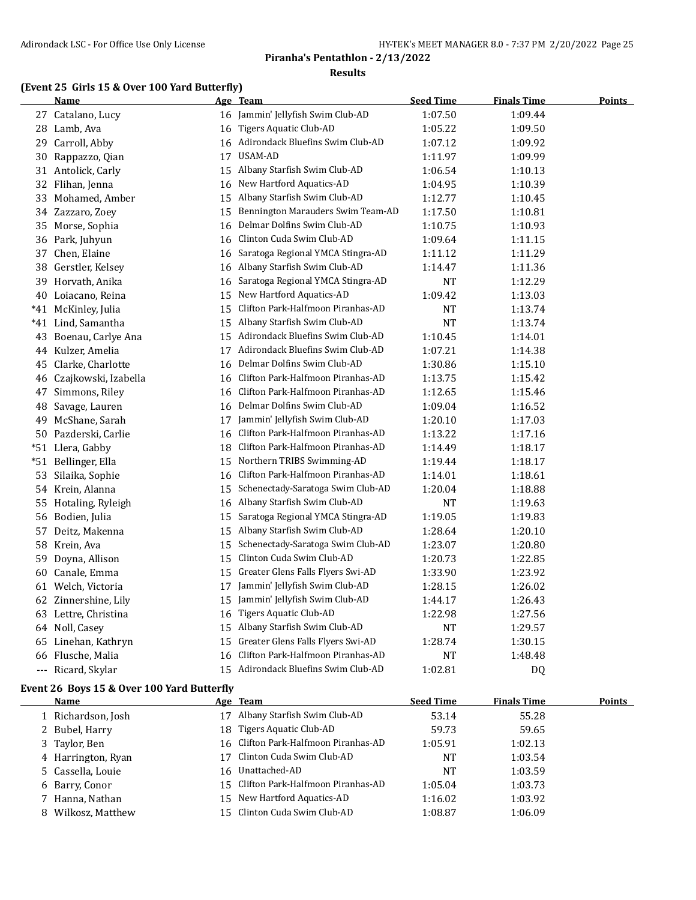## **(Event 25 Girls 15 & Over 100 Yard Butterfly)**

|     | <b>Name</b>             |    | <u>Age Team</u>                   | <b>Seed Time</b> | <b>Finals Time</b> | <u>Points</u> |
|-----|-------------------------|----|-----------------------------------|------------------|--------------------|---------------|
|     | 27 Catalano, Lucy       |    | 16 Jammin' Jellyfish Swim Club-AD | 1:07.50          | 1:09.44            |               |
|     | 28 Lamb, Ava            | 16 | Tigers Aquatic Club-AD            | 1:05.22          | 1:09.50            |               |
| 29  | Carroll, Abby           | 16 | Adirondack Bluefins Swim Club-AD  | 1:07.12          | 1:09.92            |               |
| 30  | Rappazzo, Qian          | 17 | USAM-AD                           | 1:11.97          | 1:09.99            |               |
|     | 31 Antolick, Carly      |    | 15 Albany Starfish Swim Club-AD   | 1:06.54          | 1:10.13            |               |
|     | 32 Flihan, Jenna        | 16 | New Hartford Aquatics-AD          | 1:04.95          | 1:10.39            |               |
|     | 33 Mohamed, Amber       | 15 | Albany Starfish Swim Club-AD      | 1:12.77          | 1:10.45            |               |
|     | 34 Zazzaro, Zoey        | 15 | Bennington Marauders Swim Team-AD | 1:17.50          | 1:10.81            |               |
|     | 35 Morse, Sophia        | 16 | Delmar Dolfins Swim Club-AD       | 1:10.75          | 1:10.93            |               |
|     | 36 Park, Juhyun         | 16 | Clinton Cuda Swim Club-AD         | 1:09.64          | 1:11.15            |               |
|     | 37 Chen, Elaine         | 16 | Saratoga Regional YMCA Stingra-AD | 1:11.12          | 1:11.29            |               |
|     | 38 Gerstler, Kelsey     | 16 | Albany Starfish Swim Club-AD      | 1:14.47          | 1:11.36            |               |
|     | 39 Horvath, Anika       | 16 | Saratoga Regional YMCA Stingra-AD | <b>NT</b>        | 1:12.29            |               |
|     | 40 Loiacano, Reina      | 15 | New Hartford Aquatics-AD          | 1:09.42          | 1:13.03            |               |
|     | *41 McKinley, Julia     | 15 | Clifton Park-Halfmoon Piranhas-AD | NT               | 1:13.74            |               |
|     | *41 Lind, Samantha      | 15 | Albany Starfish Swim Club-AD      | NT               | 1:13.74            |               |
|     | 43 Boenau, Carlye Ana   | 15 | Adirondack Bluefins Swim Club-AD  | 1:10.45          | 1:14.01            |               |
|     | 44 Kulzer, Amelia       | 17 | Adirondack Bluefins Swim Club-AD  | 1:07.21          | 1:14.38            |               |
|     | 45 Clarke, Charlotte    | 16 | Delmar Dolfins Swim Club-AD       | 1:30.86          | 1:15.10            |               |
|     | 46 Czajkowski, Izabella | 16 | Clifton Park-Halfmoon Piranhas-AD | 1:13.75          | 1:15.42            |               |
|     | 47 Simmons, Riley       | 16 | Clifton Park-Halfmoon Piranhas-AD | 1:12.65          | 1:15.46            |               |
|     | 48 Savage, Lauren       | 16 | Delmar Dolfins Swim Club-AD       | 1:09.04          | 1:16.52            |               |
|     | 49 McShane, Sarah       | 17 | Jammin' Jellyfish Swim Club-AD    | 1:20.10          | 1:17.03            |               |
|     | 50 Pazderski, Carlie    | 16 | Clifton Park-Halfmoon Piranhas-AD | 1:13.22          | 1:17.16            |               |
|     | *51 Llera, Gabby        | 18 | Clifton Park-Halfmoon Piranhas-AD | 1:14.49          | 1:18.17            |               |
| *51 | Bellinger, Ella         | 15 | Northern TRIBS Swimming-AD        | 1:19.44          | 1:18.17            |               |
|     | 53 Silaika, Sophie      | 16 | Clifton Park-Halfmoon Piranhas-AD | 1:14.01          | 1:18.61            |               |
|     | 54 Krein, Alanna        | 15 | Schenectady-Saratoga Swim Club-AD | 1:20.04          | 1:18.88            |               |
|     | 55 Hotaling, Ryleigh    | 16 | Albany Starfish Swim Club-AD      | <b>NT</b>        | 1:19.63            |               |
|     | 56 Bodien, Julia        | 15 | Saratoga Regional YMCA Stingra-AD | 1:19.05          | 1:19.83            |               |
|     | 57 Deitz, Makenna       | 15 | Albany Starfish Swim Club-AD      | 1:28.64          | 1:20.10            |               |
|     | 58 Krein, Ava           | 15 | Schenectady-Saratoga Swim Club-AD | 1:23.07          | 1:20.80            |               |
| 59  | Doyna, Allison          | 15 | Clinton Cuda Swim Club-AD         | 1:20.73          | 1:22.85            |               |
|     | 60 Canale, Emma         | 15 | Greater Glens Falls Flyers Swi-AD | 1:33.90          | 1:23.92            |               |
|     | 61 Welch, Victoria      | 17 | Jammin' Jellyfish Swim Club-AD    | 1:28.15          | 1:26.02            |               |
|     | 62 Zinnershine, Lily    | 15 | Jammin' Jellyfish Swim Club-AD    | 1:44.17          | 1:26.43            |               |
|     | 63 Lettre, Christina    | 16 | Tigers Aquatic Club-AD            | 1:22.98          | 1:27.56            |               |
|     | 64 Noll, Casey          | 15 | Albany Starfish Swim Club-AD      | NT               | 1:29.57            |               |
|     | 65 Linehan, Kathryn     | 15 | Greater Glens Falls Flyers Swi-AD | 1:28.74          | 1:30.15            |               |
|     | 66 Flusche, Malia       | 16 | Clifton Park-Halfmoon Piranhas-AD | NT               | 1:48.48            |               |
|     | --- Ricard, Skylar      | 15 | Adirondack Bluefins Swim Club-AD  | 1:02.81          | D <sub>0</sub>     |               |

#### **Event 26 Boys 15 & Over 100 Yard Butterfly**

| Name               |     | Age Team                             | <b>Seed Time</b> | <b>Finals Time</b> | <b>Points</b> |
|--------------------|-----|--------------------------------------|------------------|--------------------|---------------|
| 1 Richardson, Josh | 17  | Albany Starfish Swim Club-AD         | 53.14            | 55.28              |               |
| 2 Bubel, Harry     | 18  | Tigers Aquatic Club-AD               | 59.73            | 59.65              |               |
| 3 Taylor, Ben      |     | 16 Clifton Park-Halfmoon Piranhas-AD | 1:05.91          | 1:02.13            |               |
| 4 Harrington, Ryan |     | Clinton Cuda Swim Club-AD            | <b>NT</b>        | 1:03.54            |               |
| 5 Cassella, Louie  | 16  | Unattached-AD                        | <b>NT</b>        | 1:03.59            |               |
| 6 Barry, Conor     | 15. | Clifton Park-Halfmoon Piranhas-AD    | 1:05.04          | 1:03.73            |               |
| 7 Hanna, Nathan    | 15. | New Hartford Aquatics-AD             | 1:16.02          | 1:03.92            |               |
| 8 Wilkosz, Matthew | 15. | Clinton Cuda Swim Club-AD            | 1:08.87          | 1:06.09            |               |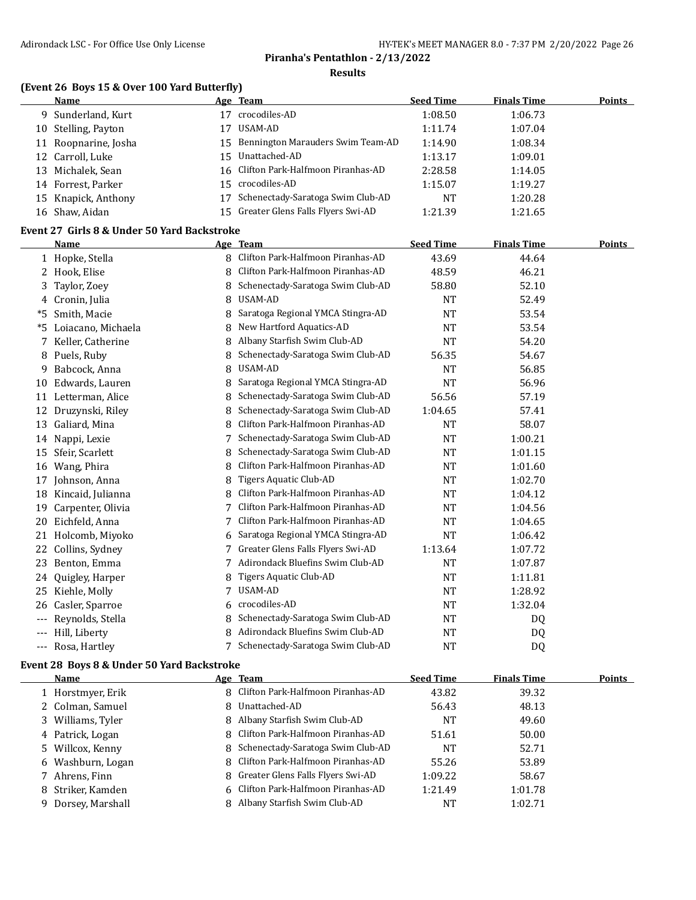# **Piranha's Pentathlon - 2/13/2022**

#### **Results**

## **(Event 26 Boys 15 & Over 100 Yard Butterfly)**

| Age Team | Name                    |                                      | <b>Seed Time</b> | <b>Finals Time</b> | Points |
|----------|-------------------------|--------------------------------------|------------------|--------------------|--------|
|          | 9 Sunderland, Kurt      | crocodiles-AD                        | 1:08.50          | 1:06.73            |        |
|          | 10 Stelling, Payton     | USAM-AD                              | 1:11.74          | 1:07.04            |        |
|          | 11 Roopnarine, Josha    | 15 Bennington Marauders Swim Team-AD | 1:14.90          | 1:08.34            |        |
|          | 12 Carroll, Luke<br>15. | Unattached-AD                        | 1:13.17          | 1:09.01            |        |
|          | 13 Michalek, Sean       | 16 Clifton Park-Halfmoon Piranhas-AD | 2:28.58          | 1:14.05            |        |
|          | 14 Forrest, Parker      | 15 crocodiles-AD                     | 1:15.07          | 1:19.27            |        |
|          | 15 Knapick, Anthony     | Schenectady-Saratoga Swim Club-AD    | <b>NT</b>        | 1:20.28            |        |
|          | 16 Shaw, Aidan          | 15 Greater Glens Falls Flyers Swi-AD | 1:21.39          | 1:21.65            |        |
|          |                         |                                      |                  |                    |        |

#### **Event 27 Girls 8 & Under 50 Yard Backstroke**

|       | Name               |   | Age Team                          | <b>Seed Time</b> | <b>Finals Time</b> | Points |
|-------|--------------------|---|-----------------------------------|------------------|--------------------|--------|
|       | 1 Hopke, Stella    | 8 | Clifton Park-Halfmoon Piranhas-AD | 43.69            | 44.64              |        |
| 2     | Hook, Elise        | 8 | Clifton Park-Halfmoon Piranhas-AD | 48.59            | 46.21              |        |
| 3     | Taylor, Zoey       |   | Schenectady-Saratoga Swim Club-AD | 58.80            | 52.10              |        |
| 4     | Cronin, Julia      | 8 | <b>USAM-AD</b>                    | <b>NT</b>        | 52.49              |        |
| *5    | Smith, Macie       | 8 | Saratoga Regional YMCA Stingra-AD | <b>NT</b>        | 53.54              |        |
| *5    | Loiacano, Michaela | 8 | New Hartford Aquatics-AD          | <b>NT</b>        | 53.54              |        |
| 7     | Keller, Catherine  | 8 | Albany Starfish Swim Club-AD      | <b>NT</b>        | 54.20              |        |
| 8     | Puels, Ruby        |   | Schenectady-Saratoga Swim Club-AD | 56.35            | 54.67              |        |
| 9     | Babcock, Anna      | 8 | USAM-AD                           | <b>NT</b>        | 56.85              |        |
| 10    | Edwards, Lauren    | 8 | Saratoga Regional YMCA Stingra-AD | <b>NT</b>        | 56.96              |        |
| 11    | Letterman, Alice   | 8 | Schenectady-Saratoga Swim Club-AD | 56.56            | 57.19              |        |
| 12    | Druzynski, Riley   | 8 | Schenectady-Saratoga Swim Club-AD | 1:04.65          | 57.41              |        |
| 13    | Galiard, Mina      | 8 | Clifton Park-Halfmoon Piranhas-AD | <b>NT</b>        | 58.07              |        |
| 14    | Nappi, Lexie       |   | Schenectady-Saratoga Swim Club-AD | <b>NT</b>        | 1:00.21            |        |
| 15    | Sfeir, Scarlett    | 8 | Schenectady-Saratoga Swim Club-AD | <b>NT</b>        | 1:01.15            |        |
| 16    | Wang, Phira        | 8 | Clifton Park-Halfmoon Piranhas-AD | NT               | 1:01.60            |        |
| 17    | Johnson, Anna      | 8 | Tigers Aquatic Club-AD            | <b>NT</b>        | 1:02.70            |        |
| 18    | Kincaid, Julianna  | 8 | Clifton Park-Halfmoon Piranhas-AD | <b>NT</b>        | 1:04.12            |        |
| 19    | Carpenter, Olivia  | 7 | Clifton Park-Halfmoon Piranhas-AD | <b>NT</b>        | 1:04.56            |        |
| 20    | Eichfeld, Anna     | 7 | Clifton Park-Halfmoon Piranhas-AD | <b>NT</b>        | 1:04.65            |        |
| 21    | Holcomb, Miyoko    | 6 | Saratoga Regional YMCA Stingra-AD | <b>NT</b>        | 1:06.42            |        |
| 22    | Collins, Sydney    | 7 | Greater Glens Falls Flyers Swi-AD | 1:13.64          | 1:07.72            |        |
| 23    | Benton, Emma       | 7 | Adirondack Bluefins Swim Club-AD  | <b>NT</b>        | 1:07.87            |        |
| 24    | Quigley, Harper    |   | Tigers Aquatic Club-AD            | <b>NT</b>        | 1:11.81            |        |
| 25    | Kiehle, Molly      | 7 | USAM-AD                           | <b>NT</b>        | 1:28.92            |        |
| 26    | Casler, Sparroe    | 6 | crocodiles-AD                     | <b>NT</b>        | 1:32.04            |        |
| $---$ | Reynolds, Stella   | 8 | Schenectady-Saratoga Swim Club-AD | NT               | DQ                 |        |
| ---   | Hill, Liberty      |   | Adirondack Bluefins Swim Club-AD  | <b>NT</b>        | DQ                 |        |
| $---$ | Rosa, Hartley      |   | Schenectady-Saratoga Swim Club-AD | <b>NT</b>        | D <sub>Q</sub>     |        |

#### **Event 28 Boys 8 & Under 50 Yard Backstroke**

| Name               | Age Team                            | <b>Seed Time</b> | <b>Finals Time</b> | <b>Points</b> |
|--------------------|-------------------------------------|------------------|--------------------|---------------|
| 1 Horstmyer, Erik  | 8 Clifton Park-Halfmoon Piranhas-AD | 43.82            | 39.32              |               |
| 2 Colman, Samuel   | 8 Unattached-AD                     | 56.43            | 48.13              |               |
| 3 Williams, Tyler  | 8 Albany Starfish Swim Club-AD      | <b>NT</b>        | 49.60              |               |
| 4 Patrick, Logan   | 8 Clifton Park-Halfmoon Piranhas-AD | 51.61            | 50.00              |               |
| 5 Willcox, Kenny   | 8 Schenectady-Saratoga Swim Club-AD | NT               | 52.71              |               |
| 6 Washburn, Logan  | 8 Clifton Park-Halfmoon Piranhas-AD | 55.26            | 53.89              |               |
| 7 Ahrens, Finn     | 8 Greater Glens Falls Flyers Swi-AD | 1:09.22          | 58.67              |               |
| 8 Striker, Kamden  | 6 Clifton Park-Halfmoon Piranhas-AD | 1:21.49          | 1:01.78            |               |
| 9 Dorsey, Marshall | 8 Albany Starfish Swim Club-AD      | <b>NT</b>        | 1:02.71            |               |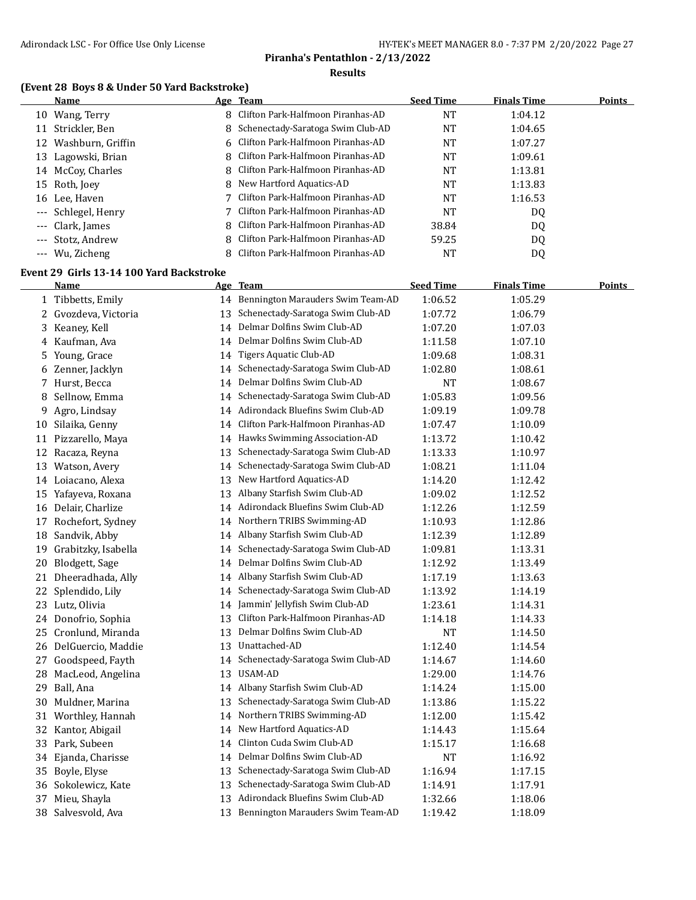## **(Event 28 Boys 8 & Under 50 Yard Backstroke)**

|    | Name                | Age Team                            | <b>Seed Time</b> | <b>Finals Time</b> | <b>Points</b> |
|----|---------------------|-------------------------------------|------------------|--------------------|---------------|
| 10 | Wang, Terry         | 8 Clifton Park-Halfmoon Piranhas-AD | NT               | 1:04.12            |               |
| 11 | Strickler, Ben      | 8 Schenectady-Saratoga Swim Club-AD | NT               | 1:04.65            |               |
| 12 | Washburn, Griffin   | 6 Clifton Park-Halfmoon Piranhas-AD | NT               | 1:07.27            |               |
|    | 13 Lagowski, Brian  | 8 Clifton Park-Halfmoon Piranhas-AD | NT               | 1:09.61            |               |
|    | 14 McCoy, Charles   | 8 Clifton Park-Halfmoon Piranhas-AD | NT               | 1:13.81            |               |
|    | 15 Roth, Joey       | 8 New Hartford Aquatics-AD          | NT               | 1:13.83            |               |
|    | 16 Lee, Haven       | 7 Clifton Park-Halfmoon Piranhas-AD | NT               | 1:16.53            |               |
|    | --- Schlegel, Henry | 7 Clifton Park-Halfmoon Piranhas-AD | <b>NT</b>        | DQ                 |               |
|    | --- Clark, James    | 8 Clifton Park-Halfmoon Piranhas-AD | 38.84            | DQ                 |               |
|    | --- Stotz, Andrew   | 8 Clifton Park-Halfmoon Piranhas-AD | 59.25            | DQ                 |               |
|    | --- Wu, Zicheng     | 8 Clifton Park-Halfmoon Piranhas-AD | NT               | DQ                 |               |

#### **Event 29 Girls 13-14 100 Yard Backstroke**

| <b>Name</b>             |    |                                   | <b>Seed Time</b>                                                                                                                                                                                                                                                                                                                                                 | <b>Finals Time</b> | Points |
|-------------------------|----|-----------------------------------|------------------------------------------------------------------------------------------------------------------------------------------------------------------------------------------------------------------------------------------------------------------------------------------------------------------------------------------------------------------|--------------------|--------|
| 1 Tibbetts, Emily       |    |                                   | 1:06.52                                                                                                                                                                                                                                                                                                                                                          | 1:05.29            |        |
| Gvozdeva, Victoria      | 13 | Schenectady-Saratoga Swim Club-AD | 1:07.72                                                                                                                                                                                                                                                                                                                                                          | 1:06.79            |        |
| Keaney, Kell            |    |                                   | 1:07.20                                                                                                                                                                                                                                                                                                                                                          | 1:07.03            |        |
| Kaufman, Ava            |    |                                   | 1:11.58                                                                                                                                                                                                                                                                                                                                                          | 1:07.10            |        |
| Young, Grace            |    | Tigers Aquatic Club-AD            | 1:09.68                                                                                                                                                                                                                                                                                                                                                          | 1:08.31            |        |
| 6 Zenner, Jacklyn       |    | Schenectady-Saratoga Swim Club-AD | 1:02.80                                                                                                                                                                                                                                                                                                                                                          | 1:08.61            |        |
| Hurst, Becca<br>7       | 14 | Delmar Dolfins Swim Club-AD       | NT                                                                                                                                                                                                                                                                                                                                                               | 1:08.67            |        |
| Sellnow, Emma           | 14 | Schenectady-Saratoga Swim Club-AD | 1:05.83                                                                                                                                                                                                                                                                                                                                                          | 1:09.56            |        |
| Agro, Lindsay           | 14 | Adirondack Bluefins Swim Club-AD  | 1:09.19                                                                                                                                                                                                                                                                                                                                                          | 1:09.78            |        |
| Silaika, Genny          | 14 | Clifton Park-Halfmoon Piranhas-AD | 1:07.47                                                                                                                                                                                                                                                                                                                                                          | 1:10.09            |        |
| 11 Pizzarello, Maya     |    |                                   | 1:13.72                                                                                                                                                                                                                                                                                                                                                          | 1:10.42            |        |
| 12 Racaza, Reyna        | 13 | Schenectady-Saratoga Swim Club-AD | 1:13.33                                                                                                                                                                                                                                                                                                                                                          | 1:10.97            |        |
| 13 Watson, Avery        | 14 | Schenectady-Saratoga Swim Club-AD | 1:08.21                                                                                                                                                                                                                                                                                                                                                          | 1:11.04            |        |
| 14 Loiacano, Alexa      | 13 | New Hartford Aquatics-AD          | 1:14.20                                                                                                                                                                                                                                                                                                                                                          | 1:12.42            |        |
| 15 Yafayeva, Roxana     | 13 | Albany Starfish Swim Club-AD      | 1:09.02                                                                                                                                                                                                                                                                                                                                                          | 1:12.52            |        |
| Delair, Charlize        |    |                                   | 1:12.26                                                                                                                                                                                                                                                                                                                                                          | 1:12.59            |        |
| Rochefort, Sydney<br>17 |    |                                   | 1:10.93                                                                                                                                                                                                                                                                                                                                                          | 1:12.86            |        |
| Sandvik, Abby           |    |                                   | 1:12.39                                                                                                                                                                                                                                                                                                                                                          | 1:12.89            |        |
| Grabitzky, Isabella     | 14 | Schenectady-Saratoga Swim Club-AD | 1:09.81                                                                                                                                                                                                                                                                                                                                                          | 1:13.31            |        |
| Blodgett, Sage          | 14 | Delmar Dolfins Swim Club-AD       | 1:12.92                                                                                                                                                                                                                                                                                                                                                          | 1:13.49            |        |
| Dheeradhada, Ally       | 14 | Albany Starfish Swim Club-AD      | 1:17.19                                                                                                                                                                                                                                                                                                                                                          | 1:13.63            |        |
| Splendido, Lily         | 14 | Schenectady-Saratoga Swim Club-AD | 1:13.92                                                                                                                                                                                                                                                                                                                                                          | 1:14.19            |        |
| 23 Lutz, Olivia         | 14 | Jammin' Jellyfish Swim Club-AD    | 1:23.61                                                                                                                                                                                                                                                                                                                                                          | 1:14.31            |        |
| 24 Donofrio, Sophia     | 13 | Clifton Park-Halfmoon Piranhas-AD | 1:14.18                                                                                                                                                                                                                                                                                                                                                          | 1:14.33            |        |
| Cronlund, Miranda       | 13 | Delmar Dolfins Swim Club-AD       | <b>NT</b>                                                                                                                                                                                                                                                                                                                                                        | 1:14.50            |        |
| 26 DelGuercio, Maddie   | 13 | Unattached-AD                     | 1:12.40                                                                                                                                                                                                                                                                                                                                                          | 1:14.54            |        |
| Goodspeed, Fayth        | 14 | Schenectady-Saratoga Swim Club-AD | 1:14.67                                                                                                                                                                                                                                                                                                                                                          | 1:14.60            |        |
| MacLeod, Angelina       | 13 | USAM-AD                           | 1:29.00                                                                                                                                                                                                                                                                                                                                                          | 1:14.76            |        |
| Ball, Ana               |    |                                   | 1:14.24                                                                                                                                                                                                                                                                                                                                                          | 1:15.00            |        |
| Muldner, Marina         |    | Schenectady-Saratoga Swim Club-AD | 1:13.86                                                                                                                                                                                                                                                                                                                                                          | 1:15.22            |        |
| 31 Worthley, Hannah     | 14 | Northern TRIBS Swimming-AD        | 1:12.00                                                                                                                                                                                                                                                                                                                                                          | 1:15.42            |        |
| 32 Kantor, Abigail      | 14 | New Hartford Aquatics-AD          | 1:14.43                                                                                                                                                                                                                                                                                                                                                          | 1:15.64            |        |
| Park, Subeen            | 14 | Clinton Cuda Swim Club-AD         | 1:15.17                                                                                                                                                                                                                                                                                                                                                          | 1:16.68            |        |
| Ejanda, Charisse        | 14 | Delmar Dolfins Swim Club-AD       | <b>NT</b>                                                                                                                                                                                                                                                                                                                                                        | 1:16.92            |        |
| Boyle, Elyse            | 13 | Schenectady-Saratoga Swim Club-AD | 1:16.94                                                                                                                                                                                                                                                                                                                                                          | 1:17.15            |        |
| 36 Sokolewicz, Kate     | 13 | Schenectady-Saratoga Swim Club-AD | 1:14.91                                                                                                                                                                                                                                                                                                                                                          | 1:17.91            |        |
| Mieu, Shayla            | 13 | Adirondack Bluefins Swim Club-AD  | 1:32.66                                                                                                                                                                                                                                                                                                                                                          | 1:18.06            |        |
| Salvesvold, Ava         |    |                                   | 1:19.42                                                                                                                                                                                                                                                                                                                                                          | 1:18.09            |        |
|                         |    |                                   | Age Team<br>14 Bennington Marauders Swim Team-AD<br>14 Delmar Dolfins Swim Club-AD<br>14 Delmar Dolfins Swim Club-AD<br>14<br>14<br>14 Hawks Swimming Association-AD<br>14 Adirondack Bluefins Swim Club-AD<br>14 Northern TRIBS Swimming-AD<br>14 Albany Starfish Swim Club-AD<br>14 Albany Starfish Swim Club-AD<br>13<br>13 Bennington Marauders Swim Team-AD |                    |        |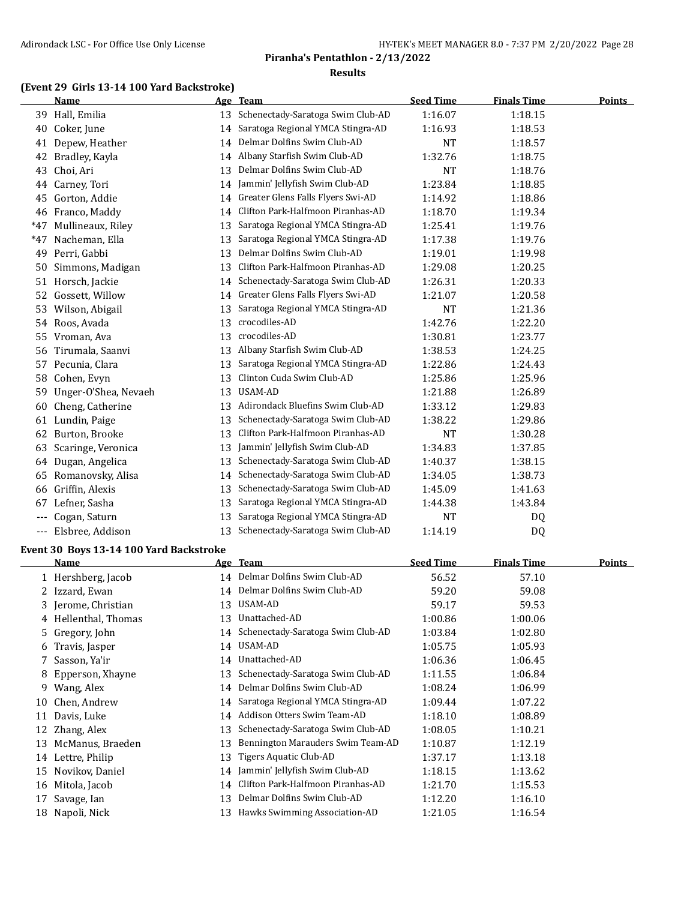## **(Event 29 Girls 13-14 100 Yard Backstroke)**

|       | <b>Name</b>          |    | Age Team                          | <b>Seed Time</b> | <b>Finals Time</b> | <b>Points</b> |
|-------|----------------------|----|-----------------------------------|------------------|--------------------|---------------|
|       | 39 Hall, Emilia      | 13 | Schenectady-Saratoga Swim Club-AD | 1:16.07          | 1:18.15            |               |
| 40    | Coker, June          | 14 | Saratoga Regional YMCA Stingra-AD | 1:16.93          | 1:18.53            |               |
| 41    | Depew, Heather       | 14 | Delmar Dolfins Swim Club-AD       | NT               | 1:18.57            |               |
| 42    | Bradley, Kayla       | 14 | Albany Starfish Swim Club-AD      | 1:32.76          | 1:18.75            |               |
| 43    | Choi, Ari            | 13 | Delmar Dolfins Swim Club-AD       | NT               | 1:18.76            |               |
| 44    | Carney, Tori         | 14 | Jammin' Jellyfish Swim Club-AD    | 1:23.84          | 1:18.85            |               |
| 45    | Gorton, Addie        | 14 | Greater Glens Falls Flyers Swi-AD | 1:14.92          | 1:18.86            |               |
| 46    | Franco, Maddy        | 14 | Clifton Park-Halfmoon Piranhas-AD | 1:18.70          | 1:19.34            |               |
| $*47$ | Mullineaux, Riley    | 13 | Saratoga Regional YMCA Stingra-AD | 1:25.41          | 1:19.76            |               |
| $*47$ | Nacheman, Ella       | 13 | Saratoga Regional YMCA Stingra-AD | 1:17.38          | 1:19.76            |               |
| 49    | Perri, Gabbi         | 13 | Delmar Dolfins Swim Club-AD       | 1:19.01          | 1:19.98            |               |
| 50    | Simmons, Madigan     | 13 | Clifton Park-Halfmoon Piranhas-AD | 1:29.08          | 1:20.25            |               |
|       | 51 Horsch, Jackie    | 14 | Schenectady-Saratoga Swim Club-AD | 1:26.31          | 1:20.33            |               |
| 52    | Gossett, Willow      | 14 | Greater Glens Falls Flyers Swi-AD | 1:21.07          | 1:20.58            |               |
| 53    | Wilson, Abigail      | 13 | Saratoga Regional YMCA Stingra-AD | NT               | 1:21.36            |               |
|       | 54 Roos, Avada       | 13 | crocodiles-AD                     | 1:42.76          | 1:22.20            |               |
| 55    | Vroman, Ava          | 13 | crocodiles-AD                     | 1:30.81          | 1:23.77            |               |
| 56    | Tirumala, Saanvi     | 13 | Albany Starfish Swim Club-AD      | 1:38.53          | 1:24.25            |               |
| 57    | Pecunia, Clara       | 13 | Saratoga Regional YMCA Stingra-AD | 1:22.86          | 1:24.43            |               |
| 58    | Cohen, Evyn          | 13 | Clinton Cuda Swim Club-AD         | 1:25.86          | 1:25.96            |               |
| 59    | Unger-O'Shea, Nevaeh | 13 | USAM-AD                           | 1:21.88          | 1:26.89            |               |
| 60    | Cheng, Catherine     | 13 | Adirondack Bluefins Swim Club-AD  | 1:33.12          | 1:29.83            |               |
| 61    | Lundin, Paige        | 13 | Schenectady-Saratoga Swim Club-AD | 1:38.22          | 1:29.86            |               |
| 62    | Burton, Brooke       | 13 | Clifton Park-Halfmoon Piranhas-AD | <b>NT</b>        | 1:30.28            |               |
| 63    | Scaringe, Veronica   | 13 | Jammin' Jellyfish Swim Club-AD    | 1:34.83          | 1:37.85            |               |
| 64    | Dugan, Angelica      | 13 | Schenectady-Saratoga Swim Club-AD | 1:40.37          | 1:38.15            |               |
| 65    | Romanovsky, Alisa    | 14 | Schenectady-Saratoga Swim Club-AD | 1:34.05          | 1:38.73            |               |
| 66    | Griffin, Alexis      | 13 | Schenectady-Saratoga Swim Club-AD | 1:45.09          | 1:41.63            |               |
| 67    | Lefner, Sasha        | 13 | Saratoga Regional YMCA Stingra-AD | 1:44.38          | 1:43.84            |               |
|       | Cogan, Saturn        | 13 | Saratoga Regional YMCA Stingra-AD | <b>NT</b>        | DQ.                |               |
| ---   | Elsbree, Addison     | 13 | Schenectady-Saratoga Swim Club-AD | 1:14.19          | DQ                 |               |
|       |                      |    |                                   |                  |                    |               |

#### **Event 30 Boys 13-14 100 Yard Backstroke**

|    | <b>Name</b>          |    | Age Team                          | <b>Seed Time</b> | <b>Finals Time</b> | <u>Points</u> |
|----|----------------------|----|-----------------------------------|------------------|--------------------|---------------|
|    | 1 Hershberg, Jacob   |    | 14 Delmar Dolfins Swim Club-AD    | 56.52            | 57.10              |               |
| 2  | Izzard, Ewan         |    | 14 Delmar Dolfins Swim Club-AD    | 59.20            | 59.08              |               |
|    | 3 Jerome, Christian  | 13 | USAM-AD                           | 59.17            | 59.53              |               |
|    | 4 Hellenthal, Thomas | 13 | Unattached-AD                     | 1:00.86          | 1:00.06            |               |
|    | 5 Gregory, John      | 14 | Schenectady-Saratoga Swim Club-AD | 1:03.84          | 1:02.80            |               |
| 6  | Travis, Jasper       | 14 | USAM-AD                           | 1:05.75          | 1:05.93            |               |
|    | 7 Sasson, Ya'ir      | 14 | Unattached-AD                     | 1:06.36          | 1:06.45            |               |
| 8. | Epperson, Xhayne     | 13 | Schenectady-Saratoga Swim Club-AD | 1:11.55          | 1:06.84            |               |
| 9. | Wang, Alex           | 14 | Delmar Dolfins Swim Club-AD       | 1:08.24          | 1:06.99            |               |
| 10 | Chen, Andrew         | 14 | Saratoga Regional YMCA Stingra-AD | 1:09.44          | 1:07.22            |               |
| 11 | Davis, Luke          | 14 | Addison Otters Swim Team-AD       | 1:18.10          | 1:08.89            |               |
| 12 | Zhang, Alex          | 13 | Schenectady-Saratoga Swim Club-AD | 1:08.05          | 1:10.21            |               |
| 13 | McManus, Braeden     | 13 | Bennington Marauders Swim Team-AD | 1:10.87          | 1:12.19            |               |
| 14 | Lettre, Philip       | 13 | Tigers Aquatic Club-AD            | 1:37.17          | 1:13.18            |               |
| 15 | Novikov, Daniel      | 14 | Jammin' Jellyfish Swim Club-AD    | 1:18.15          | 1:13.62            |               |
| 16 | Mitola, Jacob        | 14 | Clifton Park-Halfmoon Piranhas-AD | 1:21.70          | 1:15.53            |               |
| 17 | Savage, Ian          | 13 | Delmar Dolfins Swim Club-AD       | 1:12.20          | 1:16.10            |               |
| 18 | Napoli, Nick         | 13 | Hawks Swimming Association-AD     | 1:21.05          | 1:16.54            |               |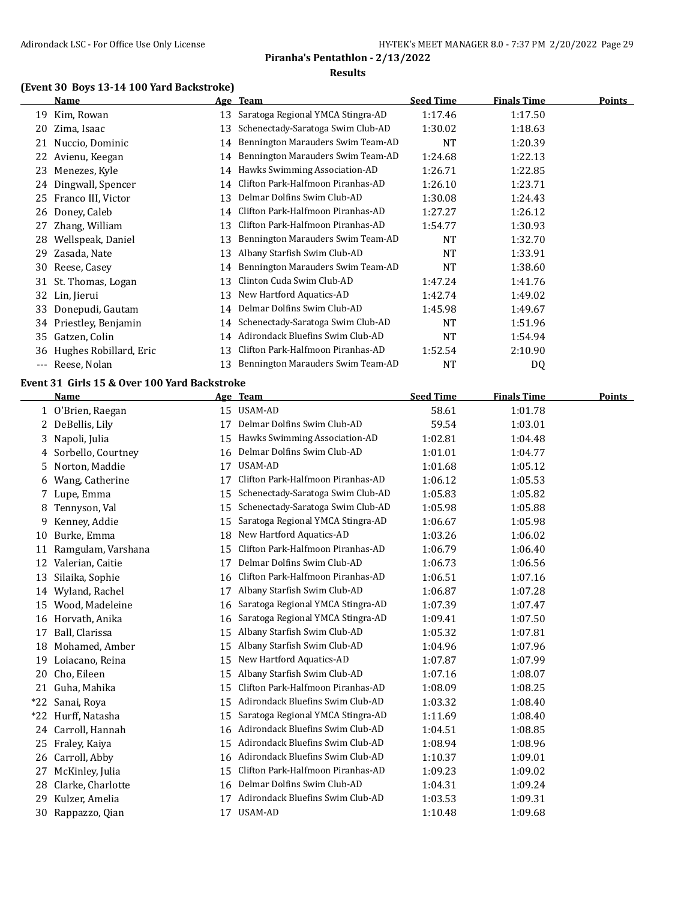## **(Event 30 Boys 13-14 100 Yard Backstroke)**

|          | Name                   |    | Age Team                          | <b>Seed Time</b> | <b>Finals Time</b> | <b>Points</b> |
|----------|------------------------|----|-----------------------------------|------------------|--------------------|---------------|
| 19       | Kim, Rowan             | 13 | Saratoga Regional YMCA Stingra-AD | 1:17.46          | 1:17.50            |               |
| 20       | Zima, Isaac            | 13 | Schenectady-Saratoga Swim Club-AD | 1:30.02          | 1:18.63            |               |
| 21       | Nuccio, Dominic        | 14 | Bennington Marauders Swim Team-AD | <b>NT</b>        | 1:20.39            |               |
| 22       | Avienu, Keegan         | 14 | Bennington Marauders Swim Team-AD | 1:24.68          | 1:22.13            |               |
| 23       | Menezes, Kyle          | 14 | Hawks Swimming Association-AD     | 1:26.71          | 1:22.85            |               |
| 24       | Dingwall, Spencer      | 14 | Clifton Park-Halfmoon Piranhas-AD | 1:26.10          | 1:23.71            |               |
| 25       | Franco III, Victor     | 13 | Delmar Dolfins Swim Club-AD       | 1:30.08          | 1:24.43            |               |
| 26       | Doney, Caleb           | 14 | Clifton Park-Halfmoon Piranhas-AD | 1:27.27          | 1:26.12            |               |
| 27       | Zhang, William         | 13 | Clifton Park-Halfmoon Piranhas-AD | 1:54.77          | 1:30.93            |               |
| 28       | Wellspeak, Daniel      | 13 | Bennington Marauders Swim Team-AD | <b>NT</b>        | 1:32.70            |               |
| 29       | Zasada, Nate           | 13 | Albany Starfish Swim Club-AD      | <b>NT</b>        | 1:33.91            |               |
| 30       | Reese, Casey           | 14 | Bennington Marauders Swim Team-AD | NT               | 1:38.60            |               |
|          | 31 St. Thomas, Logan   | 13 | Clinton Cuda Swim Club-AD         | 1:47.24          | 1:41.76            |               |
| 32       | Lin, Jierui            | 13 | New Hartford Aquatics-AD          | 1:42.74          | 1:49.02            |               |
| 33       | Donepudi, Gautam       | 14 | Delmar Dolfins Swim Club-AD       | 1:45.98          | 1:49.67            |               |
| 34       | Priestley, Benjamin    | 14 | Schenectady-Saratoga Swim Club-AD | <b>NT</b>        | 1:51.96            |               |
| 35       | Gatzen, Colin          | 14 | Adirondack Bluefins Swim Club-AD  | NT               | 1:54.94            |               |
| 36       | Hughes Robillard, Eric | 13 | Clifton Park-Halfmoon Piranhas-AD | 1:52.54          | 2:10.90            |               |
| $\cdots$ | Reese, Nolan           | 13 | Bennington Marauders Swim Team-AD | NT               | <b>DQ</b>          |               |

## **Event 31 Girls 15 & Over 100 Yard Backstroke**

|       | Name               |    | Age Team                          | <b>Seed Time</b> | <b>Finals Time</b> | <b>Points</b> |
|-------|--------------------|----|-----------------------------------|------------------|--------------------|---------------|
|       | 1 O'Brien, Raegan  | 15 | USAM-AD                           | 58.61            | 1:01.78            |               |
| 2     | DeBellis, Lily     | 17 | Delmar Dolfins Swim Club-AD       | 59.54            | 1:03.01            |               |
| 3     | Napoli, Julia      | 15 | Hawks Swimming Association-AD     | 1:02.81          | 1:04.48            |               |
| 4     | Sorbello, Courtney | 16 | Delmar Dolfins Swim Club-AD       | 1:01.01          | 1:04.77            |               |
| 5     | Norton, Maddie     | 17 | USAM-AD                           | 1:01.68          | 1:05.12            |               |
| 6     | Wang, Catherine    | 17 | Clifton Park-Halfmoon Piranhas-AD | 1:06.12          | 1:05.53            |               |
| 7     | Lupe, Emma         | 15 | Schenectady-Saratoga Swim Club-AD | 1:05.83          | 1:05.82            |               |
| 8     | Tennyson, Val      | 15 | Schenectady-Saratoga Swim Club-AD | 1:05.98          | 1:05.88            |               |
| 9     | Kenney, Addie      | 15 | Saratoga Regional YMCA Stingra-AD | 1:06.67          | 1:05.98            |               |
| 10    | Burke, Emma        | 18 | New Hartford Aquatics-AD          | 1:03.26          | 1:06.02            |               |
| 11    | Ramgulam, Varshana | 15 | Clifton Park-Halfmoon Piranhas-AD | 1:06.79          | 1:06.40            |               |
| 12    | Valerian, Caitie   | 17 | Delmar Dolfins Swim Club-AD       | 1:06.73          | 1:06.56            |               |
| 13    | Silaika, Sophie    | 16 | Clifton Park-Halfmoon Piranhas-AD | 1:06.51          | 1:07.16            |               |
| 14    | Wyland, Rachel     | 17 | Albany Starfish Swim Club-AD      | 1:06.87          | 1:07.28            |               |
| 15    | Wood, Madeleine    | 16 | Saratoga Regional YMCA Stingra-AD | 1:07.39          | 1:07.47            |               |
| 16    | Horvath, Anika     | 16 | Saratoga Regional YMCA Stingra-AD | 1:09.41          | 1:07.50            |               |
| 17    | Ball, Clarissa     | 15 | Albany Starfish Swim Club-AD      | 1:05.32          | 1:07.81            |               |
| 18    | Mohamed, Amber     | 15 | Albany Starfish Swim Club-AD      | 1:04.96          | 1:07.96            |               |
| 19    | Loiacano, Reina    | 15 | New Hartford Aquatics-AD          | 1:07.87          | 1:07.99            |               |
| 20    | Cho, Eileen        | 15 | Albany Starfish Swim Club-AD      | 1:07.16          | 1:08.07            |               |
| 21    | Guha, Mahika       | 15 | Clifton Park-Halfmoon Piranhas-AD | 1:08.09          | 1:08.25            |               |
| $*22$ | Sanai, Roya        | 15 | Adirondack Bluefins Swim Club-AD  | 1:03.32          | 1:08.40            |               |
| $*22$ | Hurff, Natasha     | 15 | Saratoga Regional YMCA Stingra-AD | 1:11.69          | 1:08.40            |               |
| 24    | Carroll, Hannah    | 16 | Adirondack Bluefins Swim Club-AD  | 1:04.51          | 1:08.85            |               |
| 25    | Fraley, Kaiya      | 15 | Adirondack Bluefins Swim Club-AD  | 1:08.94          | 1:08.96            |               |
| 26    | Carroll, Abby      | 16 | Adirondack Bluefins Swim Club-AD  | 1:10.37          | 1:09.01            |               |
| 27    | McKinley, Julia    | 15 | Clifton Park-Halfmoon Piranhas-AD | 1:09.23          | 1:09.02            |               |
| 28    | Clarke, Charlotte  | 16 | Delmar Dolfins Swim Club-AD       | 1:04.31          | 1:09.24            |               |
| 29    | Kulzer, Amelia     | 17 | Adirondack Bluefins Swim Club-AD  | 1:03.53          | 1:09.31            |               |
| 30    | Rappazzo, Qian     | 17 | USAM-AD                           | 1:10.48          | 1:09.68            |               |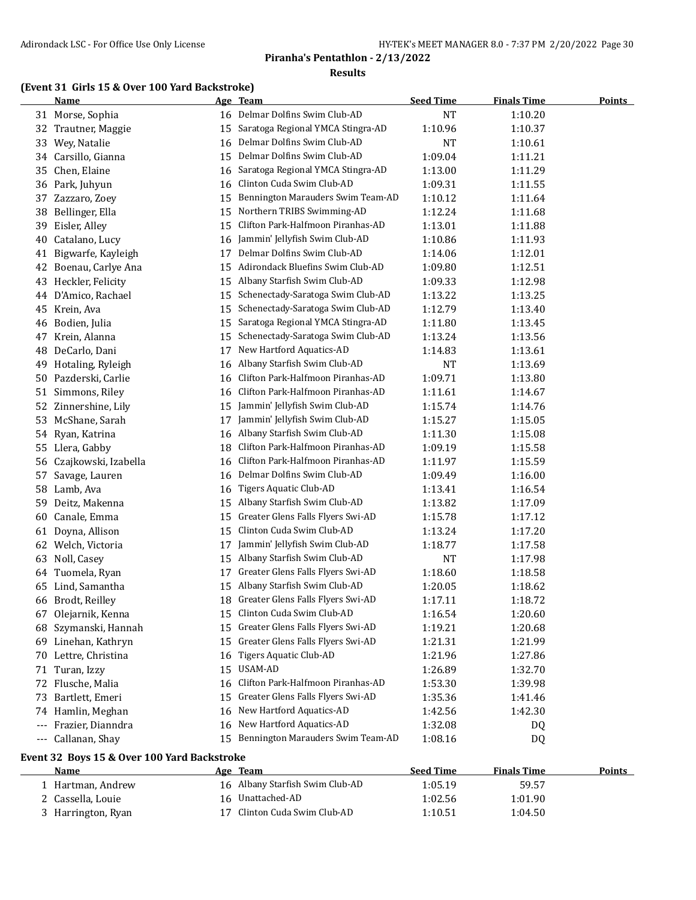#### **(Event 31 Girls 15 & Over 100 Yard Backstroke)**

|     | <b>Name</b>           | <u>Age</u> | <b>Team</b>                       | <b>Seed Time</b> | <b>Finals Time</b> | <b>Points</b> |
|-----|-----------------------|------------|-----------------------------------|------------------|--------------------|---------------|
|     | 31 Morse, Sophia      | 16         | Delmar Dolfins Swim Club-AD       | <b>NT</b>        | 1:10.20            |               |
| 32  | Trautner, Maggie      | 15         | Saratoga Regional YMCA Stingra-AD | 1:10.96          | 1:10.37            |               |
| 33  | Wey, Natalie          | 16         | Delmar Dolfins Swim Club-AD       | <b>NT</b>        | 1:10.61            |               |
| 34  | Carsillo, Gianna      | 15         | Delmar Dolfins Swim Club-AD       | 1:09.04          | 1:11.21            |               |
| 35  | Chen, Elaine          | 16         | Saratoga Regional YMCA Stingra-AD | 1:13.00          | 1:11.29            |               |
|     | 36 Park, Juhyun       | 16         | Clinton Cuda Swim Club-AD         | 1:09.31          | 1:11.55            |               |
| 37  | Zazzaro, Zoey         | 15         | Bennington Marauders Swim Team-AD | 1:10.12          | 1:11.64            |               |
| 38  | Bellinger, Ella       | 15         | Northern TRIBS Swimming-AD        | 1:12.24          | 1:11.68            |               |
| 39  | Eisler, Alley         | 15         | Clifton Park-Halfmoon Piranhas-AD | 1:13.01          | 1:11.88            |               |
| 40  | Catalano, Lucy        | 16         | Jammin' Jellyfish Swim Club-AD    | 1:10.86          | 1:11.93            |               |
| 41  | Bigwarfe, Kayleigh    | 17         | Delmar Dolfins Swim Club-AD       | 1:14.06          | 1:12.01            |               |
| 42  | Boenau, Carlye Ana    | 15         | Adirondack Bluefins Swim Club-AD  | 1:09.80          | 1:12.51            |               |
| 43  | Heckler, Felicity     | 15         | Albany Starfish Swim Club-AD      | 1:09.33          | 1:12.98            |               |
| 44  | D'Amico, Rachael      | 15         | Schenectady-Saratoga Swim Club-AD | 1:13.22          | 1:13.25            |               |
| 45  | Krein, Ava            | 15         | Schenectady-Saratoga Swim Club-AD | 1:12.79          | 1:13.40            |               |
| 46  | Bodien, Julia         | 15         | Saratoga Regional YMCA Stingra-AD | 1:11.80          | 1:13.45            |               |
| 47  | Krein, Alanna         | 15         | Schenectady-Saratoga Swim Club-AD | 1:13.24          | 1:13.56            |               |
| 48  | DeCarlo, Dani         | 17         | New Hartford Aquatics-AD          | 1:14.83          | 1:13.61            |               |
| 49  | Hotaling, Ryleigh     | 16         | Albany Starfish Swim Club-AD      | <b>NT</b>        | 1:13.69            |               |
| 50  | Pazderski, Carlie     | 16         | Clifton Park-Halfmoon Piranhas-AD | 1:09.71          | 1:13.80            |               |
| 51  | Simmons, Riley        | 16         | Clifton Park-Halfmoon Piranhas-AD | 1:11.61          | 1:14.67            |               |
| 52  | Zinnershine, Lily     | 15         | Jammin' Jellyfish Swim Club-AD    | 1:15.74          | 1:14.76            |               |
| 53  | McShane, Sarah        | 17         | Jammin' Jellyfish Swim Club-AD    | 1:15.27          | 1:15.05            |               |
| 54  | Ryan, Katrina         | 16         | Albany Starfish Swim Club-AD      | 1:11.30          | 1:15.08            |               |
| 55  | Llera, Gabby          | 18         | Clifton Park-Halfmoon Piranhas-AD | 1:09.19          | 1:15.58            |               |
| 56  | Czajkowski, Izabella  | 16         | Clifton Park-Halfmoon Piranhas-AD | 1:11.97          | 1:15.59            |               |
| 57  | Savage, Lauren        | 16         | Delmar Dolfins Swim Club-AD       | 1:09.49          | 1:16.00            |               |
| 58  | Lamb, Ava             | 16         | Tigers Aquatic Club-AD            | 1:13.41          | 1:16.54            |               |
| 59  | Deitz, Makenna        | 15         | Albany Starfish Swim Club-AD      | 1:13.82          | 1:17.09            |               |
| 60  | Canale, Emma          | 15         | Greater Glens Falls Flyers Swi-AD | 1:15.78          | 1:17.12            |               |
| 61  | Doyna, Allison        | 15         | Clinton Cuda Swim Club-AD         | 1:13.24          | 1:17.20            |               |
| 62  | Welch, Victoria       | 17         | Jammin' Jellyfish Swim Club-AD    | 1:18.77          | 1:17.58            |               |
| 63  | Noll, Casey           | 15         | Albany Starfish Swim Club-AD      | <b>NT</b>        | 1:17.98            |               |
| 64  | Tuomela, Ryan         | 17         | Greater Glens Falls Flyers Swi-AD | 1:18.60          | 1:18.58            |               |
| 65  | Lind, Samantha        | 15         | Albany Starfish Swim Club-AD      | 1:20.05          | 1:18.62            |               |
| 66  | Brodt, Reilley        | 18         | Greater Glens Falls Flyers Swi-AD | 1:17.11          | 1:18.72            |               |
|     | 67 Olejarnik, Kenna   | 15         | Clinton Cuda Swim Club-AD         | 1:16.54          | 1:20.60            |               |
| 68  | Szymanski, Hannah     | 15         | Greater Glens Falls Flyers Swi-AD | 1:19.21          | 1:20.68            |               |
| 69. | Linehan, Kathryn      | 15         | Greater Glens Falls Flyers Swi-AD | 1:21.31          | 1:21.99            |               |
|     | 70 Lettre, Christina  | 16         | <b>Tigers Aquatic Club-AD</b>     | 1:21.96          | 1:27.86            |               |
|     | 71 Turan, Izzy        | 15         | USAM-AD                           | 1:26.89          | 1:32.70            |               |
|     | 72 Flusche, Malia     | 16         | Clifton Park-Halfmoon Piranhas-AD | 1:53.30          | 1:39.98            |               |
| 73  | Bartlett, Emeri       | 15         | Greater Glens Falls Flyers Swi-AD | 1:35.36          | 1:41.46            |               |
| 74  | Hamlin, Meghan        | 16         | New Hartford Aquatics-AD          | 1:42.56          | 1:42.30            |               |
|     | --- Frazier, Dianndra | 16         | New Hartford Aquatics-AD          | 1:32.08          | DQ                 |               |
|     | --- Callanan, Shay    | 15         | Bennington Marauders Swim Team-AD | 1:08.16          | DQ                 |               |

## **Event 32 Boys 15 & Over 100 Yard Backstroke**

| <b>Name</b>        | Age Team                        | <b>Seed Time</b> | <b>Finals Time</b> | <b>Points</b> |
|--------------------|---------------------------------|------------------|--------------------|---------------|
| Hartman, Andrew    | 16 Albany Starfish Swim Club-AD | 1:05.19          | 59.57              |               |
| 2 Cassella, Louie  | 16 Unattached-AD                | 1:02.56          | 1:01.90            |               |
| 3 Harrington, Ryan | Clinton Cuda Swim Club-AD       | 1:10.51          | 1:04.50            |               |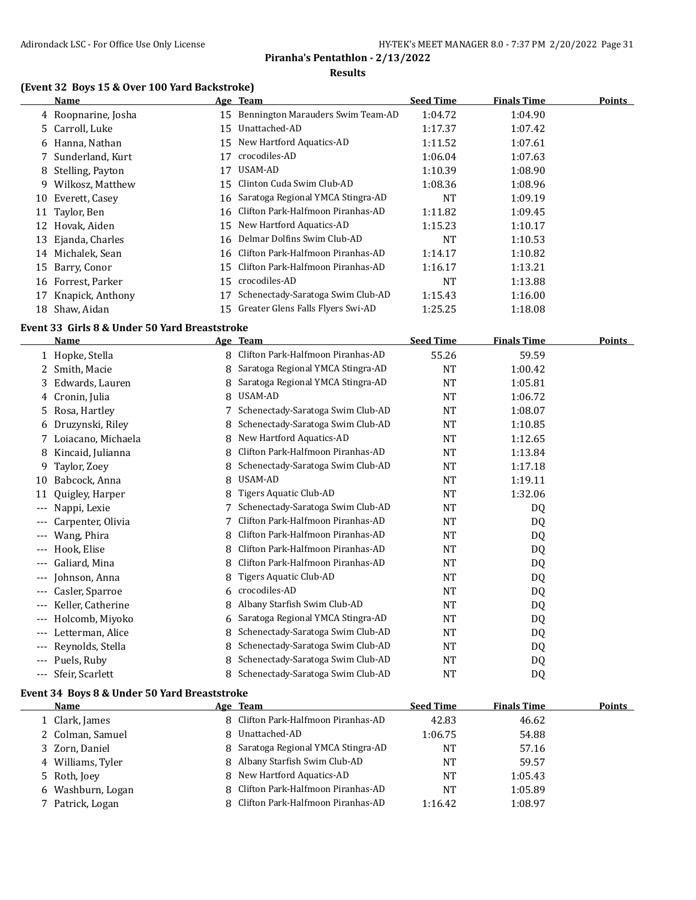## **Piranha's Pentathlon - 2/13/2022**

#### **Results**

#### **(Event 32 Boys 15 & Over 100 Yard Backstroke)**

|    | <b>Name</b>         |    | Age Team                          | <b>Seed Time</b> | <b>Finals Time</b> | <b>Points</b> |
|----|---------------------|----|-----------------------------------|------------------|--------------------|---------------|
|    | 4 Roopnarine, Josha | 15 | Bennington Marauders Swim Team-AD | 1:04.72          | 1:04.90            |               |
|    | 5 Carroll, Luke     | 15 | Unattached-AD                     | 1:17.37          | 1:07.42            |               |
|    | 6 Hanna, Nathan     | 15 | New Hartford Aquatics-AD          | 1:11.52          | 1:07.61            |               |
|    | 7 Sunderland, Kurt  | 17 | crocodiles-AD                     | 1:06.04          | 1:07.63            |               |
|    | 8 Stelling, Payton  | 17 | USAM-AD                           | 1:10.39          | 1:08.90            |               |
| 9  | Wilkosz, Matthew    | 15 | Clinton Cuda Swim Club-AD         | 1:08.36          | 1:08.96            |               |
| 10 | Everett, Casey      | 16 | Saratoga Regional YMCA Stingra-AD | <b>NT</b>        | 1:09.19            |               |
| 11 | Taylor, Ben         | 16 | Clifton Park-Halfmoon Piranhas-AD | 1:11.82          | 1:09.45            |               |
| 12 | Hovak, Aiden        | 15 | New Hartford Aquatics-AD          | 1:15.23          | 1:10.17            |               |
| 13 | Ejanda, Charles     | 16 | Delmar Dolfins Swim Club-AD       | NT               | 1:10.53            |               |
| 14 | Michalek, Sean      | 16 | Clifton Park-Halfmoon Piranhas-AD | 1:14.17          | 1:10.82            |               |
| 15 | Barry, Conor        | 15 | Clifton Park-Halfmoon Piranhas-AD | 1:16.17          | 1:13.21            |               |
| 16 | Forrest, Parker     | 15 | crocodiles-AD                     | <b>NT</b>        | 1:13.88            |               |
| 17 | Knapick, Anthony    |    | Schenectady-Saratoga Swim Club-AD | 1:15.43          | 1:16.00            |               |
| 18 | Shaw, Aidan         | 15 | Greater Glens Falls Flyers Swi-AD | 1:25.25          | 1:18.08            |               |

#### **Event 33 Girls 8 & Under 50 Yard Breaststroke**

|       | <b>Name</b>        |   | Age Team                          | <b>Seed Time</b> | <b>Finals Time</b> | <b>Points</b> |
|-------|--------------------|---|-----------------------------------|------------------|--------------------|---------------|
|       | 1 Hopke, Stella    | 8 | Clifton Park-Halfmoon Piranhas-AD | 55.26            | 59.59              |               |
| 2.    | Smith, Macie       | 8 | Saratoga Regional YMCA Stingra-AD | <b>NT</b>        | 1:00.42            |               |
| 3.    | Edwards, Lauren    |   | Saratoga Regional YMCA Stingra-AD | <b>NT</b>        | 1:05.81            |               |
| 4     | Cronin, Julia      | 8 | USAM-AD                           | NT               | 1:06.72            |               |
| 5.    | Rosa, Hartley      |   | Schenectady-Saratoga Swim Club-AD | <b>NT</b>        | 1:08.07            |               |
| 6     | Druzynski, Riley   |   | Schenectady-Saratoga Swim Club-AD | <b>NT</b>        | 1:10.85            |               |
| 7.    | Loiacano, Michaela | 8 | New Hartford Aquatics-AD          | NT               | 1:12.65            |               |
| 8     | Kincaid, Julianna  |   | Clifton Park-Halfmoon Piranhas-AD | <b>NT</b>        | 1:13.84            |               |
| 9     | Taylor, Zoey       | 8 | Schenectady-Saratoga Swim Club-AD | NT               | 1:17.18            |               |
| 10    | Babcock, Anna      | 8 | USAM-AD                           | NT               | 1:19.11            |               |
| 11    | Quigley, Harper    | 8 | Tigers Aquatic Club-AD            | <b>NT</b>        | 1:32.06            |               |
| $---$ | Nappi, Lexie       |   | Schenectady-Saratoga Swim Club-AD | NT               | DQ                 |               |
|       | Carpenter, Olivia  |   | Clifton Park-Halfmoon Piranhas-AD | <b>NT</b>        | DQ                 |               |
|       | Wang, Phira        | 8 | Clifton Park-Halfmoon Piranhas-AD | NT               | DQ                 |               |
| $---$ | Hook, Elise        | 8 | Clifton Park-Halfmoon Piranhas-AD | <b>NT</b>        | DQ                 |               |
| $---$ | Galiard, Mina      | 8 | Clifton Park-Halfmoon Piranhas-AD | <b>NT</b>        | DQ                 |               |
| $--$  | Johnson, Anna      | 8 | Tigers Aquatic Club-AD            | <b>NT</b>        | DQ                 |               |
| ---   | Casler, Sparroe    | 6 | crocodiles-AD                     | <b>NT</b>        | DQ                 |               |
| $--$  | Keller, Catherine  | 8 | Albany Starfish Swim Club-AD      | <b>NT</b>        | DQ                 |               |
| ---   | Holcomb, Miyoko    | 6 | Saratoga Regional YMCA Stingra-AD | <b>NT</b>        | DQ                 |               |
| $---$ | Letterman, Alice   | 8 | Schenectady-Saratoga Swim Club-AD | <b>NT</b>        | DQ                 |               |
| $---$ | Reynolds, Stella   | 8 | Schenectady-Saratoga Swim Club-AD | <b>NT</b>        | DQ                 |               |
| $--$  | Puels, Ruby        |   | Schenectady-Saratoga Swim Club-AD | <b>NT</b>        | DQ                 |               |
| $---$ | Sfeir, Scarlett    | 8 | Schenectady-Saratoga Swim Club-AD | NT               | DQ                 |               |

#### **Event 34 Boys 8 & Under 50 Yard Breaststroke**

| <b>Name</b>       | Age Team                            | <b>Seed Time</b> | <b>Finals Time</b> | Points |
|-------------------|-------------------------------------|------------------|--------------------|--------|
| 1 Clark, James    | 8 Clifton Park-Halfmoon Piranhas-AD | 42.83            | 46.62              |        |
| 2 Colman, Samuel  | 8 Unattached-AD                     | 1:06.75          | 54.88              |        |
| 3 Zorn, Daniel    | 8 Saratoga Regional YMCA Stingra-AD | NT               | 57.16              |        |
| 4 Williams, Tyler | 8 Albany Starfish Swim Club-AD      | NT               | 59.57              |        |
| 5 Roth, Joey      | 8 New Hartford Aquatics-AD          | NT               | 1:05.43            |        |
| 6 Washburn, Logan | 8 Clifton Park-Halfmoon Piranhas-AD | NT               | 1:05.89            |        |
| 7 Patrick, Logan  | 8 Clifton Park-Halfmoon Piranhas-AD | 1:16.42          | 1:08.97            |        |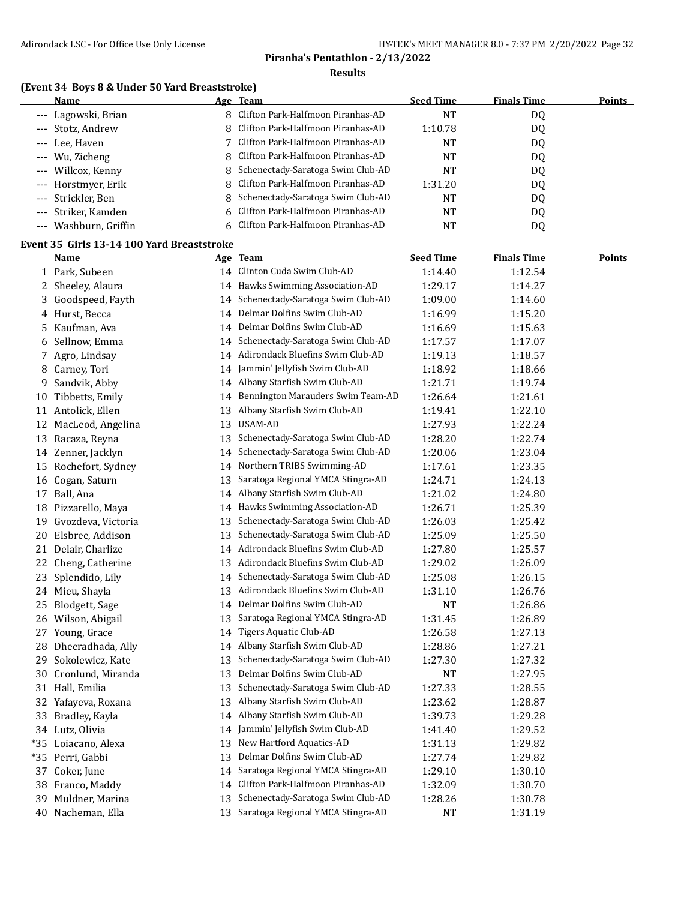#### **(Event 34 Boys 8 & Under 50 Yard Breaststroke)**

| Name                  | Age Team                            | <b>Seed Time</b> | <b>Finals Time</b> | Points |
|-----------------------|-------------------------------------|------------------|--------------------|--------|
| --- Lagowski, Brian   | 8 Clifton Park-Halfmoon Piranhas-AD | NT               | DQ                 |        |
| --- Stotz, Andrew     | 8 Clifton Park-Halfmoon Piranhas-AD | 1:10.78          | DQ                 |        |
| --- Lee, Haven        | 7 Clifton Park-Halfmoon Piranhas-AD | NT               | DQ                 |        |
| --- Wu, Zicheng       | 8 Clifton Park-Halfmoon Piranhas-AD | NT               | DQ                 |        |
| --- Willcox, Kenny    | 8 Schenectady-Saratoga Swim Club-AD | NT               | D <sub>0</sub>     |        |
| --- Horstmyer, Erik   | 8 Clifton Park-Halfmoon Piranhas-AD | 1:31.20          | DQ                 |        |
| --- Strickler, Ben    | Schenectady-Saratoga Swim Club-AD   | <b>NT</b>        | D <sub>0</sub>     |        |
| --- Striker, Kamden   | 6 Clifton Park-Halfmoon Piranhas-AD | <b>NT</b>        | D <sub>0</sub>     |        |
| --- Washburn, Griffin | 6 Clifton Park-Halfmoon Piranhas-AD | NT               | DQ                 |        |

#### **Event 35 Girls 13-14 100 Yard Breaststroke**

| 1:12.54<br>1:14.27<br>1:14.60<br>1:15.20<br>1:15.63 |
|-----------------------------------------------------|
|                                                     |
|                                                     |
|                                                     |
|                                                     |
|                                                     |
| 1:17.07                                             |
| 1:18.57                                             |
| 1:18.66                                             |
| 1:19.74                                             |
| 1:21.61                                             |
| 1:22.10                                             |
| 1:22.24                                             |
| 1:22.74                                             |
| 1:23.04                                             |
| 1:23.35                                             |
| 1:24.13                                             |
| 1:24.80                                             |
| 1:25.39                                             |
| 1:25.42                                             |
| 1:25.50                                             |
| 1:25.57                                             |
| 1:26.09                                             |
| 1:26.15                                             |
| 1:26.76                                             |
| 1:26.86                                             |
| 1:26.89                                             |
| 1:27.13                                             |
| 1:27.21                                             |
| 1:27.32                                             |
| 1:27.95                                             |
| 1:28.55                                             |
| 1:28.87                                             |
| 1:29.28                                             |
| 1:29.52                                             |
| 1:29.82                                             |
| 1:29.82                                             |
|                                                     |
| 1:30.10                                             |
| 1:30.70                                             |
| 1:30.78                                             |
|                                                     |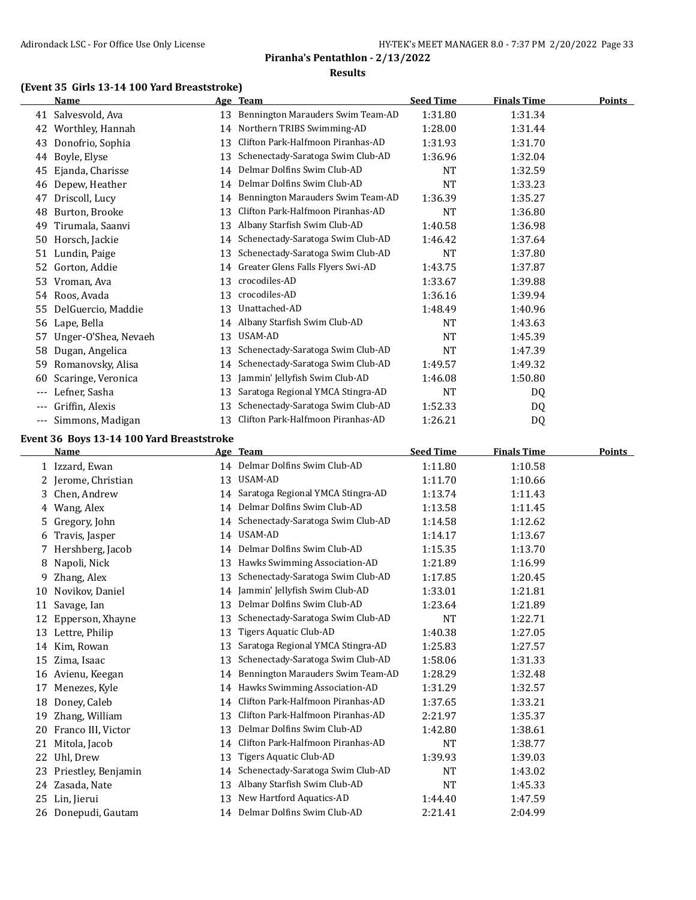## **(Event 35 Girls 13-14 100 Yard Breaststroke)**

|       | Name                                      |    | Age Team                             | <b>Seed Time</b> | <b>Finals Time</b> | <b>Points</b> |
|-------|-------------------------------------------|----|--------------------------------------|------------------|--------------------|---------------|
|       | 41 Salvesvold, Ava                        | 13 | Bennington Marauders Swim Team-AD    | 1:31.80          | 1:31.34            |               |
| 42    | Worthley, Hannah                          | 14 | Northern TRIBS Swimming-AD           | 1:28.00          | 1:31.44            |               |
| 43    | Donofrio, Sophia                          | 13 | Clifton Park-Halfmoon Piranhas-AD    | 1:31.93          | 1:31.70            |               |
| 44    | Boyle, Elyse                              | 13 | Schenectady-Saratoga Swim Club-AD    | 1:36.96          | 1:32.04            |               |
| 45    | Ejanda, Charisse                          | 14 | Delmar Dolfins Swim Club-AD          | NT               | 1:32.59            |               |
| 46    | Depew, Heather                            | 14 | Delmar Dolfins Swim Club-AD          | <b>NT</b>        | 1:33.23            |               |
| 47    | Driscoll, Lucy                            | 14 | Bennington Marauders Swim Team-AD    | 1:36.39          | 1:35.27            |               |
| 48    | Burton, Brooke                            | 13 | Clifton Park-Halfmoon Piranhas-AD    | NT               | 1:36.80            |               |
| 49    | Tirumala, Saanvi                          | 13 | Albany Starfish Swim Club-AD         | 1:40.58          | 1:36.98            |               |
|       | 50 Horsch, Jackie                         | 14 | Schenectady-Saratoga Swim Club-AD    | 1:46.42          | 1:37.64            |               |
|       | 51 Lundin, Paige                          | 13 | Schenectady-Saratoga Swim Club-AD    | <b>NT</b>        | 1:37.80            |               |
|       | 52 Gorton, Addie                          | 14 | Greater Glens Falls Flyers Swi-AD    | 1:43.75          | 1:37.87            |               |
| 53    | Vroman, Ava                               | 13 | crocodiles-AD                        | 1:33.67          | 1:39.88            |               |
|       | 54 Roos, Avada                            | 13 | crocodiles-AD                        | 1:36.16          | 1:39.94            |               |
| 55    | DelGuercio, Maddie                        | 13 | Unattached-AD                        | 1:48.49          | 1:40.96            |               |
| 56    | Lape, Bella                               | 14 | Albany Starfish Swim Club-AD         | <b>NT</b>        | 1:43.63            |               |
| 57    | Unger-O'Shea, Nevaeh                      | 13 | USAM-AD                              | <b>NT</b>        | 1:45.39            |               |
| 58    | Dugan, Angelica                           | 13 | Schenectady-Saratoga Swim Club-AD    | <b>NT</b>        | 1:47.39            |               |
| 59    | Romanovsky, Alisa                         | 14 | Schenectady-Saratoga Swim Club-AD    | 1:49.57          | 1:49.32            |               |
| 60    | Scaringe, Veronica                        | 13 | Jammin' Jellyfish Swim Club-AD       | 1:46.08          | 1:50.80            |               |
| ---   | Lefner, Sasha                             | 13 | Saratoga Regional YMCA Stingra-AD    | NT               | DQ                 |               |
| ---   | Griffin, Alexis                           | 13 | Schenectady-Saratoga Swim Club-AD    | 1:52.33          | DQ                 |               |
| $---$ | Simmons, Madigan                          |    | 13 Clifton Park-Halfmoon Piranhas-AD | 1:26.21          | DQ                 |               |
|       | Event 36 Boys 13-14 100 Yard Breaststroke |    |                                      |                  |                    |               |
|       | <u>Name</u>                               |    | Age Team                             | <b>Seed Time</b> | <b>Finals Time</b> | <b>Points</b> |
|       | 1 Izzard, Ewan                            |    | 14 Delmar Dolfins Swim Club-AD       | 1:11.80          | 1:10.58            |               |
| 2     | Jerome, Christian                         |    | 13 USAM-AD                           | 1:11.70          | 1:10.66            |               |
| 3     | Chen, Andrew                              | 14 | Saratoga Regional YMCA Stingra-AD    | 1:13.74          | 1:11.43            |               |
| 4     | Wang, Alex                                |    | 14 Delmar Dolfins Swim Club-AD       | 1:13.58          | 1:11.45            |               |
| 5     | Gregory, John                             | 14 | Schenectady-Saratoga Swim Club-AD    | 1:14.58          | 1:12.62            |               |
| 6     | Travis, Jasper                            |    | 14 USAM-AD                           | 1:14.17          | 1:13.67            |               |
| 7     | Hershberg, Jacob                          | 14 | Delmar Dolfins Swim Club-AD          | 1:15.35          | 1:13.70            |               |
| 8     | Napoli, Nick                              |    | 13 Hawks Swimming Association-AD     | 1:21.89          | 1:16.99            |               |
| 9     | Zhang, Alex                               |    | 13 Schenectady-Saratoga Swim Club-AD | 1:17.85          | 1:20.45            |               |
|       | 10 Novikov, Daniel                        |    | 14 Jammin' Jellyfish Swim Club-AD    | 1:33.01          | 1:21.81            |               |
| 11    | Savage, Ian                               |    | 13 Delmar Dolfins Swim Club-AD       | 1:23.64          | 1:21.89            |               |
|       | 12 Epperson, Xhayne                       |    | 13 Schenectady-Saratoga Swim Club-AD | NT               | 1:22.71            |               |
|       | 13 Lettre, Philip                         | 13 | Tigers Aquatic Club-AD               | 1:40.38          | 1:27.05            |               |
|       | 14 Kim, Rowan                             | 13 | Saratoga Regional YMCA Stingra-AD    | 1:25.83          | 1:27.57            |               |
| 15    | Zima, Isaac                               | 13 | Schenectady-Saratoga Swim Club-AD    | 1:58.06          | 1:31.33            |               |
|       | 16 Avienu, Keegan                         | 14 | Bennington Marauders Swim Team-AD    | 1:28.29          | 1:32.48            |               |
| 17    | Menezes, Kyle                             | 14 | Hawks Swimming Association-AD        | 1:31.29          | 1:32.57            |               |
| 18    | Doney, Caleb                              | 14 | Clifton Park-Halfmoon Piranhas-AD    | 1:37.65          | 1:33.21            |               |
| 19    | Zhang, William                            | 13 | Clifton Park-Halfmoon Piranhas-AD    | 2:21.97          | 1:35.37            |               |
| 20    | Franco III, Victor                        | 13 | Delmar Dolfins Swim Club-AD          | 1:42.80          | 1:38.61            |               |
|       | 21 Mitola, Jacob                          | 14 | Clifton Park-Halfmoon Piranhas-AD    | NT               | 1:38.77            |               |
|       | 22 Uhl, Drew                              | 13 | Tigers Aquatic Club-AD               | 1:39.93          | 1:39.03            |               |
| 23    | Priestley, Benjamin                       | 14 | Schenectady-Saratoga Swim Club-AD    | NT               | 1:43.02            |               |
|       | 24 Zasada, Nate                           | 13 | Albany Starfish Swim Club-AD         | <b>NT</b>        | 1:45.33            |               |
|       | 25 Lin, Jierui                            | 13 | New Hartford Aquatics-AD             | 1:44.40          | 1:47.59            |               |
|       | 26 Donepudi, Gautam                       |    | 14 Delmar Dolfins Swim Club-AD       | 2:21.41          | 2:04.99            |               |
|       |                                           |    |                                      |                  |                    |               |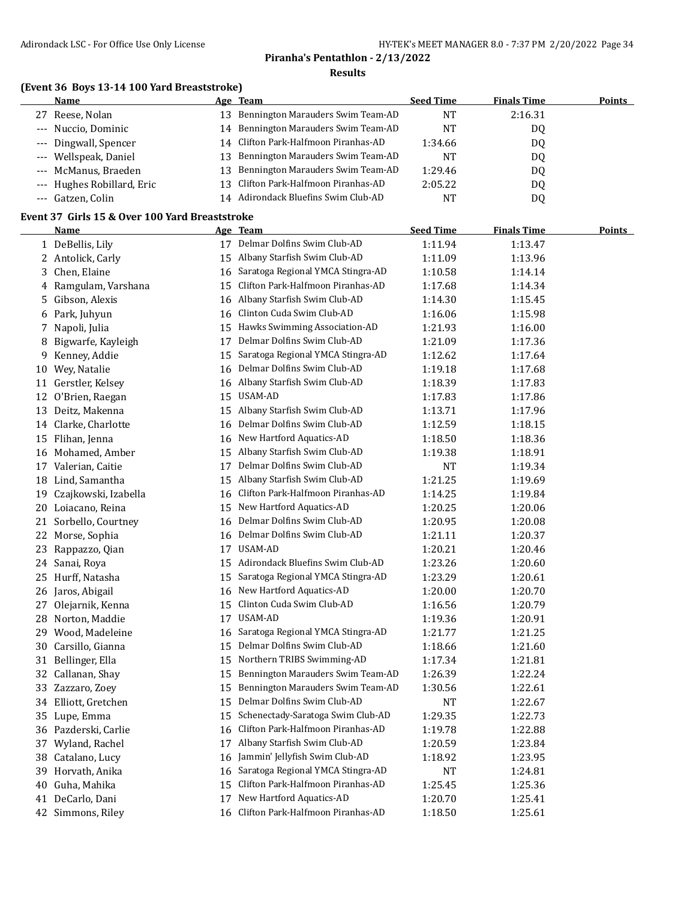## **(Event 36 Boys 13-14 100 Yard Breaststroke)**

| <b>Name</b>                |     | Age Team                             | <b>Seed Time</b> | <b>Finals Time</b> | <b>Points</b> |
|----------------------------|-----|--------------------------------------|------------------|--------------------|---------------|
| 27 Reese, Nolan            | 13  | Bennington Marauders Swim Team-AD    | NT               | 2:16.31            |               |
| --- Nuccio, Dominic        |     | 14 Bennington Marauders Swim Team-AD | NT               | DQ                 |               |
| --- Dingwall, Spencer      |     | 14 Clifton Park-Halfmoon Piranhas-AD | 1:34.66          | DQ                 |               |
| --- Wellspeak, Daniel      |     | 13 Bennington Marauders Swim Team-AD | NT               | DQ                 |               |
| --- McManus, Braeden       | 13. | Bennington Marauders Swim Team-AD    | 1:29.46          | D <sub>0</sub>     |               |
| --- Hughes Robillard, Eric |     | 13 Clifton Park-Halfmoon Piranhas-AD | 2:05.22          | DQ                 |               |
| --- Gatzen, Colin          |     | 14 Adirondack Bluefins Swim Club-AD  | NT               | DQ                 |               |

#### **Event 37 Girls 15 & Over 100 Yard Breaststroke**

 $\overline{a}$ 

|    | <b>Name</b>             |    | Age Team                          | <b>Seed Time</b> | <b>Finals Time</b> | <b>Points</b> |
|----|-------------------------|----|-----------------------------------|------------------|--------------------|---------------|
|    | 1 DeBellis, Lily        |    | 17 Delmar Dolfins Swim Club-AD    | 1:11.94          | 1:13.47            |               |
|    | 2 Antolick, Carly       | 15 | Albany Starfish Swim Club-AD      | 1:11.09          | 1:13.96            |               |
|    | 3 Chen, Elaine          | 16 | Saratoga Regional YMCA Stingra-AD | 1:10.58          | 1:14.14            |               |
| 4  | Ramgulam, Varshana      | 15 | Clifton Park-Halfmoon Piranhas-AD | 1:17.68          | 1:14.34            |               |
| 5  | Gibson, Alexis          |    | 16 Albany Starfish Swim Club-AD   | 1:14.30          | 1:15.45            |               |
|    | 6 Park, Juhyun          | 16 | Clinton Cuda Swim Club-AD         | 1:16.06          | 1:15.98            |               |
|    | 7 Napoli, Julia         | 15 | Hawks Swimming Association-AD     | 1:21.93          | 1:16.00            |               |
| 8  | Bigwarfe, Kayleigh      | 17 | Delmar Dolfins Swim Club-AD       | 1:21.09          | 1:17.36            |               |
|    | 9 Kenney, Addie         | 15 | Saratoga Regional YMCA Stingra-AD | 1:12.62          | 1:17.64            |               |
|    | 10 Wey, Natalie         | 16 | Delmar Dolfins Swim Club-AD       | 1:19.18          | 1:17.68            |               |
|    | 11 Gerstler, Kelsey     | 16 | Albany Starfish Swim Club-AD      | 1:18.39          | 1:17.83            |               |
| 12 | O'Brien, Raegan         | 15 | USAM-AD                           | 1:17.83          | 1:17.86            |               |
|    | 13 Deitz, Makenna       |    | 15 Albany Starfish Swim Club-AD   | 1:13.71          | 1:17.96            |               |
| 14 | Clarke, Charlotte       | 16 | Delmar Dolfins Swim Club-AD       | 1:12.59          | 1:18.15            |               |
|    | 15 Flihan, Jenna        | 16 | New Hartford Aquatics-AD          | 1:18.50          | 1:18.36            |               |
|    | 16 Mohamed, Amber       | 15 | Albany Starfish Swim Club-AD      | 1:19.38          | 1:18.91            |               |
|    | 17 Valerian, Caitie     | 17 | Delmar Dolfins Swim Club-AD       | NT               | 1:19.34            |               |
|    | 18 Lind, Samantha       | 15 | Albany Starfish Swim Club-AD      | 1:21.25          | 1:19.69            |               |
|    | 19 Czajkowski, Izabella | 16 | Clifton Park-Halfmoon Piranhas-AD | 1:14.25          | 1:19.84            |               |
|    | 20 Loiacano, Reina      | 15 | New Hartford Aquatics-AD          | 1:20.25          | 1:20.06            |               |
|    | 21 Sorbello, Courtney   | 16 | Delmar Dolfins Swim Club-AD       | 1:20.95          | 1:20.08            |               |
|    | 22 Morse, Sophia        | 16 | Delmar Dolfins Swim Club-AD       | 1:21.11          | 1:20.37            |               |
|    | 23 Rappazzo, Qian       | 17 | USAM-AD                           | 1:20.21          | 1:20.46            |               |
|    | 24 Sanai, Roya          | 15 | Adirondack Bluefins Swim Club-AD  | 1:23.26          | 1:20.60            |               |
|    | 25 Hurff, Natasha       | 15 | Saratoga Regional YMCA Stingra-AD | 1:23.29          | 1:20.61            |               |
|    | 26 Jaros, Abigail       | 16 | New Hartford Aquatics-AD          | 1:20.00          | 1:20.70            |               |
|    | 27 Olejarnik, Kenna     | 15 | Clinton Cuda Swim Club-AD         | 1:16.56          | 1:20.79            |               |
|    | 28 Norton, Maddie       | 17 | USAM-AD                           | 1:19.36          | 1:20.91            |               |
|    | 29 Wood, Madeleine      | 16 | Saratoga Regional YMCA Stingra-AD | 1:21.77          | 1:21.25            |               |
|    | 30 Carsillo, Gianna     | 15 | Delmar Dolfins Swim Club-AD       | 1:18.66          | 1:21.60            |               |
|    | 31 Bellinger, Ella      | 15 | Northern TRIBS Swimming-AD        | 1:17.34          | 1:21.81            |               |
| 32 | Callanan, Shay          | 15 | Bennington Marauders Swim Team-AD | 1:26.39          | 1:22.24            |               |
|    | 33 Zazzaro, Zoey        | 15 | Bennington Marauders Swim Team-AD | 1:30.56          | 1:22.61            |               |
|    | 34 Elliott, Gretchen    | 15 | Delmar Dolfins Swim Club-AD       | NT               | 1:22.67            |               |
|    | 35 Lupe, Emma           | 15 | Schenectady-Saratoga Swim Club-AD | 1:29.35          | 1:22.73            |               |
|    | 36 Pazderski, Carlie    | 16 | Clifton Park-Halfmoon Piranhas-AD | 1:19.78          | 1:22.88            |               |
|    | 37 Wyland, Rachel       | 17 | Albany Starfish Swim Club-AD      | 1:20.59          | 1:23.84            |               |
|    | 38 Catalano, Lucy       | 16 | Jammin' Jellyfish Swim Club-AD    | 1:18.92          | 1:23.95            |               |
|    | 39 Horvath, Anika       | 16 | Saratoga Regional YMCA Stingra-AD | NT               | 1:24.81            |               |
| 40 | Guha, Mahika            | 15 | Clifton Park-Halfmoon Piranhas-AD | 1:25.45          | 1:25.36            |               |
|    | 41 DeCarlo, Dani        | 17 | New Hartford Aquatics-AD          | 1:20.70          | 1:25.41            |               |
|    | 42 Simmons, Riley       | 16 | Clifton Park-Halfmoon Piranhas-AD | 1:18.50          | 1:25.61            |               |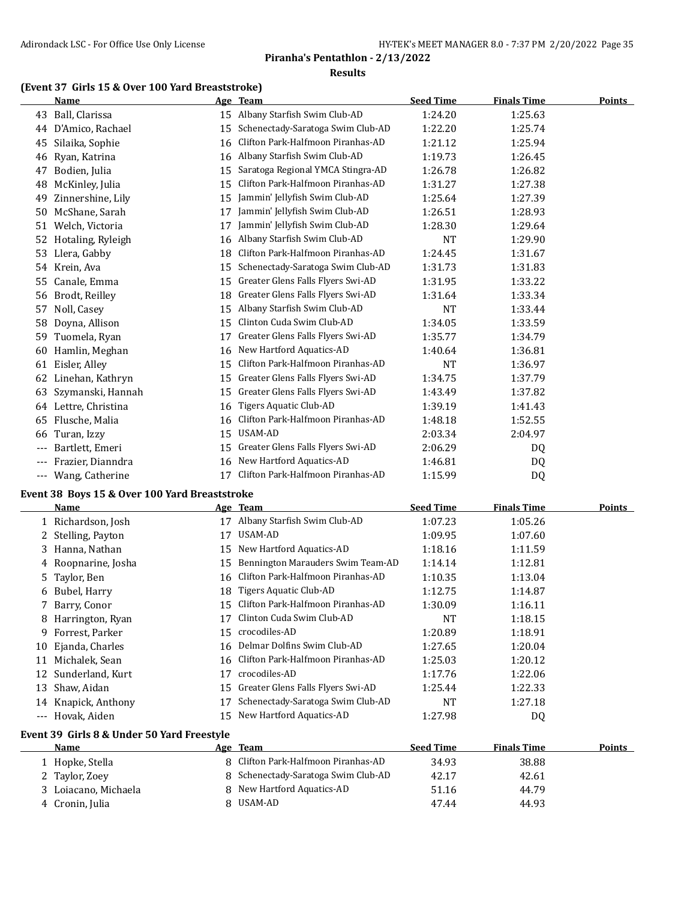#### **(Event 37 Girls 15 & Over 100 Yard Breaststroke)**

|     | Name                 |    | Age Team                          | <b>Seed Time</b> | <b>Finals Time</b> | <b>Points</b> |
|-----|----------------------|----|-----------------------------------|------------------|--------------------|---------------|
| 43  | Ball, Clarissa       |    | 15 Albany Starfish Swim Club-AD   | 1:24.20          | 1:25.63            |               |
| 44  | D'Amico, Rachael     | 15 | Schenectady-Saratoga Swim Club-AD | 1:22.20          | 1:25.74            |               |
| 45  | Silaika, Sophie      | 16 | Clifton Park-Halfmoon Piranhas-AD | 1:21.12          | 1:25.94            |               |
| 46  | Ryan, Katrina        | 16 | Albany Starfish Swim Club-AD      | 1:19.73          | 1:26.45            |               |
| 47  | Bodien, Julia        | 15 | Saratoga Regional YMCA Stingra-AD | 1:26.78          | 1:26.82            |               |
| 48  | McKinley, Julia      | 15 | Clifton Park-Halfmoon Piranhas-AD | 1:31.27          | 1:27.38            |               |
| 49  | Zinnershine, Lily    | 15 | Jammin' Jellyfish Swim Club-AD    | 1:25.64          | 1:27.39            |               |
| 50  | McShane, Sarah       | 17 | Jammin' Jellyfish Swim Club-AD    | 1:26.51          | 1:28.93            |               |
| 51  | Welch, Victoria      | 17 | Jammin' Jellyfish Swim Club-AD    | 1:28.30          | 1:29.64            |               |
| 52  | Hotaling, Ryleigh    | 16 | Albany Starfish Swim Club-AD      | <b>NT</b>        | 1:29.90            |               |
| 53  | Llera, Gabby         | 18 | Clifton Park-Halfmoon Piranhas-AD | 1:24.45          | 1:31.67            |               |
| 54  | Krein, Ava           | 15 | Schenectady-Saratoga Swim Club-AD | 1:31.73          | 1:31.83            |               |
| 55  | Canale, Emma         | 15 | Greater Glens Falls Flyers Swi-AD | 1:31.95          | 1:33.22            |               |
| 56  | Brodt, Reilley       | 18 | Greater Glens Falls Flyers Swi-AD | 1:31.64          | 1:33.34            |               |
| 57  | Noll, Casey          | 15 | Albany Starfish Swim Club-AD      | <b>NT</b>        | 1:33.44            |               |
| 58  | Doyna, Allison       | 15 | Clinton Cuda Swim Club-AD         | 1:34.05          | 1:33.59            |               |
| 59  | Tuomela, Ryan        | 17 | Greater Glens Falls Flyers Swi-AD | 1:35.77          | 1:34.79            |               |
| 60  | Hamlin, Meghan       | 16 | New Hartford Aquatics-AD          | 1:40.64          | 1:36.81            |               |
| 61  | Eisler, Alley        | 15 | Clifton Park-Halfmoon Piranhas-AD | <b>NT</b>        | 1:36.97            |               |
| 62  | Linehan, Kathryn     | 15 | Greater Glens Falls Flyers Swi-AD | 1:34.75          | 1:37.79            |               |
| 63  | Szymanski, Hannah    | 15 | Greater Glens Falls Flyers Swi-AD | 1:43.49          | 1:37.82            |               |
|     | 64 Lettre, Christina | 16 | Tigers Aquatic Club-AD            | 1:39.19          | 1:41.43            |               |
| 65  | Flusche, Malia       | 16 | Clifton Park-Halfmoon Piranhas-AD | 1:48.18          | 1:52.55            |               |
| 66  | Turan, Izzy          | 15 | USAM-AD                           | 2:03.34          | 2:04.97            |               |
| --- | Bartlett, Emeri      | 15 | Greater Glens Falls Flyers Swi-AD | 2:06.29          | DQ                 |               |
|     | Frazier, Dianndra    | 16 | New Hartford Aquatics-AD          | 1:46.81          | DQ                 |               |
| --- | Wang, Catherine      | 17 | Clifton Park-Halfmoon Piranhas-AD | 1:15.99          | DQ                 |               |

#### **Event 38 Boys 15 & Over 100 Yard Breaststroke**

 $\overline{a}$ 

|          | Name                |    | Age Team                          | <b>Seed Time</b> | <b>Finals Time</b> | <b>Points</b> |
|----------|---------------------|----|-----------------------------------|------------------|--------------------|---------------|
|          | 1 Richardson, Josh  | 17 | Albany Starfish Swim Club-AD      | 1:07.23          | 1:05.26            |               |
|          | 2 Stelling, Payton  | 17 | USAM-AD                           | 1:09.95          | 1:07.60            |               |
| 3        | Hanna, Nathan       | 15 | New Hartford Aquatics-AD          | 1:18.16          | 1:11.59            |               |
|          | 4 Roopnarine, Josha | 15 | Bennington Marauders Swim Team-AD | 1:14.14          | 1:12.81            |               |
|          | 5 Taylor, Ben       | 16 | Clifton Park-Halfmoon Piranhas-AD | 1:10.35          | 1:13.04            |               |
| 6        | Bubel, Harry        | 18 | Tigers Aquatic Club-AD            | 1:12.75          | 1:14.87            |               |
|          | Barry, Conor        | 15 | Clifton Park-Halfmoon Piranhas-AD | 1:30.09          | 1:16.11            |               |
| 8        | Harrington, Ryan    | 17 | Clinton Cuda Swim Club-AD         | <b>NT</b>        | 1:18.15            |               |
| 9        | Forrest, Parker     | 15 | crocodiles-AD                     | 1:20.89          | 1:18.91            |               |
|          | 10 Ejanda, Charles  | 16 | Delmar Dolfins Swim Club-AD       | 1:27.65          | 1:20.04            |               |
| 11       | Michalek, Sean      | 16 | Clifton Park-Halfmoon Piranhas-AD | 1:25.03          | 1:20.12            |               |
|          | 12 Sunderland, Kurt | 17 | crocodiles-AD                     | 1:17.76          | 1:22.06            |               |
| 13       | Shaw, Aidan         | 15 | Greater Glens Falls Flyers Swi-AD | 1:25.44          | 1:22.33            |               |
| 14       | Knapick, Anthony    | 17 | Schenectady-Saratoga Swim Club-AD | NT               | 1:27.18            |               |
| $\cdots$ | Hovak, Aiden        | 15 | New Hartford Aquatics-AD          | 1:27.98          | DQ                 |               |
|          |                     |    |                                   |                  |                    |               |

#### **Event 39 Girls 8 & Under 50 Yard Freestyle**

| <b>Name</b>          | Age Team                            | <b>Seed Time</b> | <b>Finals Time</b> | <b>Points</b> |
|----------------------|-------------------------------------|------------------|--------------------|---------------|
| 1 Hopke, Stella      | 8 Clifton Park-Halfmoon Piranhas-AD | 34.93            | 38.88              |               |
| 2 Taylor, Zoey       | 8 Schenectady-Saratoga Swim Club-AD | 42.17            | 42.61              |               |
| 3 Loiacano, Michaela | 8 New Hartford Aquatics-AD          | 51.16            | 44.79              |               |
| 4 Cronin, Julia      | 8 USAM-AD                           | 47.44            | 44.93              |               |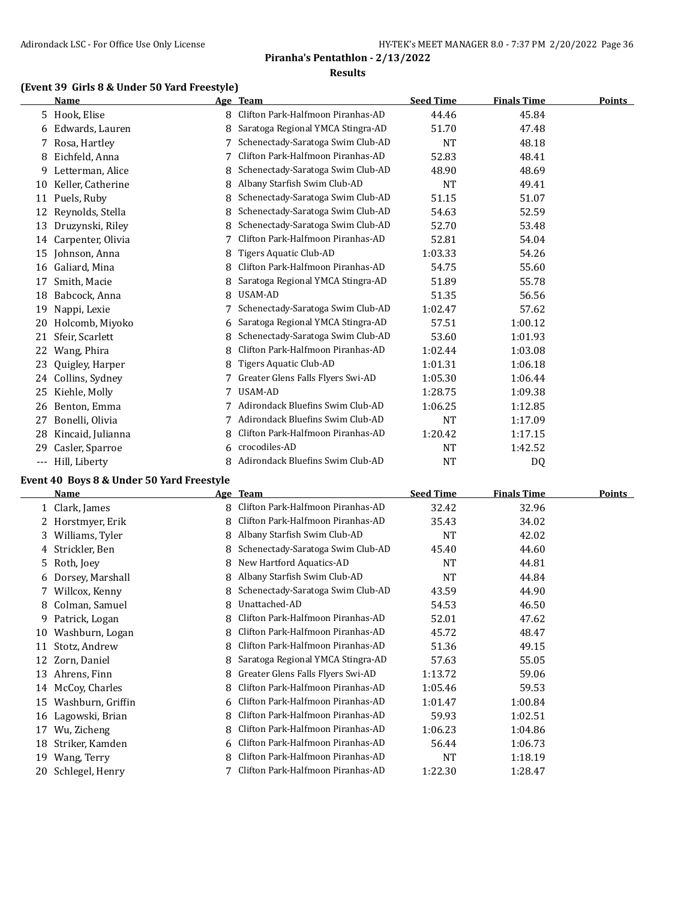## **(Event 39 Girls 8 & Under 50 Yard Freestyle)**

|     | Name              |   | Age Team                          | <b>Seed Time</b> | <b>Finals Time</b> | <b>Points</b> |
|-----|-------------------|---|-----------------------------------|------------------|--------------------|---------------|
|     | 5 Hook, Elise     | 8 | Clifton Park-Halfmoon Piranhas-AD | 44.46            | 45.84              |               |
| 6   | Edwards, Lauren   | 8 | Saratoga Regional YMCA Stingra-AD | 51.70            | 47.48              |               |
| 7   | Rosa, Hartley     |   | Schenectady-Saratoga Swim Club-AD | <b>NT</b>        | 48.18              |               |
| 8   | Eichfeld, Anna    | 7 | Clifton Park-Halfmoon Piranhas-AD | 52.83            | 48.41              |               |
| 9   | Letterman, Alice  | 8 | Schenectady-Saratoga Swim Club-AD | 48.90            | 48.69              |               |
| 10  | Keller, Catherine | 8 | Albany Starfish Swim Club-AD      | <b>NT</b>        | 49.41              |               |
| 11  | Puels, Ruby       | 8 | Schenectady-Saratoga Swim Club-AD | 51.15            | 51.07              |               |
| 12  | Reynolds, Stella  |   | Schenectady-Saratoga Swim Club-AD | 54.63            | 52.59              |               |
| 13  | Druzynski, Riley  | 8 | Schenectady-Saratoga Swim Club-AD | 52.70            | 53.48              |               |
| 14  | Carpenter, Olivia |   | Clifton Park-Halfmoon Piranhas-AD | 52.81            | 54.04              |               |
| 15  | Johnson, Anna     | 8 | Tigers Aquatic Club-AD            | 1:03.33          | 54.26              |               |
| 16  | Galiard, Mina     | 8 | Clifton Park-Halfmoon Piranhas-AD | 54.75            | 55.60              |               |
| 17  | Smith, Macie      |   | Saratoga Regional YMCA Stingra-AD | 51.89            | 55.78              |               |
| 18  | Babcock, Anna     | 8 | USAM-AD                           | 51.35            | 56.56              |               |
| 19  | Nappi, Lexie      |   | Schenectady-Saratoga Swim Club-AD | 1:02.47          | 57.62              |               |
| 20  | Holcomb, Miyoko   | 6 | Saratoga Regional YMCA Stingra-AD | 57.51            | 1:00.12            |               |
| 21  | Sfeir, Scarlett   | 8 | Schenectady-Saratoga Swim Club-AD | 53.60            | 1:01.93            |               |
| 22  | Wang, Phira       | 8 | Clifton Park-Halfmoon Piranhas-AD | 1:02.44          | 1:03.08            |               |
| 23  | Quigley, Harper   | 8 | Tigers Aquatic Club-AD            | 1:01.31          | 1:06.18            |               |
| 24  | Collins, Sydney   |   | Greater Glens Falls Flyers Swi-AD | 1:05.30          | 1:06.44            |               |
| 25  | Kiehle, Molly     | 7 | USAM-AD                           | 1:28.75          | 1:09.38            |               |
| 26  | Benton, Emma      |   | Adirondack Bluefins Swim Club-AD  | 1:06.25          | 1:12.85            |               |
| 27  | Bonelli, Olivia   |   | Adirondack Bluefins Swim Club-AD  | NT               | 1:17.09            |               |
| 28  | Kincaid, Julianna | 8 | Clifton Park-Halfmoon Piranhas-AD | 1:20.42          | 1:17.15            |               |
| 29  | Casler, Sparroe   | 6 | crocodiles-AD                     | NT               | 1:42.52            |               |
| --- | Hill, Liberty     | 8 | Adirondack Bluefins Swim Club-AD  | <b>NT</b>        | D <sub>0</sub>     |               |

#### **Event 40 Boys 8 & Under 50 Yard Freestyle**

|    | Name              |   | Age Team                          | <b>Seed Time</b> | <b>Finals Time</b> | Points |
|----|-------------------|---|-----------------------------------|------------------|--------------------|--------|
|    | 1 Clark, James    | 8 | Clifton Park-Halfmoon Piranhas-AD | 32.42            | 32.96              |        |
|    | Horstmyer, Erik   | 8 | Clifton Park-Halfmoon Piranhas-AD | 35.43            | 34.02              |        |
| 3. | Williams, Tyler   | 8 | Albany Starfish Swim Club-AD      | NT               | 42.02              |        |
| 4  | Strickler, Ben    |   | Schenectady-Saratoga Swim Club-AD | 45.40            | 44.60              |        |
| 5. | Roth, Joey        | 8 | New Hartford Aquatics-AD          | <b>NT</b>        | 44.81              |        |
| 6  | Dorsey, Marshall  |   | Albany Starfish Swim Club-AD      | NT               | 44.84              |        |
| 7. | Willcox, Kenny    |   | Schenectady-Saratoga Swim Club-AD | 43.59            | 44.90              |        |
| 8  | Colman, Samuel    | 8 | Unattached-AD                     | 54.53            | 46.50              |        |
| 9. | Patrick, Logan    | 8 | Clifton Park-Halfmoon Piranhas-AD | 52.01            | 47.62              |        |
| 10 | Washburn, Logan   | 8 | Clifton Park-Halfmoon Piranhas-AD | 45.72            | 48.47              |        |
| 11 | Stotz, Andrew     |   | Clifton Park-Halfmoon Piranhas-AD | 51.36            | 49.15              |        |
| 12 | Zorn, Daniel      | 8 | Saratoga Regional YMCA Stingra-AD | 57.63            | 55.05              |        |
| 13 | Ahrens, Finn      |   | Greater Glens Falls Flyers Swi-AD | 1:13.72          | 59.06              |        |
| 14 | McCoy, Charles    | 8 | Clifton Park-Halfmoon Piranhas-AD | 1:05.46          | 59.53              |        |
| 15 | Washburn, Griffin | 6 | Clifton Park-Halfmoon Piranhas-AD | 1:01.47          | 1:00.84            |        |
| 16 | Lagowski, Brian   |   | Clifton Park-Halfmoon Piranhas-AD | 59.93            | 1:02.51            |        |
| 17 | Wu, Zicheng       | 8 | Clifton Park-Halfmoon Piranhas-AD | 1:06.23          | 1:04.86            |        |
| 18 | Striker, Kamden   | 6 | Clifton Park-Halfmoon Piranhas-AD | 56.44            | 1:06.73            |        |
| 19 | Wang, Terry       | 8 | Clifton Park-Halfmoon Piranhas-AD | NT               | 1:18.19            |        |
| 20 | Schlegel, Henry   |   | Clifton Park-Halfmoon Piranhas-AD | 1:22.30          | 1:28.47            |        |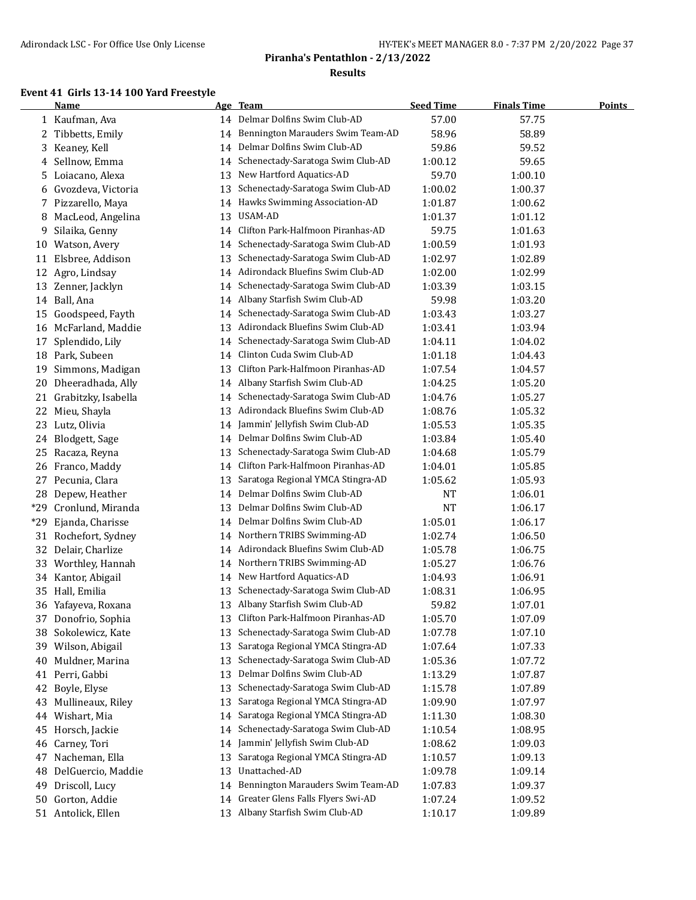#### **Event 41 Girls 13-14 100 Yard Freestyle**

|       | <b>Name</b>            |    | Age Team                            | <b>Seed Time</b> | <b>Finals Time</b> | <b>Points</b> |
|-------|------------------------|----|-------------------------------------|------------------|--------------------|---------------|
|       | 1 Kaufman, Ava         |    | 14 Delmar Dolfins Swim Club-AD      | 57.00            | 57.75              |               |
|       | 2 Tibbetts, Emily      | 14 | Bennington Marauders Swim Team-AD   | 58.96            | 58.89              |               |
|       | 3 Keaney, Kell         | 14 | Delmar Dolfins Swim Club-AD         | 59.86            | 59.52              |               |
|       | 4 Sellnow, Emma        | 14 | Schenectady-Saratoga Swim Club-AD   | 1:00.12          | 59.65              |               |
| 5     | Loiacano, Alexa        | 13 | New Hartford Aquatics-AD            | 59.70            | 1:00.10            |               |
| 6     | Gvozdeva, Victoria     | 13 | Schenectady-Saratoga Swim Club-AD   | 1:00.02          | 1:00.37            |               |
|       | 7 Pizzarello, Maya     | 14 | Hawks Swimming Association-AD       | 1:01.87          | 1:00.62            |               |
| 8     | MacLeod, Angelina      | 13 | USAM-AD                             | 1:01.37          | 1:01.12            |               |
| 9     | Silaika, Genny         | 14 | Clifton Park-Halfmoon Piranhas-AD   | 59.75            | 1:01.63            |               |
| 10    | Watson, Avery          | 14 | Schenectady-Saratoga Swim Club-AD   | 1:00.59          | 1:01.93            |               |
| 11    | Elsbree, Addison       | 13 | Schenectady-Saratoga Swim Club-AD   | 1:02.97          | 1:02.89            |               |
| 12    | Agro, Lindsay          | 14 | Adirondack Bluefins Swim Club-AD    | 1:02.00          | 1:02.99            |               |
|       | 13 Zenner, Jacklyn     | 14 | Schenectady-Saratoga Swim Club-AD   | 1:03.39          | 1:03.15            |               |
|       | 14 Ball, Ana           | 14 | Albany Starfish Swim Club-AD        | 59.98            | 1:03.20            |               |
| 15    | Goodspeed, Fayth       | 14 | Schenectady-Saratoga Swim Club-AD   | 1:03.43          | 1:03.27            |               |
|       | 16 McFarland, Maddie   | 13 | Adirondack Bluefins Swim Club-AD    | 1:03.41          | 1:03.94            |               |
| 17    | Splendido, Lily        | 14 | Schenectady-Saratoga Swim Club-AD   | 1:04.11          | 1:04.02            |               |
|       | 18 Park, Subeen        | 14 | Clinton Cuda Swim Club-AD           | 1:01.18          | 1:04.43            |               |
|       | 19 Simmons, Madigan    | 13 | Clifton Park-Halfmoon Piranhas-AD   | 1:07.54          | 1:04.57            |               |
| 20    | Dheeradhada, Ally      |    | 14 Albany Starfish Swim Club-AD     | 1:04.25          | 1:05.20            |               |
|       | 21 Grabitzky, Isabella | 14 | Schenectady-Saratoga Swim Club-AD   | 1:04.76          | 1:05.27            |               |
| 22    | Mieu, Shayla           |    | 13 Adirondack Bluefins Swim Club-AD | 1:08.76          | 1:05.32            |               |
| 23    | Lutz, Olivia           | 14 | Jammin' Jellyfish Swim Club-AD      | 1:05.53          | 1:05.35            |               |
| 24    | Blodgett, Sage         |    | 14 Delmar Dolfins Swim Club-AD      | 1:03.84          | 1:05.40            |               |
| 25    | Racaza, Reyna          | 13 | Schenectady-Saratoga Swim Club-AD   | 1:04.68          | 1:05.79            |               |
| 26    | Franco, Maddy          | 14 | Clifton Park-Halfmoon Piranhas-AD   | 1:04.01          | 1:05.85            |               |
|       | 27 Pecunia, Clara      | 13 | Saratoga Regional YMCA Stingra-AD   | 1:05.62          | 1:05.93            |               |
|       | 28 Depew, Heather      | 14 | Delmar Dolfins Swim Club-AD         | <b>NT</b>        | 1:06.01            |               |
| *29   | Cronlund, Miranda      | 13 | Delmar Dolfins Swim Club-AD         | <b>NT</b>        | 1:06.17            |               |
| $*29$ | Ejanda, Charisse       |    | 14 Delmar Dolfins Swim Club-AD      | 1:05.01          | 1:06.17            |               |
|       | 31 Rochefort, Sydney   | 14 | Northern TRIBS Swimming-AD          | 1:02.74          | 1:06.50            |               |
|       | 32 Delair, Charlize    |    | 14 Adirondack Bluefins Swim Club-AD | 1:05.78          | 1:06.75            |               |
|       | 33 Worthley, Hannah    | 14 | Northern TRIBS Swimming-AD          | 1:05.27          | 1:06.76            |               |
|       | 34 Kantor, Abigail     | 14 | New Hartford Aquatics-AD            | 1:04.93          | 1:06.91            |               |
|       | 35 Hall, Emilia        | 13 | Schenectady-Saratoga Swim Club-AD   | 1:08.31          | 1:06.95            |               |
|       | 36 Yafayeva, Roxana    |    | 13 Albany Starfish Swim Club-AD     | 59.82            | 1:07.01            |               |
|       | 37 Donofrio, Sophia    | 13 | Clifton Park-Halfmoon Piranhas-AD   | 1:05.70          | 1:07.09            |               |
|       | 38 Sokolewicz, Kate    | 13 | Schenectady-Saratoga Swim Club-AD   | 1:07.78          | 1:07.10            |               |
|       | 39 Wilson, Abigail     | 13 | Saratoga Regional YMCA Stingra-AD   | 1:07.64          | 1:07.33            |               |
| 40    | Muldner, Marina        | 13 | Schenectady-Saratoga Swim Club-AD   | 1:05.36          | 1:07.72            |               |
| 41    | Perri, Gabbi           | 13 | Delmar Dolfins Swim Club-AD         | 1:13.29          | 1:07.87            |               |
| 42    | Boyle, Elyse           | 13 | Schenectady-Saratoga Swim Club-AD   | 1:15.78          | 1:07.89            |               |
| 43    | Mullineaux, Riley      | 13 | Saratoga Regional YMCA Stingra-AD   | 1:09.90          | 1:07.97            |               |
| 44    | Wishart, Mia           | 14 | Saratoga Regional YMCA Stingra-AD   | 1:11.30          | 1:08.30            |               |
| 45    | Horsch, Jackie         | 14 | Schenectady-Saratoga Swim Club-AD   | 1:10.54          | 1:08.95            |               |
| 46    | Carney, Tori           | 14 | Jammin' Jellyfish Swim Club-AD      | 1:08.62          | 1:09.03            |               |
| 47    | Nacheman, Ella         | 13 | Saratoga Regional YMCA Stingra-AD   | 1:10.57          | 1:09.13            |               |
| 48    | DelGuercio, Maddie     | 13 | Unattached-AD                       | 1:09.78          | 1:09.14            |               |
| 49    | Driscoll, Lucy         | 14 | Bennington Marauders Swim Team-AD   | 1:07.83          | 1:09.37            |               |
|       | 50 Gorton, Addie       | 14 | Greater Glens Falls Flyers Swi-AD   | 1:07.24          | 1:09.52            |               |
|       | 51 Antolick, Ellen     | 13 | Albany Starfish Swim Club-AD        | 1:10.17          | 1:09.89            |               |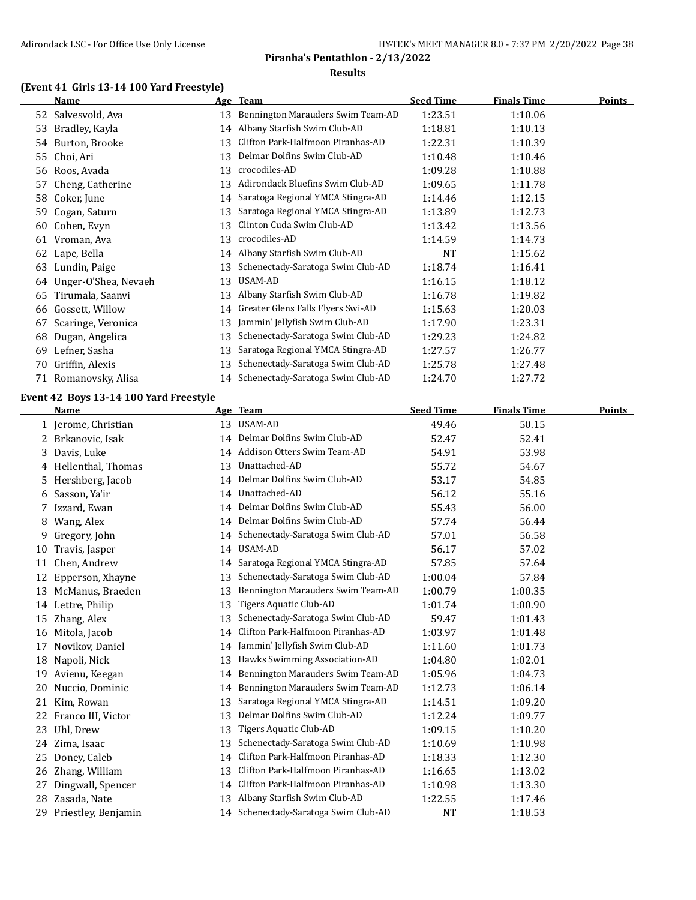## **(Event 41 Girls 13-14 100 Yard Freestyle)**

|    | <b>Name</b>          |    | Age Team                          | <b>Seed Time</b> | <b>Finals Time</b> | <b>Points</b> |
|----|----------------------|----|-----------------------------------|------------------|--------------------|---------------|
|    | 52 Salvesvold, Ava   | 13 | Bennington Marauders Swim Team-AD | 1:23.51          | 1:10.06            |               |
| 53 | Bradley, Kayla       | 14 | Albany Starfish Swim Club-AD      | 1:18.81          | 1:10.13            |               |
| 54 | Burton, Brooke       | 13 | Clifton Park-Halfmoon Piranhas-AD | 1:22.31          | 1:10.39            |               |
| 55 | Choi, Ari            | 13 | Delmar Dolfins Swim Club-AD       | 1:10.48          | 1:10.46            |               |
| 56 | Roos, Avada          | 13 | crocodiles-AD                     | 1:09.28          | 1:10.88            |               |
| 57 | Cheng, Catherine     | 13 | Adirondack Bluefins Swim Club-AD  | 1:09.65          | 1:11.78            |               |
| 58 | Coker, June          | 14 | Saratoga Regional YMCA Stingra-AD | 1:14.46          | 1:12.15            |               |
| 59 | Cogan, Saturn        | 13 | Saratoga Regional YMCA Stingra-AD | 1:13.89          | 1:12.73            |               |
| 60 | Cohen, Evyn          | 13 | Clinton Cuda Swim Club-AD         | 1:13.42          | 1:13.56            |               |
| 61 | Vroman, Ava          | 13 | crocodiles-AD                     | 1:14.59          | 1:14.73            |               |
| 62 | Lape, Bella          | 14 | Albany Starfish Swim Club-AD      | <b>NT</b>        | 1:15.62            |               |
| 63 | Lundin, Paige        | 13 | Schenectady-Saratoga Swim Club-AD | 1:18.74          | 1:16.41            |               |
| 64 | Unger-O'Shea, Nevaeh | 13 | USAM-AD                           | 1:16.15          | 1:18.12            |               |
| 65 | Tirumala, Saanvi     | 13 | Albany Starfish Swim Club-AD      | 1:16.78          | 1:19.82            |               |
| 66 | Gossett, Willow      | 14 | Greater Glens Falls Flyers Swi-AD | 1:15.63          | 1:20.03            |               |
| 67 | Scaringe, Veronica   | 13 | Jammin' Jellyfish Swim Club-AD    | 1:17.90          | 1:23.31            |               |
| 68 | Dugan, Angelica      | 13 | Schenectady-Saratoga Swim Club-AD | 1:29.23          | 1:24.82            |               |
| 69 | Lefner, Sasha        | 13 | Saratoga Regional YMCA Stingra-AD | 1:27.57          | 1:26.77            |               |
| 70 | Griffin, Alexis      | 13 | Schenectady-Saratoga Swim Club-AD | 1:25.78          | 1:27.48            |               |
|    | 71 Romanovsky, Alisa | 14 | Schenectady-Saratoga Swim Club-AD | 1:24.70          | 1:27.72            |               |

#### **Event 42 Boys 13-14 100 Yard Freestyle**

|    | <b>Name</b>         |    | Age Team                          | <b>Seed Time</b> | <b>Finals Time</b> | <b>Points</b> |
|----|---------------------|----|-----------------------------------|------------------|--------------------|---------------|
|    | 1 Jerome, Christian | 13 | USAM-AD                           | 49.46            | 50.15              |               |
|    | 2 Brkanovic, Isak   | 14 | Delmar Dolfins Swim Club-AD       | 52.47            | 52.41              |               |
| 3  | Davis, Luke         | 14 | Addison Otters Swim Team-AD       | 54.91            | 53.98              |               |
| 4  | Hellenthal, Thomas  | 13 | Unattached-AD                     | 55.72            | 54.67              |               |
| 5  | Hershberg, Jacob    | 14 | Delmar Dolfins Swim Club-AD       | 53.17            | 54.85              |               |
| 6  | Sasson, Ya'ir       | 14 | Unattached-AD                     | 56.12            | 55.16              |               |
| 7  | Izzard, Ewan        | 14 | Delmar Dolfins Swim Club-AD       | 55.43            | 56.00              |               |
| 8  | Wang, Alex          | 14 | Delmar Dolfins Swim Club-AD       | 57.74            | 56.44              |               |
| 9  | Gregory, John       | 14 | Schenectady-Saratoga Swim Club-AD | 57.01            | 56.58              |               |
| 10 | Travis, Jasper      | 14 | USAM-AD                           | 56.17            | 57.02              |               |
| 11 | Chen, Andrew        | 14 | Saratoga Regional YMCA Stingra-AD | 57.85            | 57.64              |               |
| 12 | Epperson, Xhayne    | 13 | Schenectady-Saratoga Swim Club-AD | 1:00.04          | 57.84              |               |
| 13 | McManus, Braeden    | 13 | Bennington Marauders Swim Team-AD | 1:00.79          | 1:00.35            |               |
|    | 14 Lettre, Philip   | 13 | Tigers Aquatic Club-AD            | 1:01.74          | 1:00.90            |               |
| 15 | Zhang, Alex         | 13 | Schenectady-Saratoga Swim Club-AD | 59.47            | 1:01.43            |               |
| 16 | Mitola, Jacob       | 14 | Clifton Park-Halfmoon Piranhas-AD | 1:03.97          | 1:01.48            |               |
| 17 | Novikov, Daniel     | 14 | Jammin' Jellyfish Swim Club-AD    | 1:11.60          | 1:01.73            |               |
| 18 | Napoli, Nick        | 13 | Hawks Swimming Association-AD     | 1:04.80          | 1:02.01            |               |
| 19 | Avienu, Keegan      | 14 | Bennington Marauders Swim Team-AD | 1:05.96          | 1:04.73            |               |
| 20 | Nuccio, Dominic     | 14 | Bennington Marauders Swim Team-AD | 1:12.73          | 1:06.14            |               |
| 21 | Kim, Rowan          | 13 | Saratoga Regional YMCA Stingra-AD | 1:14.51          | 1:09.20            |               |
| 22 | Franco III, Victor  | 13 | Delmar Dolfins Swim Club-AD       | 1:12.24          | 1:09.77            |               |
| 23 | Uhl, Drew           | 13 | Tigers Aquatic Club-AD            | 1:09.15          | 1:10.20            |               |
| 24 | Zima, Isaac         | 13 | Schenectady-Saratoga Swim Club-AD | 1:10.69          | 1:10.98            |               |
| 25 | Doney, Caleb        | 14 | Clifton Park-Halfmoon Piranhas-AD | 1:18.33          | 1:12.30            |               |
| 26 | Zhang, William      | 13 | Clifton Park-Halfmoon Piranhas-AD | 1:16.65          | 1:13.02            |               |
| 27 | Dingwall, Spencer   | 14 | Clifton Park-Halfmoon Piranhas-AD | 1:10.98          | 1:13.30            |               |
| 28 | Zasada, Nate        | 13 | Albany Starfish Swim Club-AD      | 1:22.55          | 1:17.46            |               |
| 29 | Priestley, Benjamin | 14 | Schenectady-Saratoga Swim Club-AD | <b>NT</b>        | 1:18.53            |               |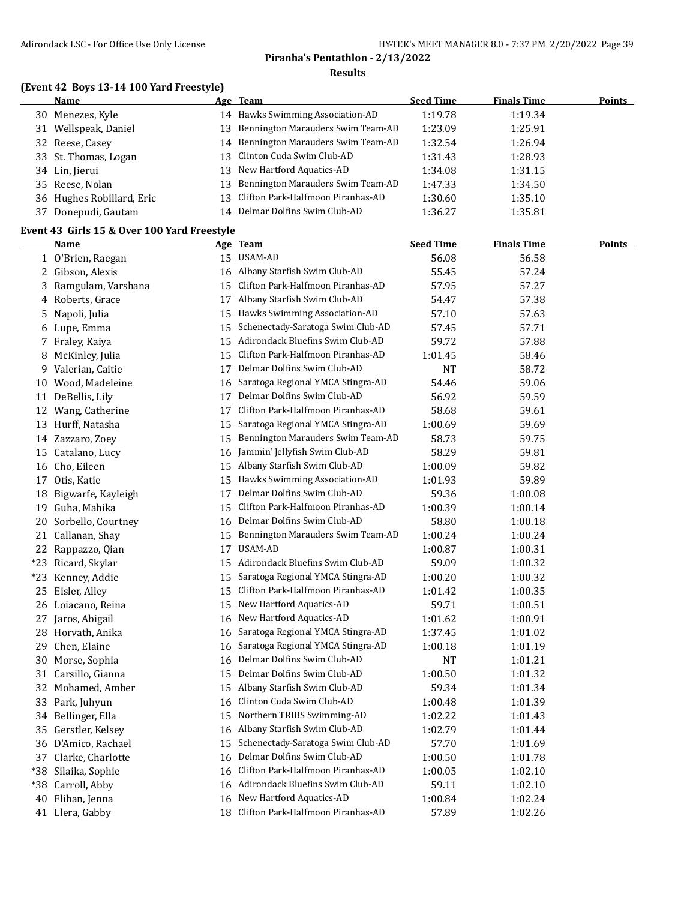## **(Event 42 Boys 13-14 100 Yard Freestyle)**

|    | Name                      |    | Age Team                             | <b>Seed Time</b> | <b>Finals Time</b> | <b>Points</b> |
|----|---------------------------|----|--------------------------------------|------------------|--------------------|---------------|
|    | 30 Menezes, Kyle          |    | 14 Hawks Swimming Association-AD     | 1:19.78          | 1:19.34            |               |
|    | 31 Wellspeak, Daniel      |    | 13 Bennington Marauders Swim Team-AD | 1:23.09          | 1:25.91            |               |
|    | 32 Reese, Casey           |    | 14 Bennington Marauders Swim Team-AD | 1:32.54          | 1:26.94            |               |
|    | 33 St. Thomas, Logan      |    | 13 Clinton Cuda Swim Club-AD         | 1:31.43          | 1:28.93            |               |
|    | 34 Lin, Jierui            |    | 13 New Hartford Aquatics-AD          | 1:34.08          | 1:31.15            |               |
|    | 35 Reese, Nolan           |    | 13 Bennington Marauders Swim Team-AD | 1:47.33          | 1:34.50            |               |
|    | 36 Hughes Robillard, Eric |    | 13 Clifton Park-Halfmoon Piranhas-AD | 1:30.60          | 1:35.10            |               |
| 37 | Donepudi, Gautam          | 14 | Delmar Dolfins Swim Club-AD          | 1:36.27          | 1:35.81            |               |
|    |                           |    |                                      |                  |                    |               |

#### **Event 43 Girls 15 & Over 100 Yard Freestyle**

|     | <b>Name</b>          |    | <u>Age Team</u>                      | <b>Seed Time</b> | <b>Finals Time</b> | <b>Points</b> |
|-----|----------------------|----|--------------------------------------|------------------|--------------------|---------------|
|     | 1 O'Brien, Raegan    |    | 15 USAM-AD                           | 56.08            | 56.58              |               |
|     | 2 Gibson, Alexis     | 16 | Albany Starfish Swim Club-AD         | 55.45            | 57.24              |               |
|     | 3 Ramgulam, Varshana | 15 | Clifton Park-Halfmoon Piranhas-AD    | 57.95            | 57.27              |               |
|     | 4 Roberts, Grace     |    | 17 Albany Starfish Swim Club-AD      | 54.47            | 57.38              |               |
| 5   | Napoli, Julia        | 15 | Hawks Swimming Association-AD        | 57.10            | 57.63              |               |
| 6   | Lupe, Emma           | 15 | Schenectady-Saratoga Swim Club-AD    | 57.45            | 57.71              |               |
|     | 7 Fraley, Kaiya      | 15 | Adirondack Bluefins Swim Club-AD     | 59.72            | 57.88              |               |
| 8   | McKinley, Julia      | 15 | Clifton Park-Halfmoon Piranhas-AD    | 1:01.45          | 58.46              |               |
| 9   | Valerian, Caitie     | 17 | Delmar Dolfins Swim Club-AD          | <b>NT</b>        | 58.72              |               |
| 10  | Wood, Madeleine      | 16 | Saratoga Regional YMCA Stingra-AD    | 54.46            | 59.06              |               |
|     | 11 DeBellis, Lily    | 17 | Delmar Dolfins Swim Club-AD          | 56.92            | 59.59              |               |
|     | 12 Wang, Catherine   | 17 | Clifton Park-Halfmoon Piranhas-AD    | 58.68            | 59.61              |               |
| 13  | Hurff, Natasha       | 15 | Saratoga Regional YMCA Stingra-AD    | 1:00.69          | 59.69              |               |
|     | 14 Zazzaro, Zoey     | 15 | Bennington Marauders Swim Team-AD    | 58.73            | 59.75              |               |
|     | 15 Catalano, Lucy    | 16 | Jammin' Jellyfish Swim Club-AD       | 58.29            | 59.81              |               |
|     | 16 Cho, Eileen       | 15 | Albany Starfish Swim Club-AD         | 1:00.09          | 59.82              |               |
|     | 17 Otis, Katie       | 15 | Hawks Swimming Association-AD        | 1:01.93          | 59.89              |               |
| 18  | Bigwarfe, Kayleigh   | 17 | Delmar Dolfins Swim Club-AD          | 59.36            | 1:00.08            |               |
|     | 19 Guha, Mahika      | 15 | Clifton Park-Halfmoon Piranhas-AD    | 1:00.39          | 1:00.14            |               |
| 20  | Sorbello, Courtney   | 16 | Delmar Dolfins Swim Club-AD          | 58.80            | 1:00.18            |               |
|     | 21 Callanan, Shay    | 15 | Bennington Marauders Swim Team-AD    | 1:00.24          | 1:00.24            |               |
|     | 22 Rappazzo, Qian    | 17 | USAM-AD                              | 1:00.87          | 1:00.31            |               |
|     | *23 Ricard, Skylar   | 15 | Adirondack Bluefins Swim Club-AD     | 59.09            | 1:00.32            |               |
|     | *23 Kenney, Addie    | 15 | Saratoga Regional YMCA Stingra-AD    | 1:00.20          | 1:00.32            |               |
| 25  | Eisler, Alley        | 15 | Clifton Park-Halfmoon Piranhas-AD    | 1:01.42          | 1:00.35            |               |
|     | 26 Loiacano, Reina   | 15 | New Hartford Aquatics-AD             | 59.71            | 1:00.51            |               |
| 27  | Jaros, Abigail       | 16 | New Hartford Aquatics-AD             | 1:01.62          | 1:00.91            |               |
| 28  | Horvath, Anika       | 16 | Saratoga Regional YMCA Stingra-AD    | 1:37.45          | 1:01.02            |               |
| 29  | Chen, Elaine         | 16 | Saratoga Regional YMCA Stingra-AD    | 1:00.18          | 1:01.19            |               |
| 30  | Morse, Sophia        | 16 | Delmar Dolfins Swim Club-AD          | <b>NT</b>        | 1:01.21            |               |
|     | 31 Carsillo, Gianna  | 15 | Delmar Dolfins Swim Club-AD          | 1:00.50          | 1:01.32            |               |
| 32  | Mohamed, Amber       | 15 | Albany Starfish Swim Club-AD         | 59.34            | 1:01.34            |               |
| 33  | Park, Juhyun         | 16 | Clinton Cuda Swim Club-AD            | 1:00.48          | 1:01.39            |               |
|     | 34 Bellinger, Ella   | 15 | Northern TRIBS Swimming-AD           | 1:02.22          | 1:01.43            |               |
| 35  | Gerstler, Kelsey     | 16 | Albany Starfish Swim Club-AD         | 1:02.79          | 1:01.44            |               |
|     | 36 D'Amico, Rachael  | 15 | Schenectady-Saratoga Swim Club-AD    | 57.70            | 1:01.69            |               |
|     | 37 Clarke, Charlotte | 16 | Delmar Dolfins Swim Club-AD          | 1:00.50          | 1:01.78            |               |
| *38 | Silaika, Sophie      | 16 | Clifton Park-Halfmoon Piranhas-AD    | 1:00.05          | 1:02.10            |               |
|     | *38 Carroll, Abby    |    | 16 Adirondack Bluefins Swim Club-AD  | 59.11            | 1:02.10            |               |
| 40  | Flihan, Jenna        | 16 | New Hartford Aquatics-AD             | 1:00.84          | 1:02.24            |               |
|     | 41 Llera, Gabby      |    | 18 Clifton Park-Halfmoon Piranhas-AD | 57.89            | 1:02.26            |               |
|     |                      |    |                                      |                  |                    |               |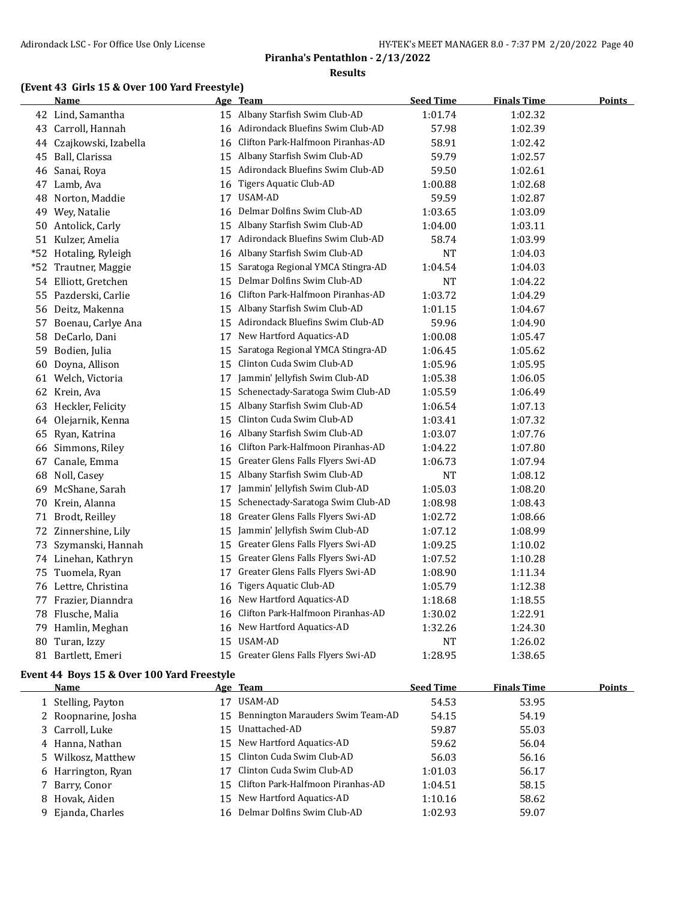#### **(Event 43 Girls 15 & Over 100 Yard Freestyle)**

|       | <b>Name</b>          |    | <u>Age Team</u>                      | <b>Seed Time</b> | <b>Finals Time</b> | <u>Points</u> |
|-------|----------------------|----|--------------------------------------|------------------|--------------------|---------------|
|       | 42 Lind, Samantha    |    | 15 Albany Starfish Swim Club-AD      | 1:01.74          | 1:02.32            |               |
| 43    | Carroll, Hannah      |    | 16 Adirondack Bluefins Swim Club-AD  | 57.98            | 1:02.39            |               |
| 44    | Czajkowski, Izabella | 16 | Clifton Park-Halfmoon Piranhas-AD    | 58.91            | 1:02.42            |               |
|       | 45 Ball, Clarissa    | 15 | Albany Starfish Swim Club-AD         | 59.79            | 1:02.57            |               |
| 46    | Sanai, Roya          | 15 | Adirondack Bluefins Swim Club-AD     | 59.50            | 1:02.61            |               |
| 47    | Lamb, Ava            | 16 | Tigers Aquatic Club-AD               | 1:00.88          | 1:02.68            |               |
| 48    | Norton, Maddie       |    | 17 USAM-AD                           | 59.59            | 1:02.87            |               |
| 49    | Wey, Natalie         | 16 | Delmar Dolfins Swim Club-AD          | 1:03.65          | 1:03.09            |               |
| 50    | Antolick, Carly      | 15 | Albany Starfish Swim Club-AD         | 1:04.00          | 1:03.11            |               |
|       | 51 Kulzer, Amelia    | 17 | Adirondack Bluefins Swim Club-AD     | 58.74            | 1:03.99            |               |
| $*52$ | Hotaling, Ryleigh    | 16 | Albany Starfish Swim Club-AD         | <b>NT</b>        | 1:04.03            |               |
| $*52$ | Trautner, Maggie     | 15 | Saratoga Regional YMCA Stingra-AD    | 1:04.54          | 1:04.03            |               |
|       | 54 Elliott, Gretchen | 15 | Delmar Dolfins Swim Club-AD          | <b>NT</b>        | 1:04.22            |               |
| 55    | Pazderski, Carlie    | 16 | Clifton Park-Halfmoon Piranhas-AD    | 1:03.72          | 1:04.29            |               |
| 56    | Deitz, Makenna       | 15 | Albany Starfish Swim Club-AD         | 1:01.15          | 1:04.67            |               |
| 57    | Boenau, Carlye Ana   | 15 | Adirondack Bluefins Swim Club-AD     | 59.96            | 1:04.90            |               |
| 58    | DeCarlo, Dani        | 17 | New Hartford Aquatics-AD             | 1:00.08          | 1:05.47            |               |
| 59    | Bodien, Julia        | 15 | Saratoga Regional YMCA Stingra-AD    | 1:06.45          | 1:05.62            |               |
| 60    | Doyna, Allison       |    | 15 Clinton Cuda Swim Club-AD         | 1:05.96          | 1:05.95            |               |
|       | 61 Welch, Victoria   | 17 | Jammin' Jellyfish Swim Club-AD       | 1:05.38          | 1:06.05            |               |
| 62    | Krein, Ava           | 15 | Schenectady-Saratoga Swim Club-AD    | 1:05.59          | 1:06.49            |               |
|       | 63 Heckler, Felicity | 15 | Albany Starfish Swim Club-AD         | 1:06.54          | 1:07.13            |               |
|       | 64 Olejarnik, Kenna  | 15 | Clinton Cuda Swim Club-AD            | 1:03.41          | 1:07.32            |               |
| 65    | Ryan, Katrina        | 16 | Albany Starfish Swim Club-AD         | 1:03.07          | 1:07.76            |               |
|       | 66 Simmons, Riley    | 16 | Clifton Park-Halfmoon Piranhas-AD    | 1:04.22          | 1:07.80            |               |
| 67    | Canale, Emma         | 15 | Greater Glens Falls Flyers Swi-AD    | 1:06.73          | 1:07.94            |               |
| 68    | Noll, Casey          | 15 | Albany Starfish Swim Club-AD         | <b>NT</b>        | 1:08.12            |               |
| 69    | McShane, Sarah       | 17 | Jammin' Jellyfish Swim Club-AD       | 1:05.03          | 1:08.20            |               |
| 70    | Krein, Alanna        | 15 | Schenectady-Saratoga Swim Club-AD    | 1:08.98          | 1:08.43            |               |
| 71    | Brodt, Reilley       | 18 | Greater Glens Falls Flyers Swi-AD    | 1:02.72          | 1:08.66            |               |
|       | 72 Zinnershine, Lily | 15 | Jammin' Jellyfish Swim Club-AD       | 1:07.12          | 1:08.99            |               |
| 73    | Szymanski, Hannah    | 15 | Greater Glens Falls Flyers Swi-AD    | 1:09.25          | 1:10.02            |               |
| 74    | Linehan, Kathryn     | 15 | Greater Glens Falls Flyers Swi-AD    | 1:07.52          | 1:10.28            |               |
| 75    | Tuomela, Ryan        | 17 | Greater Glens Falls Flyers Swi-AD    | 1:08.90          | 1:11.34            |               |
|       | 76 Lettre, Christina | 16 | <b>Tigers Aquatic Club-AD</b>        | 1:05.79          | 1:12.38            |               |
| 77    | Frazier, Dianndra    | 16 | New Hartford Aquatics-AD             | 1:18.68          | 1:18.55            |               |
| 78    | Flusche, Malia       | 16 | Clifton Park-Halfmoon Piranhas-AD    | 1:30.02          | 1:22.91            |               |
| 79    | Hamlin, Meghan       |    | 16 New Hartford Aquatics-AD          | 1:32.26          | 1:24.30            |               |
| 80    | Turan, Izzy          | 15 | USAM-AD                              | <b>NT</b>        | 1:26.02            |               |
|       | 81 Bartlett, Emeri   |    | 15 Greater Glens Falls Flyers Swi-AD | 1:28.95          | 1:38.65            |               |

#### **Event 44 Boys 15 & Over 100 Yard Freestyle**

| Name                |     | Age Team                             | <b>Seed Time</b> | <b>Finals Time</b> | Points |
|---------------------|-----|--------------------------------------|------------------|--------------------|--------|
| 1 Stelling, Payton  |     | USAM-AD                              | 54.53            | 53.95              |        |
| 2 Roopnarine, Josha |     | 15 Bennington Marauders Swim Team-AD | 54.15            | 54.19              |        |
| 3 Carroll, Luke     | 15. | Unattached-AD                        | 59.87            | 55.03              |        |
| 4 Hanna, Nathan     |     | 15 New Hartford Aquatics-AD          | 59.62            | 56.04              |        |
| 5 Wilkosz, Matthew  |     | 15 Clinton Cuda Swim Club-AD         | 56.03            | 56.16              |        |
| 6 Harrington, Ryan  |     | Clinton Cuda Swim Club-AD            | 1:01.03          | 56.17              |        |
| 7 Barry, Conor      |     | 15 Clifton Park-Halfmoon Piranhas-AD | 1:04.51          | 58.15              |        |
| 8 Hovak, Aiden      |     | 15 New Hartford Aquatics-AD          | 1:10.16          | 58.62              |        |
| 9 Ejanda, Charles   |     | 16 Delmar Dolfins Swim Club-AD       | 1:02.93          | 59.07              |        |